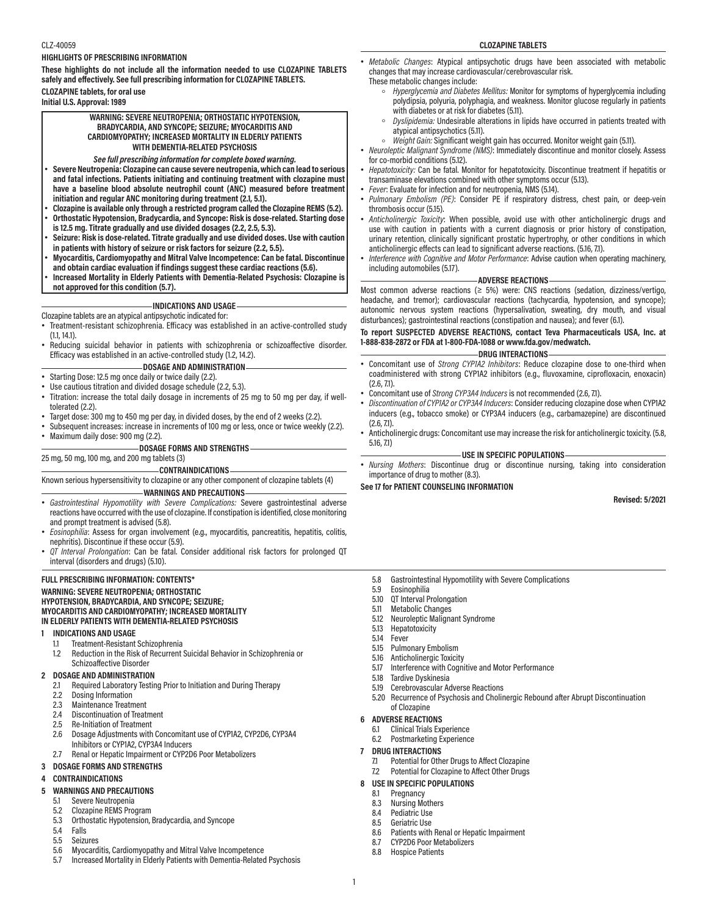## **HIGHLIGHTS OF PRESCRIBING INFORMATION**

**These highlights do not include all the information needed to use CLOZAPINE TABLETS safely and effectively. See full prescribing information for CLOZAPINE TABLETS. CLOZAPINE tablets, for oral use Initial U.S. Approval: 1989**

> **WARNING: SEVERE NEUTROPENIA; ORTHOSTATIC HYPOTENSION, BRADYCARDIA, AND SYNCOPE; SEIZURE; MYOCARDITIS AND CARDIOMYOPATHY; INCREASED MORTALITY IN ELDERLY PATIENTS WITH DEMENTIA-RELATED PSYCHOSIS**

#### *See full prescribing information for complete boxed warning.*

- **Severe Neutropenia: Clozapine can cause severe neutropenia, which can lead to serious and fatal infections. Patients initiating and continuing treatment with clozapine must have a baseline blood absolute neutrophil count (ANC) measured before treatment initiation and regular ANC monitoring during treatment (2.1, 5.1).**
- **Clozapine is available only through a restricted program called the Clozapine REMS (5.2).** • **Orthostatic Hypotension, Bradycardia, and Syncope: Risk is dose-related. Starting dose**
- **is 12.5 mg. Titrate gradually and use divided dosages (2.2, 2.5, 5.3).**
- **Seizure: Risk is dose-related. Titrate gradually and use divided doses. Use with caution in patients with history of seizure or risk factors for seizure (2.2, 5.5).**
- **Myocarditis, Cardiomyopathy and Mitral Valve Incompetence: Can be fatal. Discontinue and obtain cardiac evaluation if findings suggest these cardiac reactions (5.6).**
- **Increased Mortality in Elderly Patients with Dementia-Related Psychosis: Clozapine is**
- **not approved for this condition (5.7).**

# **INDICATIONS AND USAGE**

# Clozapine tablets are an atypical antipsychotic indicated for:

- Treatment-resistant schizophrenia. Efficacy was established in an active-controlled study (1.1, 14.1).
- Reducing suicidal behavior in patients with schizophrenia or schizoaffective disorder. Efficacy was established in an active-controlled study (1.2, 14.2).

#### **DOSAGE AND ADMINISTRATION**

- Starting Dose: 12.5 mg once daily or twice daily (2.2).
- Use cautious titration and divided dosage schedule (2.2, 5.3).
- Titration: increase the total daily dosage in increments of 25 mg to 50 mg per day, if welltolerated (2.2).
- Target dose: 300 mg to 450 mg per day, in divided doses, by the end of 2 weeks (2.2)
- Subsequent increases: increase in increments of 100 mg or less, once or twice weekly (2.2).
- Maximum daily dose: 900 mg (2.2).

#### **DOSAGE FORMS AND STRENGTHS**

# 25 mg, 50 mg, 100 mg, and 200 mg tablets (3)

#### **CONTRAINDICATIONS**

Known serious hypersensitivity to clozapine or any other component of clozapine tablets (4)

#### **WARNINGS AND PRECAUTIONS**

- *Gastrointestinal Hypomotility with Severe Complications:* Severe gastrointestinal adverse reactions have occurred with the use of clozapine. If constipation is identified, close monitoring and prompt treatment is advised (5.8).
- *Eosinophilia*: Assess for organ involvement (e.g., myocarditis, pancreatitis, hepatitis, colitis, nephritis). Discontinue if these occur (5.9).
- *QT Interval Prolongation*: Can be fatal. Consider additional risk factors for prolonged QT interval (disorders and drugs) (5.10).

#### **FULL PRESCRIBING INFORMATION: CONTENTS\***

#### **WARNING: SEVERE NEUTROPENIA; ORTHOSTATIC HYPOTENSION, BRADYCARDIA, AND SYNCOPE; SEIZURE; MYOCARDITIS AND CARDIOMYOPATHY; INCREASED MORTALITY IN ELDERLY PATIENTS WITH DEMENTIA-RELATED PSYCHOSIS**

#### **1 INDICATIONS AND USAGE**

- 1.1 Treatment-Resistant Schizophrenia<br>1.2 Reduction in the Risk of Recurrent
- 1.2 Reduction in the Risk of Recurrent Suicidal Behavior in Schizophrenia or Schizoaffective Disorder

#### **2 DOSAGE AND ADMINISTRATION**

- 2.1 Required Laboratory Testing Prior to Initiation and During Therapy<br>2.2 Dosing Information
- 
- 2.2 Dosing Information<br>2.3 Maintenance Treatm 2.3 Maintenance Treatment<br>2.4 Discontinuation of Treat
- 2.4 Discontinuation of Treatment<br>2.5 Re-Initiation of Treatment
- 2.5 Re-Initiation of Treatment
- 2.6 Dosage Adjustments with Concomitant use of CYP1A2, CYP2D6, CYP3A4 Inhibitors or CYP1A2, CYP3A4 Inducers
- 2.7 Renal or Hepatic Impairment or CYP2D6 Poor Metabolizers

# **3 DOSAGE FORMS AND STRENGTHS**

## **4 CONTRAINDICATIONS**

## **5 WARNINGS AND PRECAUTIONS**

- 5.1 Severe Neutropenia
- 5.2 Clozapine REMS Program
- 5.3 Orthostatic Hypotension, Bradycardia, and Syncope
- 5.4 Falls<br>5.5 Seizu
- **Seizures**
- 5.6 Myocarditis, Cardiomyopathy and Mitral Valve Incompetence
- 5.7 Increased Mortality in Elderly Patients with Dementia-Related Psychosis

#### CLZ-40059 **CLOZAPINE TABLETS**

- *Metabolic Changes*: Atypical antipsychotic drugs have been associated with metabolic changes that may increase cardiovascular/cerebrovascular risk.
- These metabolic changes include:
	- *Hyperglycemia and Diabetes Mellitus:* Monitor for symptoms of hyperglycemia including polydipsia, polyuria, polyphagia, and weakness. Monitor glucose regularly in patients with diabetes or at risk for diabetes (5.11).
	- *Dyslipidemia:* Undesirable alterations in lipids have occurred in patients treated with atypical antipsychotics (5.11).
	- Weight Gain: Significant weight gain has occurred. Monitor weight gain (5.11).
- *Neuroleptic Malignant Syndrome (NMS)*: Immediately discontinue and monitor closely. Assess for co-morbid conditions (5.12).
- *Hepatotoxicity:* Can be fatal. Monitor for hepatotoxicity. Discontinue treatment if hepatitis or transaminase elevations combined with other symptoms occur (5.13).
- *Fever*: Evaluate for infection and for neutropenia, NMS (5.14).
- *Pulmonary Embolism (PE)*: Consider PE if respiratory distress, chest pain, or deep-vein thrombosis occur (5.15).
- *Anticholinergic Toxicity*: When possible, avoid use with other anticholinergic drugs and use with caution in patients with a current diagnosis or prior history of constipation, urinary retention, clinically significant prostatic hypertrophy, or other conditions in which anticholinergic effects can lead to significant adverse reactions. (5.16, 7.1).
- *Interference with Cognitive and Motor Performance*: Advise caution when operating machinery, including automobiles (5.17).

#### **ADVERSE REACTIONS**

Most common adverse reactions ( $\geq$  5%) were: CNS reactions (sedation, dizziness/vertigo, headache, and tremor); cardiovascular reactions (tachycardia, hypotension, and syncope); autonomic nervous system reactions (hypersalivation, sweating, dry mouth, and visual disturbances); gastrointestinal reactions (constipation and nausea); and fever (6.1).

# **To report SUSPECTED ADVERSE REACTIONS, contact Teva Pharmaceuticals USA, Inc. at 1-888-838-2872 or FDA at 1-800-FDA-1088 or www.fda.gov/medwatch.**

# **DRUG INTERACTIONS**

- Concomitant use of *Strong CYP1A2 Inhibitors*: Reduce clozapine dose to one-third when coadministered with strong CYP1A2 inhibitors (e.g., fluvoxamine, ciprofloxacin, enoxacin) (2.6, 7.1).
- Concomitant use of *Strong CYP3A4 Inducers* is not recommended (2.6, 7.1).
- *Discontinuation of CYP1A2 or CYP3A4 Inducers*: Consider reducing clozapine dose when CYP1A2 inducers (e.g., tobacco smoke) or CYP3A4 inducers (e.g., carbamazepine) are discontinued (2.6, 7.1).
- Anticholinergic drugs: Concomitant use may increase the risk for anticholinergic toxicity. (5.8, 5.16, 7.1)

#### **USE IN SPECIFIC POPULATIONS**

• *Nursing Mothers*: Discontinue drug or discontinue nursing, taking into consideration importance of drug to mother (8.3).

**See 17 for PATIENT COUNSELING INFORMATION**

**Revised: 5/2021**

- 5.8 Gastrointestinal Hypomotility with Severe Complications<br>5.9 Fosinophilia
- 5.9 Eosinophilia
- 5.10 QT Interval Prolongation<br>5.11 Metabolic Changes
- Metabolic Changes
- 5.12 Neuroleptic Malignant Syndrome
- 5.13 Hepatotoxicity<br>5.14 Fever
- **Fever**
- 5.15 Pulmonary Embolism
- 5.16 Anticholinergic Toxicity
- 5.17 Interference with Cognitive and Motor Performance
- 5.18 Tardive Dyskinesia
- 
- 5.19 Cerebrovascular Adverse Reactions<br>5.20 Recurrence of Psychosis and Cholin 5.20 Recurrence of Psychosis and Cholinergic Rebound after Abrupt Discontinuation
- of Clozapine
- **6 ADVERSE REACTIONS**
	- 6.1 Clinical Trials Experience
	- Postmarketing Experience
- **7 DRUG INTERACTIONS**

8.4 Pediatric Use<br>8.5 Geriatric Use 8.5 Geriatric Use<br>8.6 Patients with

1

- 7.1 Potential for Other Drugs to Affect Clozapine
- 7.2 Potential for Clozapine to Affect Other Drugs

Patients with Renal or Hepatic Impairment

**8 USE IN SPECIFIC POPULATIONS**<br>8.1 Pregnancy

8.7 CYP2D6 Poor Metabolizers<br>8.8 Hospice Patients **Hospice Patients** 

Pregnancy 8.3 Nursing Mothers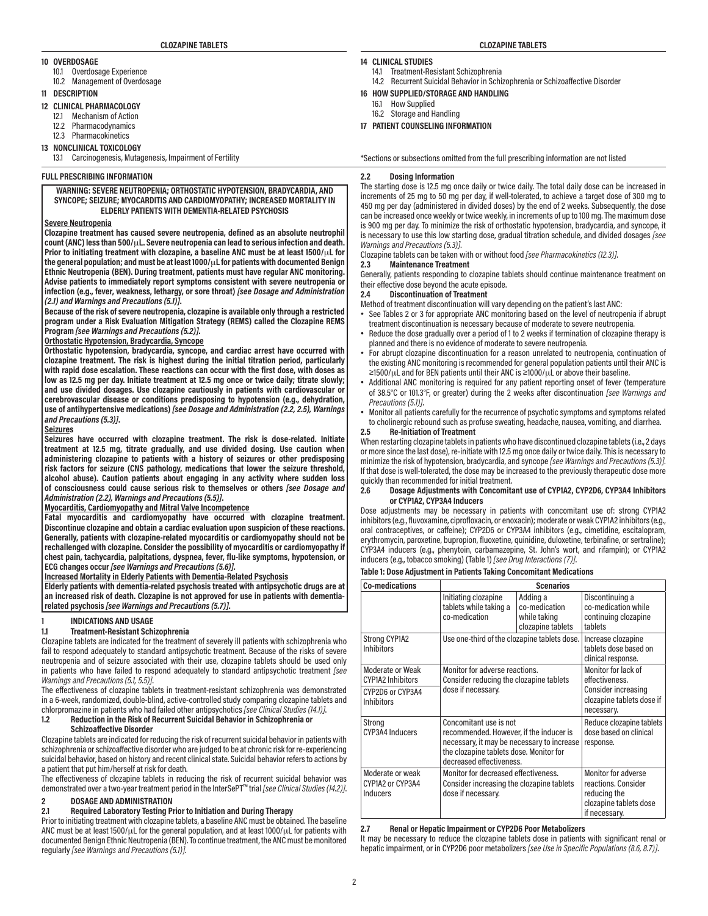#### **10 OVERDOSAGE**

- 10.1 Overdosage Experience
- 10.2 Management of Overdosage
- **11 DESCRIPTION**
- **12 CLINICAL PHARMACOLOGY**
	- 12.1 Mechanism of Action
	- 12.2 Pharmacodynamics 12.3 Pharmacokinetics
- 
- **13 NONCLINICAL TOXICOLOGY**
	- 13.1 Carcinogenesis, Mutagenesis, Impairment of Fertility

#### **FULL PRESCRIBING INFORMATION**

#### **WARNING: SEVERE NEUTROPENIA; ORTHOSTATIC HYPOTENSION, BRADYCARDIA, AND SYNCOPE; SEIZURE; MYOCARDITIS AND CARDIOMYOPATHY; INCREASED MORTALITY IN ELDERLY PATIENTS WITH DEMENTIA-RELATED PSYCHOSIS**

#### **Severe Neutropenia**

**Clozapine treatment has caused severe neutropenia, defined as an absolute neutrophil count (ANC) less than 500/**μ**L. Severe neutropenia can lead to serious infection and death. Prior to initiating treatment with clozapine, a baseline ANC must be at least 1500/**μ**L for the general population; and must be at least 1000/**μ**L for patients with documented Benign Ethnic Neutropenia (BEN). During treatment, patients must have regular ANC monitoring. Advise patients to immediately report symptoms consistent with severe neutropenia or infection (e.g., fever, weakness, lethargy, or sore throat)** *[see Dosage and Administration (2.1) and Warnings and Precautions (5.1)]***.**

**Because of the risk of severe neutropenia, clozapine is available only through a restricted program under a Risk Evaluation Mitigation Strategy (REMS) called the Clozapine REMS Program** *[see Warnings and Precautions (5.2)]***.**

#### **Orthostatic Hypotension, Bradycardia, Syncope**

**Orthostatic hypotension, bradycardia, syncope, and cardiac arrest have occurred with clozapine treatment. The risk is highest during the initial titration period, particularly with rapid dose escalation. These reactions can occur with the first dose, with doses as low as 12.5 mg per day. Initiate treatment at 12.5 mg once or twice daily; titrate slowly; and use divided dosages. Use clozapine cautiously in patients with cardiovascular or cerebrovascular disease or conditions predisposing to hypotension (e.g., dehydration, use of antihypertensive medications)** *[see Dosage and Administration (2.2, 2.5), Warnings and Precautions (5.3)]***.**

#### **Seizures**

**Seizures have occurred with clozapine treatment. The risk is dose-related. Initiate treatment at 12.5 mg, titrate gradually, and use divided dosing. Use caution when administering clozapine to patients with a history of seizures or other predisposing risk factors for seizure (CNS pathology, medications that lower the seizure threshold, alcohol abuse). Caution patients about engaging in any activity where sudden loss of consciousness could cause serious risk to themselves or others** *[see Dosage and Administration (2.2), Warnings and Precautions (5.5)]***.**

# **Myocarditis, Cardiomyopathy and Mitral Valve Incompetence**

**Fatal myocarditis and cardiomyopathy have occurred with clozapine treatment. Discontinue clozapine and obtain a cardiac evaluation upon suspicion of these reactions. Generally, patients with clozapine-related myocarditis or cardiomyopathy should not be rechallenged with clozapine. Consider the possibility of myocarditis or cardiomyopathy if chest pain, tachycardia, palpitations, dyspnea, fever, flu-like symptoms, hypotension, or ECG changes occur** *[see Warnings and Precautions (5.6)]***.**

#### **Increased Mortality in Elderly Patients with Dementia-Related Psychosis**

**Elderly patients with dementia-related psychosis treated with antipsychotic drugs are at an increased risk of death. Clozapine is not approved for use in patients with dementiarelated psychosis** *[see Warnings and Precautions (5.7)]***.**

# **1 INDICATIONS AND USAGE**

# **1.1 Treatment-Resistant Schizophrenia**

Clozapine tablets are indicated for the treatment of severely ill patients with schizophrenia who fail to respond adequately to standard antipsychotic treatment. Because of the risks of severe neutropenia and of seizure associated with their use, clozapine tablets should be used only in patients who have failed to respond adequately to standard antipsychotic treatment *[see Warnings and Precautions (5.1, 5.5)]*.

The effectiveness of clozapine tablets in treatment-resistant schizophrenia was demonstrated in a 6-week, randomized, double-blind, active-controlled study comparing clozapine tablets and chlorpromazine in patients who had failed other antipsychotics *[see Clinical Studies (14.1)]*.

# **1.2 Reduction in the Risk of Recurrent Suicidal Behavior in Schizophrenia or**

# **Schizoaffective Disorder**

Clozapine tablets are indicated for reducing the risk of recurrent suicidal behavior in patients with schizophrenia or schizoaffective disorder who are judged to be at chronic risk for re-experiencing suicidal behavior, based on history and recent clinical state. Suicidal behavior refers to actions by a patient that put him/herself at risk for death.

The effectiveness of clozapine tablets in reducing the risk of recurrent suicidal behavior was demonstrated over a two-year treatment period in the InterSePT™ trial *[see Clinical Studies (14.2)]*.

# **2 DOSAGE AND ADMINISTRATION**

## **2.1 Required Laboratory Testing Prior to Initiation and During Therapy**

Prior to initiating treatment with clozapine tablets, a baseline ANC must be obtained. The baseline ANC must be at least  $1500/\mu$ L for the general population, and at least  $1000/\mu$ L for patients with documented Benign Ethnic Neutropenia (BEN). To continue treatment, the ANC must be monitored regularly *[see Warnings and Precautions (5.1)]*.

# **14 CLINICAL STUDIES**

- 14.1 Treatment-Resistant Schizophrenia
	- 14.2 Recurrent Suicidal Behavior in Schizophrenia or Schizoaffective Disorder
- **16 HOW SUPPLIED/STORAGE AND HANDLING**
- 16.1 How Supplied
- 16.2 Storage and Handling

**17 PATIENT COUNSELING INFORMATION**

\*Sections or subsections omitted from the full prescribing information are not listed

#### **2.2 Dosing Information**

The starting dose is 12.5 mg once daily or twice daily. The total daily dose can be increased in increments of 25 mg to 50 mg per day, if well-tolerated, to achieve a target dose of 300 mg to 450 mg per day (administered in divided doses) by the end of 2 weeks. Subsequently, the dose can be increased once weekly or twice weekly, in increments of up to 100 mg. The maximum dose is 900 mg per day. To minimize the risk of orthostatic hypotension, bradycardia, and syncope, it is necessary to use this low starting dose, gradual titration schedule, and divided dosages *[see Warnings and Precautions (5.3)]*.

Clozapine tablets can be taken with or without food *[see Pharmacokinetics (12.3)]*.

# **2.3 Maintenance Treatment**

Generally, patients responding to clozapine tablets should continue maintenance treatment on their effective dose beyond the acute episode.

#### **2.4 Discontinuation of Treatment**

Method of treatment discontinuation will vary depending on the patient's last ANC:

- See Tables 2 or 3 for appropriate ANC monitoring based on the level of neutropenia if abrupt treatment discontinuation is necessary because of moderate to severe neutropenia.
- Reduce the dose gradually over a period of 1 to 2 weeks if termination of clozapine therapy is planned and there is no evidence of moderate to severe neutropenia.
- For abrupt clozapine discontinuation for a reason unrelated to neutropenia, continuation of the existing ANC monitoring is recommended for general population patients until their ANC is  $\geq$ 1500/ $\mu$ L and for BEN patients until their ANC is  $\geq$ 1000/ $\mu$ L or above their baseline.
- Additional ANC monitoring is required for any patient reporting onset of fever (temperature of 38.5°C or 101.3°F, or greater) during the 2 weeks after discontinuation *[see Warnings and Precautions (5.1)]*.
- Monitor all patients carefully for the recurrence of psychotic symptoms and symptoms related to cholinergic rebound such as profuse sweating, headache, nausea, vomiting, and diarrhea.

## **2.5 Re-Initiation of Treatment**

When restarting clozapine tablets in patients who have discontinued clozapine tablets (i.e., 2 days or more since the last dose), re-initiate with 12.5 mg once daily or twice daily. This is necessary to minimize the risk of hypotension, bradycardia, and syncope *[see Warnings and Precautions (5.3)]*. If that dose is well-tolerated, the dose may be increased to the previously therapeutic dose more quickly than recommended for initial treatment.

#### **2.6 Dosage Adjustments with Concomitant use of CYP1A2, CYP2D6, CYP3A4 Inhibitors or CYP1A2, CYP3A4 Inducers**

Dose adjustments may be necessary in patients with concomitant use of: strong CYP1A2 inhibitors (e.g., fluvoxamine, ciprofloxacin, or enoxacin); moderate or weak CYP1A2 inhibitors (e.g., oral contraceptives, or caffeine); CYP2D6 or CYP3A4 inhibitors (e.g., cimetidine, escitalopram, erythromycin, paroxetine, bupropion, fluoxetine, quinidine, duloxetine, terbinafine, or sertraline); CYP3A4 inducers (e.g., phenytoin, carbamazepine, St. John's wort, and rifampin); or CYP1A2 inducers (e.g., tobacco smoking) (Table 1) *[see Drug Interactions (7)]*.

#### **Table 1: Dose Adjustment in Patients Taking Concomitant Medications**

| <b>Co-medications</b>                                                                 |                                                                                                                                                                                        | <b>Scenarios</b>                                               |                                                                                                         |
|---------------------------------------------------------------------------------------|----------------------------------------------------------------------------------------------------------------------------------------------------------------------------------------|----------------------------------------------------------------|---------------------------------------------------------------------------------------------------------|
|                                                                                       | Initiating clozapine<br>tablets while taking a<br>co-medication                                                                                                                        | Adding a<br>co-medication<br>while taking<br>clozapine tablets | Discontinuing a<br>co-medication while<br>continuing clozapine<br>tablets                               |
| <b>Strong CYP1A2</b><br><b>Inhibitors</b>                                             | Use one-third of the clozapine tablets dose.                                                                                                                                           |                                                                | Increase clozapine<br>tablets dose based on<br>clinical response.                                       |
| Moderate or Weak<br><b>CYP1A2 Inhibitors</b><br>CYP2D6 or CYP3A4<br><b>Inhibitors</b> | Monitor for adverse reactions.<br>Consider reducing the clozapine tablets<br>dose if necessary.                                                                                        |                                                                | Monitor for lack of<br>effectiveness.<br>Consider increasing<br>clozapine tablets dose if<br>necessary. |
| Strong<br>CYP3A4 Inducers                                                             | Concomitant use is not<br>recommended. However, if the inducer is<br>necessary, it may be necessary to increase<br>the clozapine tablets dose. Monitor for<br>decreased effectiveness. |                                                                | Reduce clozapine tablets<br>dose based on clinical<br>response.                                         |
| Moderate or weak<br>CYP1A2 or CYP3A4<br><b>Inducers</b>                               | Monitor for decreased effectiveness.<br>Consider increasing the clozapine tablets<br>dose if necessary.                                                                                |                                                                | Monitor for adverse<br>reactions. Consider<br>reducing the<br>clozapine tablets dose<br>if necessary.   |

#### **2.7 Renal or Hepatic Impairment or CYP2D6 Poor Metabolizers**

It may be necessary to reduce the clozapine tablets dose in patients with significant renal or hepatic impairment, or in CYP2D6 poor metabolizers *[see Use in Specific Populations (8.6, 8.7)]*.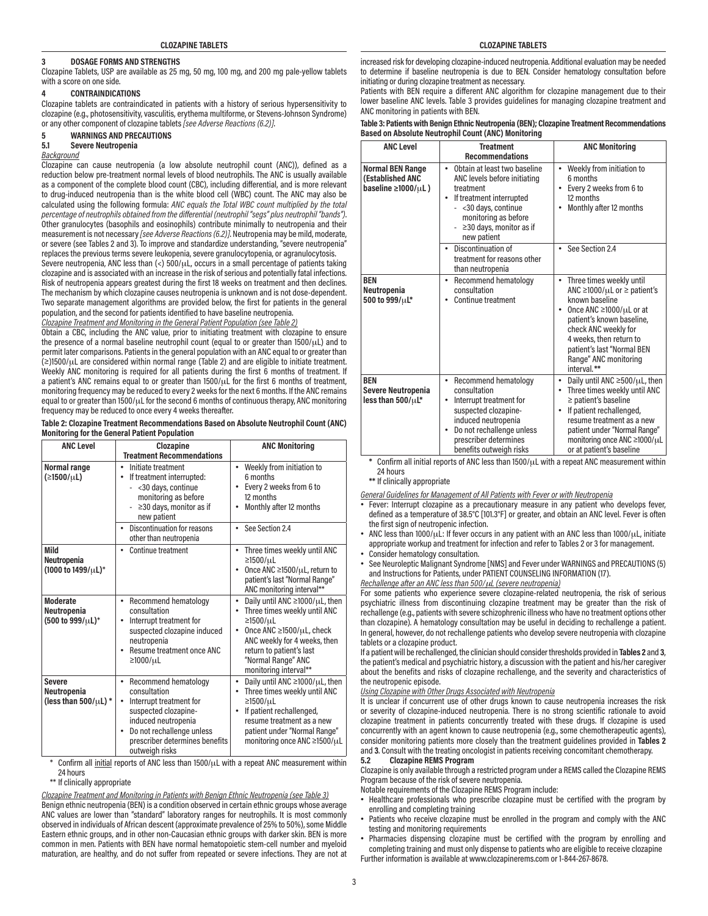#### **3 DOSAGE FORMS AND STRENGTHS**

Clozapine Tablets, USP are available as 25 mg, 50 mg, 100 mg, and 200 mg pale-yellow tablets with a score on one side.

# **4 CONTRAINDICATIONS**

Clozapine tablets are contraindicated in patients with a history of serious hypersensitivity to clozapine (e.g., photosensitivity, vasculitis, erythema multiforme, or Stevens-Johnson Syndrome) or any other component of clozapine tablets *[see Adverse Reactions (6.2)]*.

# **5 WARNINGS AND PRECAUTIONS**

**5.1 Severe Neutropenia**

## *Background*

Clozapine can cause neutropenia (a low absolute neutrophil count (ANC)), defined as a reduction below pre-treatment normal levels of blood neutrophils. The ANC is usually available as a component of the complete blood count (CBC), including differential, and is more relevant to drug-induced neutropenia than is the white blood cell (WBC) count. The ANC may also be calculated using the following formula: *ANC equals the Total WBC count multiplied by the total percentage of neutrophils obtained from the differential (neutrophil "segs" plus neutrophil "bands")*. Other granulocytes (basophils and eosinophils) contribute minimally to neutropenia and their measurement is not necessary *[see Adverse Reactions (6.2)]*. Neutropenia may be mild, moderate, or severe (see Tables 2 and 3). To improve and standardize understanding, "severe neutropenia" replaces the previous terms severe leukopenia, severe granulocytopenia, or agranulocytosis.

Severe neutropenia, ANC less than (<) 500/uL, occurs in a small percentage of patients taking clozapine and is associated with an increase in the risk of serious and potentially fatal infections. Risk of neutropenia appears greatest during the first 18 weeks on treatment and then declines. The mechanism by which clozapine causes neutropenia is unknown and is not dose-dependent. Two separate management algorithms are provided below, the first for patients in the general population, and the second for patients identified to have baseline neutropenia.

*Clozapine Treatment and Monitoring in the General Patient Population (see Table 2)*

Obtain a CBC, including the ANC value, prior to initiating treatment with clozapine to ensure the presence of a normal baseline neutrophil count (equal to or greater than 1500/μL) and to permit later comparisons. Patients in the general population with an ANC equal to or greater than (≥)1500/μL are considered within normal range (Table 2) and are eligible to initiate treatment. Weekly ANC monitoring is required for all patients during the first 6 months of treatment. If a patient's ANC remains equal to or greater than 1500/μL for the first 6 months of treatment, monitoring frequency may be reduced to every 2 weeks for the next 6 months. If the ANC remains equal to or greater than 1500/μL for the second 6 months of continuous therapy, ANC monitoring frequency may be reduced to once every 4 weeks thereafter.

**Table 2: Clozapine Treatment Recommendations Based on Absolute Neutrophil Count (ANC) Monitoring for the General Patient Population**

| <b>ANC Level</b>                                          | Clozapine                                                                                                                                                                                       | <b>ANC Monitoring</b>                                                                                                                                                                                                                       |
|-----------------------------------------------------------|-------------------------------------------------------------------------------------------------------------------------------------------------------------------------------------------------|---------------------------------------------------------------------------------------------------------------------------------------------------------------------------------------------------------------------------------------------|
|                                                           | <b>Treatment Recommendations</b>                                                                                                                                                                |                                                                                                                                                                                                                                             |
| Normal range<br>(≥1500/µL)                                | Initiate treatment<br>$\bullet$<br>If treatment interrupted:<br>- < 30 days, continue<br>monitoring as before<br>≥30 days, monitor as if<br>new patient                                         | Weekly from initiation to<br>6 months<br>Every 2 weeks from 6 to<br>12 months<br>Monthly after 12 months<br>$\bullet$                                                                                                                       |
|                                                           | Discontinuation for reasons<br>other than neutropenia                                                                                                                                           | See Section 2.4<br>$\bullet$                                                                                                                                                                                                                |
| Mild<br>Neutropenia<br>(1000 to 1499/µL)*                 | Continue treatment<br>٠                                                                                                                                                                         | Three times weekly until ANC<br>$\geq 1500/\mu L$<br>Once ANC ≥1500/µL, return to<br>patient's last "Normal Range"<br>ANC monitoring interval**                                                                                             |
| <b>Moderate</b><br>Neutropenia<br>(500 to 999/µL)*        | Recommend hematology<br>consultation<br>Interrupt treatment for<br>suspected clozapine induced<br>neutropenia<br>Resume treatment once ANC<br>$\bullet$<br>≥1000/µL                             | Daily until ANC $\geq$ 1000/ $\mu$ L, then<br>Three times weekly until ANC<br>$\bullet$<br>≥1500/µL<br>Once ANC ≥1500/µL, check<br>ANC weekly for 4 weeks, then<br>return to patient's last<br>"Normal Range" ANC<br>monitoring interval**  |
| <b>Severe</b><br>Neutropenia<br>(less than $500/\mu$ L) * | Recommend hematology<br>consultation<br>Interrupt treatment for<br>suspected clozapine-<br>induced neutropenia<br>Do not rechallenge unless<br>prescriber determines benefits<br>outweigh risks | Daily until ANC $\geq$ 1000/ $\mu$ L, then<br>$\bullet$<br>Three times weekly until ANC<br>$\bullet$<br>$≥1500/µL$<br>If patient rechallenged,<br>resume treatment as a new<br>patient under "Normal Range"<br>monitoring once ANC ≥1500/µL |

Confirm all initial reports of ANC less than  $1500/\mu$ L with a repeat ANC measurement within 24 hours

\*\* If clinically appropriate

*Clozapine Treatment and Monitoring in Patients with Benign Ethnic Neutropenia (see Table 3)*

Benign ethnic neutropenia (BEN) is a condition observed in certain ethnic groups whose average ANC values are lower than "standard" laboratory ranges for neutrophils. It is most commonly observed in individuals of African descent (approximate prevalence of 25% to 50%), some Middle Eastern ethnic groups, and in other non-Caucasian ethnic groups with darker skin. BEN is more common in men. Patients with BEN have normal hematopoietic stem-cell number and myeloid maturation, are healthy, and do not suffer from repeated or severe infections. They are not at

increased risk for developing clozapine-induced neutropenia. Additional evaluation may be needed to determine if baseline neutropenia is due to BEN. Consider hematology consultation before initiating or during clozapine treatment as necessary.

Patients with BEN require a different ANC algorithm for clozapine management due to their lower baseline ANC levels. Table 3 provides guidelines for managing clozapine treatment and ANC monitoring in patients with BEN.

| Table 3: Patients with Benign Ethnic Neutropenia (BEN); Clozapine Treatment Recommendations |
|---------------------------------------------------------------------------------------------|
| <b>Based on Absolute Neutrophil Count (ANC) Monitoring</b>                                  |

| <b>ANC Level</b>                                                            | <b>Treatment</b><br><b>Recommendations</b>                                                                                                                                                                       | <b>ANC Monitoring</b>                                                                                                                                                                                                                                                                                     |
|-----------------------------------------------------------------------------|------------------------------------------------------------------------------------------------------------------------------------------------------------------------------------------------------------------|-----------------------------------------------------------------------------------------------------------------------------------------------------------------------------------------------------------------------------------------------------------------------------------------------------------|
| <b>Normal BEN Range</b><br>(Established ANC<br>baseline $\geq 1000/\mu L$ ) | Obtain at least two baseline<br>$\bullet$<br>ANC levels before initiating<br>treatment<br>If treatment interrupted<br><30 days, continue<br>monitoring as before<br>$\geq$ 30 days, monitor as if<br>new patient | Weekly from initiation to<br>٠<br>6 months<br>Every 2 weeks from 6 to<br>٠<br>12 months<br>Monthly after 12 months                                                                                                                                                                                        |
|                                                                             | Discontinuation of<br>$\bullet$<br>treatment for reasons other<br>than neutropenia                                                                                                                               | • See Section 2.4                                                                                                                                                                                                                                                                                         |
| <b>BEN</b><br>Neutropenia<br>500 to 999/uL*                                 | Recommend hematology<br>٠<br>consultation<br>Continue treatment                                                                                                                                                  | Three times weekly until<br>$\bullet$<br>ANC $\geq$ 1000/ $\mu$ L or $\geq$ patient's<br>known baseline<br>Once ANC $\geq$ 1000/ $\mu$ L or at<br>٠<br>patient's known baseline,<br>check ANC weekly for<br>4 weeks, then return to<br>patient's last "Normal BEN<br>Range" ANC monitoring<br>interval.** |
| <b>BEN</b><br><b>Severe Neutropenia</b><br>less than $500/\mu L^*$          | Recommend hematology<br>٠<br>consultation<br>Interrupt treatment for<br>suspected clozapine-<br>induced neutropenia<br>Do not rechallenge unless<br>prescriber determines<br>benefits outweigh risks             | Daily until ANC $\geq$ 500/ $\mu$ L, then<br>٠<br>Three times weekly until ANC<br>$\geq$ patient's baseline<br>If patient rechallenged,<br>٠<br>resume treatment as a new<br>patient under "Normal Range"<br>monitoring once ANC ≥1000/µL<br>or at patient's baseline                                     |

**\*** Confirm all initial reports of ANC less than 1500/μL with a repeat ANC measurement within 24 hours

**\*\*** If clinically appropriate

*General Guidelines for Management of All Patients with Fever or with Neutropenia*

- Fever: Interrupt clozapine as a precautionary measure in any patient who develops fever, defined as a temperature of 38.5°C [101.3°F] or greater, and obtain an ANC level. Fever is often the first sign of neutropenic infection.
- ANC less than 1000/μL: If fever occurs in any patient with an ANC less than 1000/μL, initiate appropriate workup and treatment for infection and refer to Tables 2 or 3 for management.
- Consider hematology consultation.
- See Neuroleptic Malignant Syndrome [NMS] and Fever under WARNINGS and PRECAUTIONS (5) and Instructions for Patients, under PATIENT COUNSELING INFORMATION (17).
- *Rechallenge after an ANC less than 500/*μ*L (severe neutropenia)*

For some patients who experience severe clozapine-related neutropenia, the risk of serious psychiatric illness from discontinuing clozapine treatment may be greater than the risk of rechallenge (e.g., patients with severe schizophrenic illness who have no treatment options other than clozapine). A hematology consultation may be useful in deciding to rechallenge a patient. In general, however, do not rechallenge patients who develop severe neutropenia with clozapine tablets or a clozapine product.

If a patient will be rechallenged, the clinician should consider thresholds provided in **Tables 2** and **3**, the patient's medical and psychiatric history, a discussion with the patient and his/her caregiver about the benefits and risks of clozapine rechallenge, and the severity and characteristics of the neutropenic episode.

*Using Clozapine with Other Drugs Associated with Neutropenia*

It is unclear if concurrent use of other drugs known to cause neutropenia increases the risk or severity of clozapine-induced neutropenia. There is no strong scientific rationale to avoid clozapine treatment in patients concurrently treated with these drugs. If clozapine is used concurrently with an agent known to cause neutropenia (e.g., some chemotherapeutic agents), consider monitoring patients more closely than the treatment guidelines provided in **Tables 2** and 3. Consult with the treating oncologist in patients receiving concomitant chemotherapy.<br>5.2 Clozapine REMS Program

#### **5.2 Clozapine REMS Program**

Clozapine is only available through a restricted program under a REMS called the Clozapine REMS Program because of the risk of severe neutropenia.

Notable requirements of the Clozapine REMS Program include:

- Healthcare professionals who prescribe clozapine must be certified with the program by enrolling and completing training
- **Patients who receive clozapine must be enrolled in the program and comply with the ANC** testing and monitoring requirements
- Pharmacies dispensing clozapine must be certified with the program by enrolling and completing training and must only dispense to patients who are eligible to receive clozapine Further information is available at www.clozapinerems.com or 1-844-267-8678.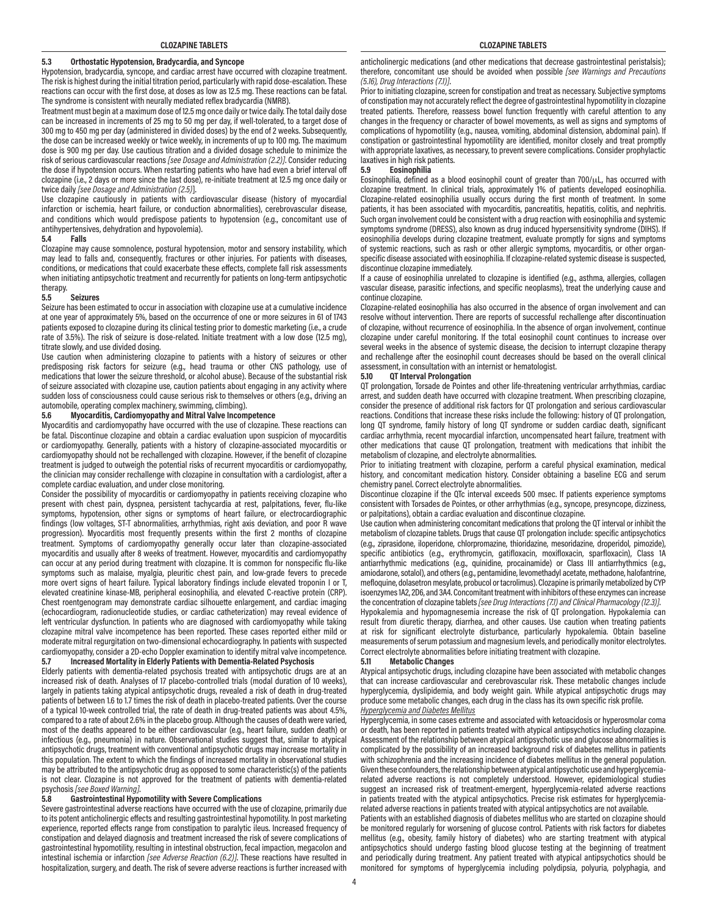# **5.3 Orthostatic Hypotension, Bradycardia, and Syncope**

Hypotension, bradycardia, syncope, and cardiac arrest have occurred with clozapine treatment. The risk is highest during the initial titration period, particularly with rapid dose-escalation. These reactions can occur with the first dose, at doses as low as 12.5 mg. These reactions can be fatal. The syndrome is consistent with neurally mediated reflex bradycardia (NMRB).

Treatment must begin at a maximum dose of 12.5 mg once daily or twice daily. The total daily dose can be increased in increments of 25 mg to 50 mg per day, if well-tolerated, to a target dose of 300 mg to 450 mg per day (administered in divided doses) by the end of 2 weeks. Subsequently, the dose can be increased weekly or twice weekly, in increments of up to 100 mg. The maximum dose is 900 mg per day. Use cautious titration and a divided dosage schedule to minimize the risk of serious cardiovascular reactions *[see Dosage and Administration (2.2)]*. Consider reducing the dose if hypotension occurs. When restarting patients who have had even a brief interval off clozapine (i.e., 2 days or more since the last dose), re-initiate treatment at 12.5 mg once daily or twice daily *[see Dosage and Administration (2.5)*].

Use clozapine cautiously in patients with cardiovascular disease (history of myocardial infarction or ischemia, heart failure, or conduction abnormalities), cerebrovascular disease, and conditions which would predispose patients to hypotension (e.g., concomitant use of antihypertensives, dehydration and hypovolemia).

#### **5.4 Falls**

Clozapine may cause somnolence, postural hypotension, motor and sensory instability, which may lead to falls and, consequently, fractures or other injuries. For patients with diseases, conditions, or medications that could exacerbate these effects, complete fall risk assessments when initiating antipsychotic treatment and recurrently for patients on long-term antipsychotic therapy.

#### **5.5 Seizures**

Seizure has been estimated to occur in association with clozapine use at a cumulative incidence at one year of approximately 5%, based on the occurrence of one or more seizures in 61 of 1743 patients exposed to clozapine during its clinical testing prior to domestic marketing (i.e., a crude rate of 3.5%). The risk of seizure is dose-related. Initiate treatment with a low dose (12.5 mg), titrate slowly, and use divided dosing.

Use caution when administering clozapine to patients with a history of seizures or other predisposing risk factors for seizure (e.g., head trauma or other CNS pathology, use of medications that lower the seizure threshold, or alcohol abuse). Because of the substantial risk of seizure associated with clozapine use, caution patients about engaging in any activity where sudden loss of consciousness could cause serious risk to themselves or others (e.g., driving an automobile, operating complex machinery, swimming, climbing).

#### **5.6 Myocarditis, Cardiomyopathy and Mitral Valve Incompetence**

Myocarditis and cardiomyopathy have occurred with the use of clozapine. These reactions can be fatal. Discontinue clozapine and obtain a cardiac evaluation upon suspicion of myocarditis or cardiomyopathy. Generally, patients with a history of clozapine-associated myocarditis or cardiomyopathy should not be rechallenged with clozapine. However, if the benefit of clozapine treatment is judged to outweigh the potential risks of recurrent myocarditis or cardiomyopathy, the clinician may consider rechallenge with clozapine in consultation with a cardiologist, after a complete cardiac evaluation, and under close monitoring.

Consider the possibility of myocarditis or cardiomyopathy in patients receiving clozapine who present with chest pain, dyspnea, persistent tachycardia at rest, palpitations, fever, flu-like symptoms, hypotension, other signs or symptoms of heart failure, or electrocardiographic findings (low voltages, ST-T abnormalities, arrhythmias, right axis deviation, and poor R wave progression). Myocarditis most frequently presents within the first 2 months of clozapine treatment. Symptoms of cardiomyopathy generally occur later than clozapine-associated myocarditis and usually after 8 weeks of treatment. However, myocarditis and cardiomyopathy can occur at any period during treatment with clozapine. It is common for nonspecific flu-like symptoms such as malaise, myalgia, pleuritic chest pain, and low-grade fevers to precede more overt signs of heart failure. Typical laboratory findings include elevated troponin I or T, elevated creatinine kinase-MB, peripheral eosinophilia, and elevated C-reactive protein (CRP). Chest roentgenogram may demonstrate cardiac silhouette enlargement, and cardiac imaging (echocardiogram, radionucleotide studies, or cardiac catheterization) may reveal evidence of left ventricular dysfunction. In patients who are diagnosed with cardiomyopathy while taking clozapine mitral valve incompetence has been reported. These cases reported either mild or moderate mitral regurgitation on two-dimensional echocardiography. In patients with suspected cardiomyopathy, consider a 2D-echo Doppler examination to identify mitral valve incompetence.

#### **5.7 Increased Mortality in Elderly Patients with Dementia-Related Psychosis**

Elderly patients with dementia-related psychosis treated with antipsychotic drugs are at an increased risk of death. Analyses of 17 placebo-controlled trials (modal duration of 10 weeks), largely in patients taking atypical antipsychotic drugs, revealed a risk of death in drug-treated patients of between 1.6 to 1.7 times the risk of death in placebo-treated patients. Over the course of a typical 10-week controlled trial, the rate of death in drug-treated patients was about 4.5%, compared to a rate of about 2.6% in the placebo group. Although the causes of death were varied, most of the deaths appeared to be either cardiovascular (e.g., heart failure, sudden death) or infectious (e.g., pneumonia) in nature. Observational studies suggest that, similar to atypical antipsychotic drugs, treatment with conventional antipsychotic drugs may increase mortality in this population. The extent to which the findings of increased mortality in observational studies may be attributed to the antipsychotic drug as opposed to some characteristic(s) of the patients is not clear. Clozapine is not approved for the treatment of patients with dementia-related psychosis *[see Boxed Warning]*.

#### **5.8 Gastrointestinal Hypomotility with Severe Complications**

Severe gastrointestinal adverse reactions have occurred with the use of clozapine, primarily due to its potent anticholinergic effects and resulting gastrointestinal hypomotility. In post marketing experience, reported effects range from constipation to paralytic ileus. Increased frequency of constipation and delayed diagnosis and treatment increased the risk of severe complications of gastrointestinal hypomotility, resulting in intestinal obstruction, fecal impaction, megacolon and intestinal ischemia or infarction *[see Adverse Reaction (6.2)]*. These reactions have resulted in hospitalization, surgery, and death. The risk of severe adverse reactions is further increased with

anticholinergic medications (and other medications that decrease gastrointestinal peristalsis); therefore, concomitant use should be avoided when possible *[see Warnings and Precautions (5.16), Drug Interactions (7.1)]*.

Prior to initiating clozapine, screen for constipation and treat as necessary. Subjective symptoms of constipation may not accurately reflect the degree of gastrointestinal hypomotility in clozapine treated patients. Therefore, reassess bowel function frequently with careful attention to any changes in the frequency or character of bowel movements, as well as signs and symptoms of complications of hypomotility (e.g., nausea, vomiting, abdominal distension, abdominal pain). If constipation or gastrointestinal hypomotility are identified, monitor closely and treat promptly with appropriate laxatives, as necessary, to prevent severe complications. Consider prophylactic laxatives in high risk patients.

#### **5.9 Eosinophilia**

Eosinophilia, defined as a blood eosinophil count of greater than  $700/\mu$ L, has occurred with clozapine treatment. In clinical trials, approximately 1% of patients developed eosinophilia. Clozapine-related eosinophilia usually occurs during the first month of treatment. In some patients, it has been associated with myocarditis, pancreatitis, hepatitis, colitis, and nephritis. Such organ involvement could be consistent with a drug reaction with eosinophilia and systemic symptoms syndrome (DRESS), also known as drug induced hypersensitivity syndrome (DIHS). If eosinophilia develops during clozapine treatment, evaluate promptly for signs and symptoms of systemic reactions, such as rash or other allergic symptoms, myocarditis, or other organspecific disease associated with eosinophilia. If clozapine-related systemic disease is suspected, discontinue clozapine immediately.

If a cause of eosinophilia unrelated to clozapine is identified (e.g., asthma, allergies, collagen vascular disease, parasitic infections, and specific neoplasms), treat the underlying cause and continue clozapine.

Clozapine-related eosinophilia has also occurred in the absence of organ involvement and can resolve without intervention. There are reports of successful rechallenge after discontinuation of clozapine, without recurrence of eosinophilia. In the absence of organ involvement, continue clozapine under careful monitoring. If the total eosinophil count continues to increase over several weeks in the absence of systemic disease, the decision to interrupt clozapine therapy and rechallenge after the eosinophil count decreases should be based on the overall clinical assessment, in consultation with an internist or hematologist.

#### **5.10 QT Interval Prolongation**

QT prolongation, Torsade de Pointes and other life-threatening ventricular arrhythmias, cardiac arrest, and sudden death have occurred with clozapine treatment. When prescribing clozapine, consider the presence of additional risk factors for QT prolongation and serious cardiovascular reactions. Conditions that increase these risks include the following: history of QT prolongation, long QT syndrome, family history of long QT syndrome or sudden cardiac death, significant cardiac arrhythmia, recent myocardial infarction, uncompensated heart failure, treatment with other medications that cause QT prolongation, treatment with medications that inhibit the metabolism of clozapine, and electrolyte abnormalities.

Prior to initiating treatment with clozapine, perform a careful physical examination, medical history, and concomitant medication history. Consider obtaining a baseline ECG and serum chemistry panel. Correct electrolyte abnormalities.

Discontinue clozapine if the QTc interval exceeds 500 msec. If patients experience symptoms consistent with Torsades de Pointes, or other arrhythmias (e.g., syncope, presyncope, dizziness, or palpitations), obtain a cardiac evaluation and discontinue clozapine.

Use caution when administering concomitant medications that prolong the QT interval or inhibit the metabolism of clozapine tablets. Drugs that cause QT prolongation include: specific antipsychotics (e.g., ziprasidone, iloperidone, chlorpromazine, thioridazine, mesoridazine, droperidol, pimozide), specific antibiotics (e.g., erythromycin, gatifloxacin, moxifloxacin, sparfloxacin), Class 1A antiarrhythmic medications (e.g., quinidine, procainamide) or Class III antiarrhythmics (e.g., amiodarone, sotalol), and others (e.g., pentamidine, levomethadyl acetate, methadone, halofantrine, mefloquine, dolasetron mesylate, probucol or tacrolimus). Clozapine is primarily metabolized by CYP isoenzymes 1A2, 2D6, and 3A4. Concomitant treatment with inhibitors of these enzymes can increase the concentration of clozapine tablets *[see Drug Interactions (7.1) and Clinical Pharmacology (12.3)]*.

Hypokalemia and hypomagnesemia increase the risk of QT prolongation. Hypokalemia can result from diuretic therapy, diarrhea, and other causes. Use caution when treating patients at risk for significant electrolyte disturbance, particularly hypokalemia. Obtain baseline measurements of serum potassium and magnesium levels, and periodically monitor electrolytes. Correct electrolyte abnormalities before initiating treatment with clozapine.

#### **5.11 Metabolic Changes**

Atypical antipsychotic drugs, including clozapine have been associated with metabolic changes that can increase cardiovascular and cerebrovascular risk. These metabolic changes include hyperglycemia, dyslipidemia, and body weight gain. While atypical antipsychotic drugs may produce some metabolic changes, each drug in the class has its own specific risk profile.

# *Hyperglycemia and Diabetes Mellitus*

Hyperglycemia, in some cases extreme and associated with ketoacidosis or hyperosmolar coma or death, has been reported in patients treated with atypical antipsychotics including clozapine. Assessment of the relationship between atypical antipsychotic use and glucose abnormalities is complicated by the possibility of an increased background risk of diabetes mellitus in patients with schizophrenia and the increasing incidence of diabetes mellitus in the general population. Given these confounders, the relationship between atypical antipsychotic use and hyperglycemiarelated adverse reactions is not completely understood. However, epidemiological studies suggest an increased risk of treatment-emergent, hyperglycemia-related adverse reactions in patients treated with the atypical antipsychotics. Precise risk estimates for hyperglycemiarelated adverse reactions in patients treated with atypical antipsychotics are not available.

Patients with an established diagnosis of diabetes mellitus who are started on clozapine should be monitored regularly for worsening of glucose control. Patients with risk factors for diabetes mellitus (e.g., obesity, family history of diabetes) who are starting treatment with atypical antipsychotics should undergo fasting blood glucose testing at the beginning of treatment and periodically during treatment. Any patient treated with atypical antipsychotics should be monitored for symptoms of hyperglycemia including polydipsia, polyuria, polyphagia, and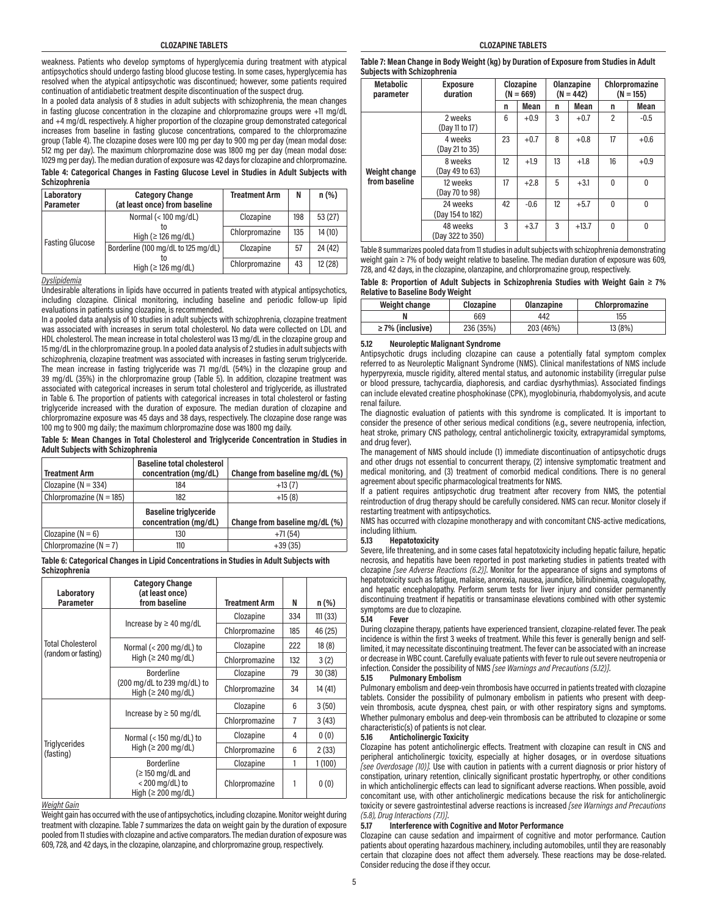weakness. Patients who develop symptoms of hyperglycemia during treatment with atypical antipsychotics should undergo fasting blood glucose testing. In some cases, hyperglycemia has resolved when the atypical antipsychotic was discontinued; however, some patients required continuation of antidiabetic treatment despite discontinuation of the suspect drug.

In a pooled data analysis of 8 studies in adult subjects with schizophrenia, the mean changes in fasting glucose concentration in the clozapine and chlorpromazine groups were +11 mg/dL and +4 mg/dL respectively. A higher proportion of the clozapine group demonstrated categorical increases from baseline in fasting glucose concentrations, compared to the chlorpromazine group (Table 4). The clozapine doses were 100 mg per day to 900 mg per day (mean modal dose: 512 mg per day). The maximum chlorpromazine dose was 1800 mg per day (mean modal dose: 1029 mg per day). The median duration of exposure was 42 days for clozapine and chlorpromazine.

**Table 4: Categorical Changes in Fasting Glucose Level in Studies in Adult Subjects with Schizophrenia**

| Laboratory<br><b>Parameter</b> | <b>Category Change</b><br>(at least once) from baseline | <b>Treatment Arm</b> | N   | $n (\%)$ |
|--------------------------------|---------------------------------------------------------|----------------------|-----|----------|
|                                | Normal $(< 100$ mg/dL)                                  | Clozapine            | 198 | 53(27)   |
| <b>Fasting Glucose</b>         | т∩<br>High ( $\geq$ 126 mg/dL)                          | Chlorpromazine       | 135 | 14(10)   |
|                                | Borderline (100 mg/dL to 125 mg/dL)                     | Clozapine            | 57  | 24 (42)  |
|                                | High ( $\geq$ 126 mg/dL)                                | Chlorpromazine       | 43  | 12(28)   |

*Dyslipidemia*

Undesirable alterations in lipids have occurred in patients treated with atypical antipsychotics, including clozapine. Clinical monitoring, including baseline and periodic follow-up lipid evaluations in patients using clozapine, is recommended.

In a pooled data analysis of 10 studies in adult subjects with schizophrenia, clozapine treatment was associated with increases in serum total cholesterol. No data were collected on LDL and HDL cholesterol. The mean increase in total cholesterol was 13 mg/dL in the clozapine group and 15 mg/dL in the chlorpromazine group. In a pooled data analysis of 2 studies in adult subjects with schizophrenia, clozapine treatment was associated with increases in fasting serum triglyceride. The mean increase in fasting triglyceride was 71 mg/dL (54%) in the clozapine group and 39 mg/dL (35%) in the chlorpromazine group (Table 5). In addition, clozapine treatment was associated with categorical increases in serum total cholesterol and triglyceride, as illustrated in Table 6. The proportion of patients with categorical increases in total cholesterol or fasting triglyceride increased with the duration of exposure. The median duration of clozapine and chlorpromazine exposure was 45 days and 38 days, respectively. The clozapine dose range was 100 mg to 900 mg daily; the maximum chlorpromazine dose was 1800 mg daily.

**Table 5: Mean Changes in Total Cholesterol and Triglyceride Concentration in Studies in Adult Subjects with Schizophrenia**

| <b>Treatment Arm</b>         | <b>Baseline total cholesterol</b><br>concentration (mg/dL) | Change from baseline mg/dL (%) |
|------------------------------|------------------------------------------------------------|--------------------------------|
| Clozapine ( $N = 334$ )      | 184                                                        | $+13(7)$                       |
| Chlorpromazine ( $N = 185$ ) | 182                                                        | $+15(8)$                       |
|                              | <b>Baseline triglyceride</b><br>concentration (mg/dL)      | Change from baseline mg/dL (%) |
| Clozapine $(N = 6)$          | 130                                                        | $+71(54)$                      |
| Chlorpromazine ( $N = 7$ )   | 110                                                        | $+39(35)$                      |

**Table 6: Categorical Changes in Lipid Concentrations in Studies in Adult Subjects with Schizophrenia**

| Laboratory<br><b>Parameter</b>                                        | <b>Category Change</b><br>(at least once)<br>from baseline | <b>Treatment Arm</b> | N   | $n (\%)$ |
|-----------------------------------------------------------------------|------------------------------------------------------------|----------------------|-----|----------|
|                                                                       |                                                            | Clozapine            | 334 | 111(33)  |
|                                                                       | Increase by $\geq$ 40 mg/dL                                | Chlorpromazine       | 185 | 46 (25)  |
| <b>Total Cholesterol</b>                                              | Normal $(< 200 \text{ mg/dL})$ to                          | Clozapine            | 222 | 18(8)    |
| (random or fasting)                                                   | High ( $\geq$ 240 mg/dL)                                   | Chlorpromazine       | 132 | 3(2)     |
|                                                                       | <b>Borderline</b>                                          | Clozapine            | 79  | 30(38)   |
|                                                                       | (200 mg/dL to 239 mg/dL) to<br>High ( $\geq$ 240 mg/dL)    |                      | 34  | 14 (41)  |
|                                                                       |                                                            | Clozapine            | 6   | 3(50)    |
|                                                                       | Increase by $\geq 50$ mg/dL                                | Chlorpromazine       | 7   | 3(43)    |
|                                                                       | Normal ( $<$ 150 mg/dL) to                                 | Clozapine            | 4   | 0(0)     |
| <b>Triglycerides</b><br>(fasting)                                     | High ( $\geq 200$ mg/dL)                                   | Chlorpromazine       | 6   | 2(33)    |
|                                                                       | <b>Borderline</b>                                          | Clozapine            | 1   | 1(100)   |
| $\geq$ 150 mg/dL and<br>$<$ 200 mg/dL) to<br>High ( $\geq 200$ mg/dL) |                                                            | Chlorpromazine       | 1   | 0(0)     |

#### *Weight Gain*

Weight gain has occurred with the use of antipsychotics, including clozapine. Monitor weight during treatment with clozapine. Table 7 summarizes the data on weight gain by the duration of exposure pooled from 11 studies with clozapine and active comparators. The median duration of exposure was 609, 728, and 42 days, in the clozapine, olanzapine, and chlorpromazine group, respectively.

**Table 7: Mean Change in Body Weight (kg) by Duration of Exposure from Studies in Adult Subjects with Schizophrenia**

| <b>Metabolic</b><br>parameter | <b>Exposure</b><br>duration  | Clozapine<br>$(N = 669)$ |        | Olanzapine<br>$(N = 442)$ |         | Chlorpromazine<br>$(N = 155)$ |              |
|-------------------------------|------------------------------|--------------------------|--------|---------------------------|---------|-------------------------------|--------------|
|                               |                              | n                        | Mean   | n                         | Mean    | n                             | Mean         |
|                               | 2 weeks<br>(Day 11 to 17)    | 6                        | $+0.9$ | 3                         | $+0.7$  | $\overline{2}$                | $-0.5$       |
|                               | 4 weeks<br>(Day 21 to 35)    | 23                       | $+0.7$ | 8                         | $+0.8$  | 17                            | $+0.6$       |
| Weight change                 | 8 weeks<br>(Day 49 to 63)    | 12 <sup>°</sup>          | $+1.9$ | 13                        | $+1.8$  | 16                            | $+0.9$       |
| from baseline                 | 12 weeks<br>(Day 70 to 98)   | 17                       | $+2.8$ | 5                         | $+3.1$  | $\mathbf{0}$                  | $\mathbf{0}$ |
|                               | 24 weeks<br>(Day 154 to 182) | 42                       | $-0.6$ | 12                        | $+5.7$  | 0                             | $\mathbf{0}$ |
|                               | 48 weeks<br>(Day 322 to 350) | 3                        | $+3.7$ | 3                         | $+13.7$ | 0                             | 0            |

Table 8 summarizes pooled data from 11 studies in adult subjects with schizophrenia demonstrating weight gain ≥ 7% of body weight relative to baseline. The median duration of exposure was 609, 728, and 42 days, in the clozapine, olanzapine, and chlorpromazine group, respectively.

**Table 8: Proportion of Adult Subjects in Schizophrenia Studies with Weight Gain ≥ 7% Relative to Baseline Body Weight**

| Weight change         | Clozapine | Olanzapine | Chlorpromazine |
|-----------------------|-----------|------------|----------------|
|                       | 669       | 442        | 155            |
| $\geq$ 7% (inclusive) | 236 (35%) | 203 (46%)  | 13 (8%)        |

#### **5.12 Neuroleptic Malignant Syndrome**

Antipsychotic drugs including clozapine can cause a potentially fatal symptom complex referred to as Neuroleptic Malignant Syndrome (NMS). Clinical manifestations of NMS include hyperpyrexia, muscle rigidity, altered mental status, and autonomic instability (irregular pulse or blood pressure, tachycardia, diaphoresis, and cardiac dysrhythmias). Associated findings can include elevated creatine phosphokinase (CPK), myoglobinuria, rhabdomyolysis, and acute renal failure.

The diagnostic evaluation of patients with this syndrome is complicated. It is important to consider the presence of other serious medical conditions (e.g., severe neutropenia, infection, heat stroke, primary CNS pathology, central anticholinergic toxicity, extrapyramidal symptoms, and drug fever).

The management of NMS should include (1) immediate discontinuation of antipsychotic drugs and other drugs not essential to concurrent therapy, (2) intensive symptomatic treatment and medical monitoring, and (3) treatment of comorbid medical conditions. There is no general agreement about specific pharmacological treatments for NMS.

If a patient requires antipsychotic drug treatment after recovery from NMS, the potential reintroduction of drug therapy should be carefully considered. NMS can recur. Monitor closely if restarting treatment with antipsychotics.

NMS has occurred with clozapine monotherapy and with concomitant CNS-active medications, including lithium.

#### **5.13 Hepatotoxicity**

Severe, life threatening, and in some cases fatal hepatotoxicity including hepatic failure, hepatic necrosis, and hepatitis have been reported in post marketing studies in patients treated with clozapine *[see Adverse Reactions (6.2)]*. Monitor for the appearance of signs and symptoms of hepatotoxicity such as fatigue, malaise, anorexia, nausea, jaundice, bilirubinemia, coagulopathy, and hepatic encephalopathy. Perform serum tests for liver injury and consider permanently discontinuing treatment if hepatitis or transaminase elevations combined with other systemic symptoms are due to clozapine.<br>5.14 Fever

#### **5.14 Fever**

During clozapine therapy, patients have experienced transient, clozapine-related fever. The peak incidence is within the first 3 weeks of treatment. While this fever is generally benign and selflimited, it may necessitate discontinuing treatment. The fever can be associated with an increase or decrease in WBC count. Carefully evaluate patients with fever to rule out severe neutropenia or infection. Consider the possibility of NMS *[see Warnings and Precautions (5.12)]*.

#### **5.15 Pulmonary Embolism**

Pulmonary embolism and deep-vein thrombosis have occurred in patients treated with clozapine tablets. Consider the possibility of pulmonary embolism in patients who present with deepvein thrombosis, acute dyspnea, chest pain, or with other respiratory signs and symptoms. Whether pulmonary embolus and deep-vein thrombosis can be attributed to clozapine or some characteristic(s) of patients is not clear.<br>5.16 **Anticholinergic Toxicity** 

#### **5.16 Anticholinergic Toxicity**

Clozapine has potent anticholinergic effects. Treatment with clozapine can result in CNS and peripheral anticholinergic toxicity, especially at higher dosages, or in overdose situations *[see Overdosage (10)].* Use with caution in patients with a current diagnosis or prior history of constipation, urinary retention, clinically significant prostatic hypertrophy, or other conditions in which anticholinergic effects can lead to significant adverse reactions. When possible, avoid concomitant use, with other anticholinergic medications because the risk for anticholinergic toxicity or severe gastrointestinal adverse reactions is increased *[see Warnings and Precautions (5.8), Drug Interactions (7.1)]*.

## **5.17 Interference with Cognitive and Motor Performance**

Clozapine can cause sedation and impairment of cognitive and motor performance. Caution patients about operating hazardous machinery, including automobiles, until they are reasonably certain that clozapine does not affect them adversely. These reactions may be dose-related. Consider reducing the dose if they occur.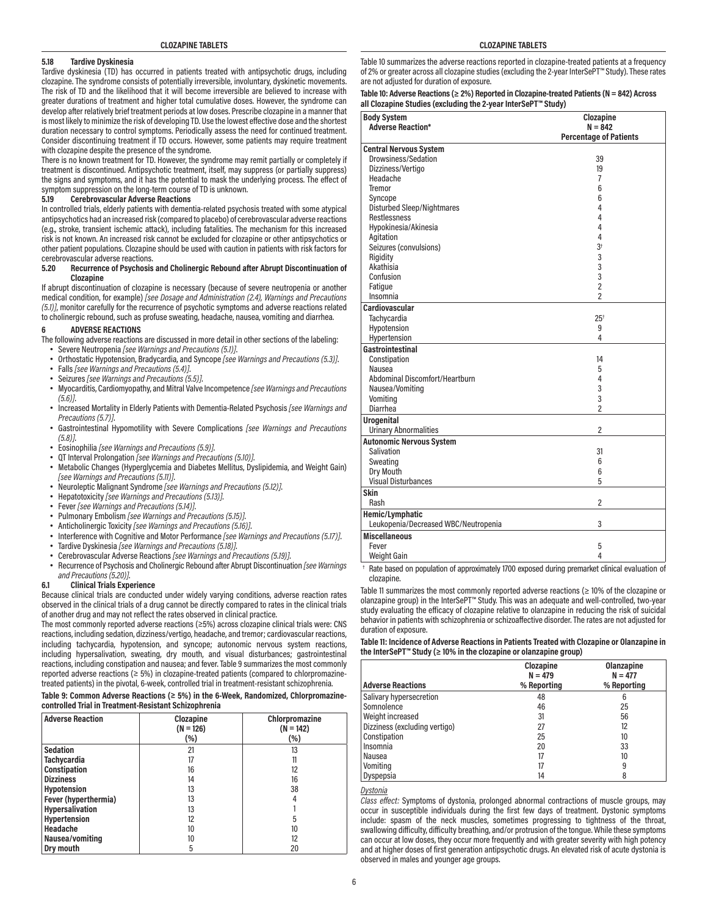#### **5.18 Tardive Dyskinesia**

Tardive dyskinesia (TD) has occurred in patients treated with antipsychotic drugs, including clozapine. The syndrome consists of potentially irreversible, involuntary, dyskinetic movements. The risk of TD and the likelihood that it will become irreversible are believed to increase with greater durations of treatment and higher total cumulative doses. However, the syndrome can develop after relatively brief treatment periods at low doses. Prescribe clozapine in a manner that is most likely to minimize the risk of developing TD. Use the lowest effective dose and the shortest duration necessary to control symptoms. Periodically assess the need for continued treatment. Consider discontinuing treatment if TD occurs. However, some patients may require treatment with clozapine despite the presence of the syndrome.

There is no known treatment for TD. However, the syndrome may remit partially or completely if treatment is discontinued. Antipsychotic treatment, itself, may suppress (or partially suppress) the signs and symptoms, and it has the potential to mask the underlying process. The effect of symptom suppression on the long-term course of TD is unknown.

#### **5.19 Cerebrovascular Adverse Reactions**

In controlled trials, elderly patients with dementia-related psychosis treated with some atypical antipsychotics had an increased risk (compared to placebo) of cerebrovascular adverse reactions (e.g., stroke, transient ischemic attack), including fatalities. The mechanism for this increased risk is not known. An increased risk cannot be excluded for clozapine or other antipsychotics or other patient populations. Clozapine should be used with caution in patients with risk factors for cerebrovascular adverse reactions.

#### **5.20 Recurrence of Psychosis and Cholinergic Rebound after Abrupt Discontinuation of Clozapine**

If abrupt discontinuation of clozapine is necessary (because of severe neutropenia or another medical condition, for example) *[see Dosage and Administration (2.4), Warnings and Precautions (5.1)]*, monitor carefully for the recurrence of psychotic symptoms and adverse reactions related to cholinergic rebound, such as profuse sweating, headache, nausea, vomiting and diarrhea.

#### **6 ADVERSE REACTIONS**

- The following adverse reactions are discussed in more detail in other sections of the labeling:
	- Severe Neutropenia *[see Warnings and Precautions (5.1)]*.
	- Orthostatic Hypotension, Bradycardia, and Syncope *[see Warnings and Precautions (5.3)]*.
	- Falls *[see Warnings and Precautions (5.4)]*.
	- Seizures *[see Warnings and Precautions (5.5)]*.
	- Myocarditis, Cardiomyopathy, and Mitral Valve Incompetence *[see Warnings and Precautions (5.6)]*.
	- Increased Mortality in Elderly Patients with Dementia-Related Psychosis *[see Warnings and Precautions (5.7)]*.
	- Gastrointestinal Hypomotility with Severe Complications *[see Warnings and Precautions (5.8)]*.
	- Eosinophilia *[see Warnings and Precautions (5.9)]*.
	- QT Interval Prolongation *[see Warnings and Precautions (5.10)]*.
	- Metabolic Changes (Hyperglycemia and Diabetes Mellitus, Dyslipidemia, and Weight Gain) *[see Warnings and Precautions (5.11)]*.
	- Neuroleptic Malignant Syndrome *[see Warnings and Precautions (5.12)]*.
	- Hepatotoxicity *[see Warnings and Precautions (5.13)]*.
	- Fever *[see Warnings and Precautions (5.14)]*.
	- Pulmonary Embolism *[see Warnings and Precautions (5.15)]*.
	- Anticholinergic Toxicity *[see Warnings and Precautions (5.16)]*.
	- Interference with Cognitive and Motor Performance *[see Warnings and Precautions (5.17)]*.
	- Tardive Dyskinesia *[see Warnings and Precautions (5.18)]*.
	- Cerebrovascular Adverse Reactions *[see Warnings and Precautions (5.19)]*.
	- Recurrence of Psychosis and Cholinergic Rebound after Abrupt Discontinuation *[see Warnings and Precautions (5.20)]*.

#### **6.1 Clinical Trials Experience**

Because clinical trials are conducted under widely varying conditions, adverse reaction rates observed in the clinical trials of a drug cannot be directly compared to rates in the clinical trials of another drug and may not reflect the rates observed in clinical practice.

The most commonly reported adverse reactions (≥5%) across clozapine clinical trials were: CNS reactions, including sedation, dizziness/vertigo, headache, and tremor; cardiovascular reactions, including tachycardia, hypotension, and syncope; autonomic nervous system reactions, including hypersalivation, sweating, dry mouth, and visual disturbances; gastrointestinal reactions, including constipation and nausea; and fever.Table 9 summarizes the most commonly reported adverse reactions (≥ 5%) in clozapine-treated patients (compared to chlorpromazinetreated patients) in the pivotal, 6-week, controlled trial in treatment-resistant schizophrenia.

#### **Table 9: Common Adverse Reactions (≥ 5%) in the 6-Week, Randomized, Chlorpromazinecontrolled Trial in Treatment-Resistant Schizophrenia**

| <b>Adverse Reaction</b> | Clozapine<br>$(N = 126)$<br>(%) | Chlorpromazine<br>$(N = 142)$<br>$(\% )$ |
|-------------------------|---------------------------------|------------------------------------------|
| <b>Sedation</b>         | 21                              | 13                                       |
| <b>Tachycardia</b>      | 17                              | 11                                       |
| Constipation            | 16                              | 12                                       |
| <b>Dizziness</b>        | 14                              | 16                                       |
| Hypotension             | 13                              | 38                                       |
| Fever (hyperthermia)    | 13                              |                                          |
| Hypersalivation         | 13                              |                                          |
| Hypertension            | 12                              | 5                                        |
| Headache                | 10                              | 10                                       |
| Nausea/vomiting         | 10                              | 12                                       |
| Dry mouth               | 5                               | 20                                       |

Table 10 summarizes the adverse reactions reported in clozapine-treated patients at a frequency of 2% or greater across all clozapine studies (excluding the 2-year InterSePT™ Study). These rates are not adjusted for duration of exposure.

#### **Table 10: Adverse Reactions (≥ 2%) Reported in Clozapine-treated Patients (N = 842) Across all Clozapine Studies (excluding the 2-year InterSePT™ Study)**

| <b>Body System</b>                   | Clozapine                     |
|--------------------------------------|-------------------------------|
| <b>Adverse Reaction*</b>             | $N = 842$                     |
|                                      | <b>Percentage of Patients</b> |
| <b>Central Nervous System</b>        |                               |
| Drowsiness/Sedation                  | 39                            |
| Dizziness/Vertigo                    | 19                            |
| Headache                             | 7                             |
| Tremor                               | 6                             |
| Syncope                              | 6                             |
| Disturbed Sleep/Nightmares           | 4                             |
| Restlessness                         | 4                             |
| Hypokinesia/Akinesia                 | 4                             |
| Agitation                            | 4                             |
| Seizures (convulsions)               | 3 <sup>†</sup>                |
| Rigidity                             | 3                             |
| Akathisia                            | 3                             |
| Confusion                            | 3                             |
| Fatique                              | $\overline{2}$                |
| Insomnia                             | $\overline{2}$                |
| Cardiovascular                       |                               |
| Tachycardia                          | 25 <sup>†</sup>               |
| Hypotension                          | 9                             |
| Hypertension                         | 4                             |
| Gastrointestinal                     |                               |
| Constipation                         | 14                            |
| Nausea                               | 5                             |
| Abdominal Discomfort/Heartburn       | 4                             |
| Nausea/Vomiting                      | 3                             |
| Vomiting                             | 3                             |
| Diarrhea                             | 2                             |
| <b>Urogenital</b>                    |                               |
| <b>Urinary Abnormalities</b>         | $\overline{2}$                |
| <b>Autonomic Nervous System</b>      |                               |
| Salivation                           | 31                            |
| Sweating                             | 6                             |
| Dry Mouth                            | 6                             |
| <b>Visual Disturbances</b>           | 5                             |
| Skin                                 |                               |
| Rash                                 | $\overline{2}$                |
| Hemic/Lymphatic                      |                               |
| Leukopenia/Decreased WBC/Neutropenia | 3                             |
|                                      |                               |
| <b>Miscellaneous</b>                 |                               |
| Fever                                | 5                             |
| Weight Gain                          | 4                             |

 † Rate based on population of approximately 1700 exposed during premarket clinical evaluation of clozapine

Table 11 summarizes the most commonly reported adverse reactions (≥ 10% of the clozapine or olanzapine group) in the InterSePT™ Study. This was an adequate and well-controlled, two-year study evaluating the efficacy of clozapine relative to olanzapine in reducing the risk of suicidal behavior in patients with schizophrenia or schizoaffective disorder. The rates are not adjusted for duration of exposure.

#### **Table 11: Incidence of Adverse Reactions in Patients Treated with Clozapine or Olanzapine in the InterSePT™ Study (≥ 10% in the clozapine or olanzapine group)**

| <b>Adverse Reactions</b>      | Clozapine<br>$N = 479$<br>% Reporting | <b>Olanzapine</b><br>$N = 477$<br>% Reporting |
|-------------------------------|---------------------------------------|-----------------------------------------------|
|                               |                                       |                                               |
| Salivary hypersecretion       | 48                                    | 6                                             |
| Somnolence                    | 46                                    | 25                                            |
| Weight increased              | 31                                    | 56                                            |
| Dizziness (excluding vertigo) | 27                                    | 12                                            |
| Constipation                  | 25                                    | 10                                            |
| Insomnia                      | 20                                    | 33                                            |
| Nausea                        | 17                                    | 10                                            |
| Vomiting                      | 17                                    | 9                                             |
| Dyspepsia                     | 14                                    | 8                                             |

*Dystonia*

*Class effect:* Symptoms of dystonia, prolonged abnormal contractions of muscle groups, may occur in susceptible individuals during the first few days of treatment. Dystonic symptoms include: spasm of the neck muscles, sometimes progressing to tightness of the throat, swallowing difficulty, difficulty breathing, and/or protrusion of the tongue. While these symptoms can occur at low doses, they occur more frequently and with greater severity with high potency and at higher doses of first generation antipsychotic drugs. An elevated risk of acute dystonia is observed in males and younger age groups.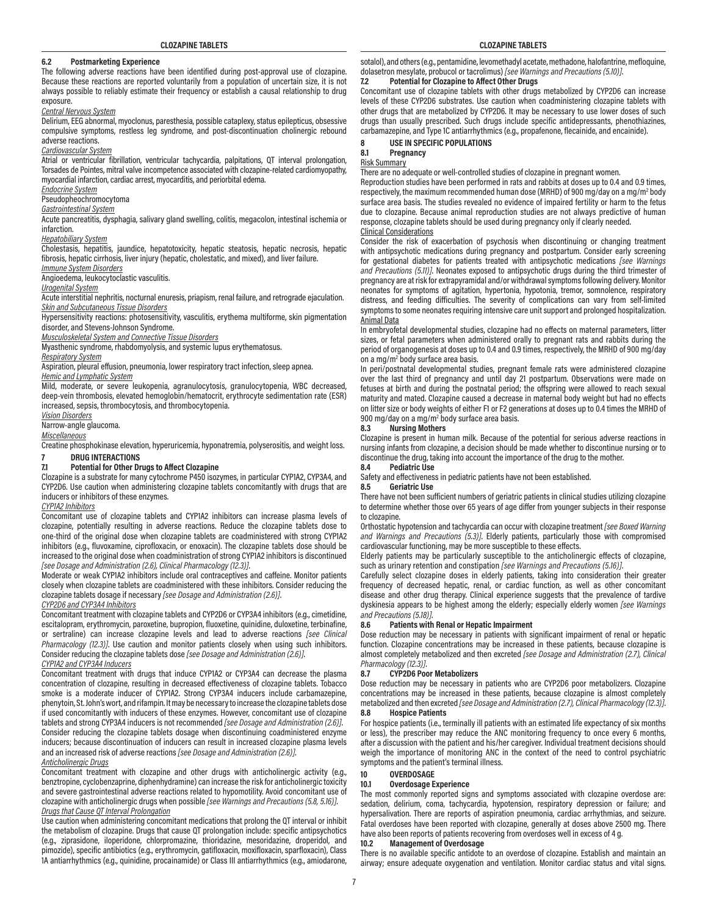## **6.2 Postmarketing Experience**

The following adverse reactions have been identified during post-approval use of clozapine. Because these reactions are reported voluntarily from a population of uncertain size, it is not always possible to reliably estimate their frequency or establish a causal relationship to drug exposure.

#### *Central Nervous System*

Delirium, EEG abnormal, myoclonus, paresthesia, possible cataplexy, status epilepticus, obsessive compulsive symptoms, restless leg syndrome, and post-discontinuation cholinergic rebound adverse reactions.

#### *Cardiovascular System*

Atrial or ventricular fibrillation, ventricular tachycardia, palpitations, QT interval prolongation, Torsades de Pointes, mitral valve incompetence associated with clozapine-related cardiomyopathy, myocardial infarction, cardiac arrest, myocarditis, and periorbital edema.

#### *Endocrine System*

#### Pseudopheochromocytoma

*Gastrointestinal System*

Acute pancreatitis, dysphagia, salivary gland swelling, colitis, megacolon, intestinal ischemia or infarction.

#### *Hepatobiliary System*

Cholestasis, hepatitis, jaundice, hepatotoxicity, hepatic steatosis, hepatic necrosis, hepatic fibrosis, hepatic cirrhosis, liver injury (hepatic, cholestatic, and mixed), and liver failure.

*Immune System Disorders*

Angioedema, leukocytoclastic vasculitis.

# *Urogenital System*

Acute interstitial nephritis, nocturnal enuresis, priapism, renal failure, and retrograde ejaculation. *Skin and Subcutaneous Tissue Disorders*

Hypersensitivity reactions: photosensitivity, vasculitis, erythema multiforme, skin pigmentation disorder, and Stevens-Johnson Syndrome.

*Musculoskeletal System and Connective Tissue Disorders*

Myasthenic syndrome, rhabdomyolysis, and systemic lupus erythematosus.

#### *Respiratory System*

Aspiration, pleural effusion, pneumonia, lower respiratory tract infection, sleep apnea.

*Hemic and Lymphatic System*

Mild, moderate, or severe leukopenia, agranulocytosis, granulocytopenia, WBC decreased, deep-vein thrombosis, elevated hemoglobin/hematocrit, erythrocyte sedimentation rate (ESR) increased, sepsis, thrombocytosis, and thrombocytopenia.

*Vision Disorders*

# Narrow-angle glaucoma.

*Miscellaneous*

Creatine phosphokinase elevation, hyperuricemia, hyponatremia, polyserositis, and weight loss.

#### **7 DRUG INTERACTIONS 7.1 Potential for Other Drugs to Affect Clozapine**

Clozapine is a substrate for many cytochrome P450 isozymes, in particular CYP1A2, CYP3A4, and CYP2D6. Use caution when administering clozapine tablets concomitantly with drugs that are inducers or inhibitors of these enzymes.

# *CYP1A2 Inhibitors*

Concomitant use of clozapine tablets and CYP1A2 inhibitors can increase plasma levels of clozapine, potentially resulting in adverse reactions. Reduce the clozapine tablets dose to one-third of the original dose when clozapine tablets are coadministered with strong CYP1A2 inhibitors (e.g., fluvoxamine, ciprofloxacin, or enoxacin). The clozapine tablets dose should be increased to the original dose when coadministration of strong CYP1A2 inhibitors is discontinued *[see Dosage and Administration (2.6), Clinical Pharmacology (12.3)]*.

Moderate or weak CYP1A2 inhibitors include oral contraceptives and caffeine. Monitor patients closely when clozapine tablets are coadministered with these inhibitors. Consider reducing the clozapine tablets dosage if necessary *[see Dosage and Administration (2.6)]*.

#### *CYP2D6 and CYP3A4 Inhibitors*

Concomitant treatment with clozapine tablets and CYP2D6 or CYP3A4 inhibitors (e.g., cimetidine, escitalopram, erythromycin, paroxetine, bupropion, fluoxetine, quinidine, duloxetine, terbinafine, or sertraline) can increase clozapine levels and lead to adverse reactions *[see Clinical Pharmacology (12.3)]*. Use caution and monitor patients closely when using such inhibitors. Consider reducing the clozapine tablets dose *[see Dosage and Administration (2.6)]*.

#### *CYP1A2 and CYP3A4 Inducers*

Concomitant treatment with drugs that induce CYP1A2 or CYP3A4 can decrease the plasma concentration of clozapine, resulting in decreased effectiveness of clozapine tablets. Tobacco smoke is a moderate inducer of CYP1A2. Strong CYP3A4 inducers include carbamazepine, phenytoin, St. John's wort, and rifampin. It may be necessary to increase the clozapine tablets dose if used concomitantly with inducers of these enzymes. However, concomitant use of clozapine tablets and strong CYP3A4 inducers is not recommended *[see Dosage and Administration (2.6)]*. Consider reducing the clozapine tablets dosage when discontinuing coadministered enzyme inducers; because discontinuation of inducers can result in increased clozapine plasma levels and an increased risk of adverse reactions *[see Dosage and Administration (2.6)]*.

#### *Anticholinergic Drugs*

Concomitant treatment with clozapine and other drugs with anticholinergic activity (e.g., benztropine, cyclobenzaprine, diphenhydramine) can increase the risk for anticholinergic toxicity and severe gastrointestinal adverse reactions related to hypomotility. Avoid concomitant use of clozapine with anticholinergic drugs when possible *[see Warnings and Precautions (5.8, 5.16)]*. *Drugs that Cause QT Interval Prolongation*

Use caution when administering concomitant medications that prolong the QT interval or inhibit the metabolism of clozapine. Drugs that cause QT prolongation include: specific antipsychotics (e.g., ziprasidone, iloperidone, chlorpromazine, thioridazine, mesoridazine, droperidol, and pimozide), specific antibiotics (e.g., erythromycin, gatifloxacin, moxifloxacin, sparfloxacin), Class 1A antiarrhythmics (e.g., quinidine, procainamide) or Class III antiarrhythmics (e.g., amiodarone,

sotalol), and others (e.g., pentamidine, levomethadyl acetate, methadone, halofantrine, mefloquine, dolasetron mesylate, probucol or tacrolimus) *[see Warnings and Precautions (5.10)]*.

#### **7.2 Potential for Clozapine to Affect Other Drugs**

Concomitant use of clozapine tablets with other drugs metabolized by CYP2D6 can increase levels of these CYP2D6 substrates. Use caution when coadministering clozapine tablets with other drugs that are metabolized by CYP2D6. It may be necessary to use lower doses of such drugs than usually prescribed. Such drugs include specific antidepressants, phenothiazines, carbamazepine, and Type 1C antiarrhythmics (e.g., propafenone, flecainide, and encainide).

#### **8 USE IN SPECIFIC POPULATIONS 8.1 Pregnancy**

# Risk Summary

There are no adequate or well-controlled studies of clozapine in pregnant women.

Reproduction studies have been performed in rats and rabbits at doses up to 0.4 and 0.9 times, respectively, the maximum recommended human dose (MRHD) of 900 mg/day on a mg/m<sup>2</sup> body surface area basis. The studies revealed no evidence of impaired fertility or harm to the fetus due to clozapine. Because animal reproduction studies are not always predictive of human response, clozapine tablets should be used during pregnancy only if clearly needed.

#### Clinical Considerations

Consider the risk of exacerbation of psychosis when discontinuing or changing treatment with antipsychotic medications during pregnancy and postpartum. Consider early screening for gestational diabetes for patients treated with antipsychotic medications *[see Warnings and Precautions (5.11)]*. Neonates exposed to antipsychotic drugs during the third trimester of pregnancy are at risk for extrapyramidal and/or withdrawal symptoms following delivery. Monitor neonates for symptoms of agitation, hypertonia, hypotonia, tremor, somnolence, respiratory distress, and feeding difficulties. The severity of complications can vary from self-limited symptoms to some neonates requiring intensive care unit support and prolonged hospitalization.

# Animal Data

In embryofetal developmental studies, clozapine had no effects on maternal parameters, litter sizes, or fetal parameters when administered orally to pregnant rats and rabbits during the period of organogenesis at doses up to 0.4 and 0.9 times, respectively, the MRHD of 900 mg/day on a mg/m<sup>2</sup> body surface area basis.

In peri/postnatal developmental studies, pregnant female rats were administered clozapine over the last third of pregnancy and until day 21 postpartum. Observations were made on fetuses at birth and during the postnatal period; the offspring were allowed to reach sexual maturity and mated. Clozapine caused a decrease in maternal body weight but had no effects on litter size or body weights of either F1 or F2 generations at doses up to 0.4 times the MRHD of 900 mg/day on a mg/m<sup>2</sup> body surface area basis.

#### **8.3 Nursing Mothers**

Clozapine is present in human milk. Because of the potential for serious adverse reactions in nursing infants from clozapine, a decision should be made whether to discontinue nursing or to discontinue the drug, taking into account the importance of the drug to the mother.

## **8.4 Pediatric Use**

Safety and effectiveness in pediatric patients have not been established.<br>8.5 **Geriatric Use** 

#### **8.5 Geriatric Use**

There have not been sufficient numbers of geriatric patients in clinical studies utilizing clozapine to determine whether those over 65 years of age differ from younger subjects in their response to clozapine.

Orthostatic hypotension and tachycardia can occur with clozapine treatment *[see Boxed Warning and Warnings and Precautions (5.3)]*. Elderly patients, particularly those with compromised cardiovascular functioning, may be more susceptible to these effects.

Elderly patients may be particularly susceptible to the anticholinergic effects of clozapine, such as urinary retention and constipation *[see Warnings and Precautions (5.16)]*.

Carefully select clozapine doses in elderly patients, taking into consideration their greater frequency of decreased hepatic, renal, or cardiac function, as well as other concomitant disease and other drug therapy. Clinical experience suggests that the prevalence of tardive dyskinesia appears to be highest among the elderly; especially elderly women *[see Warnings and Precautions (5.18)]*.

#### **8.6 Patients with Renal or Hepatic Impairment**

Dose reduction may be necessary in patients with significant impairment of renal or hepatic function. Clozapine concentrations may be increased in these patients, because clozapine is almost completely metabolized and then excreted *[see Dosage and Administration (2.7), Clinical Pharmacology (12.3)]*.

#### **8.7 CYP2D6 Poor Metabolizers**

Dose reduction may be necessary in patients who are CYP2D6 poor metabolizers. Clozapine concentrations may be increased in these patients, because clozapine is almost completely metabolized and then excreted *[see Dosage and Administration (2.7), Clinical Pharmacology (12.3)]*.

#### **8.8 Hospice Patients**

For hospice patients (i.e., terminally ill patients with an estimated life expectancy of six months or less), the prescriber may reduce the ANC monitoring frequency to once every 6 months, after a discussion with the patient and his/her caregiver. Individual treatment decisions should weigh the importance of monitoring ANC in the context of the need to control psychiatric symptoms and the patient's terminal illness.

# **10 OVERDOSAGE**

#### **10.1 Overdosage Experience**

The most commonly reported signs and symptoms associated with clozapine overdose are: sedation, delirium, coma, tachycardia, hypotension, respiratory depression or failure; and hypersalivation. There are reports of aspiration pneumonia, cardiac arrhythmias, and seizure. Fatal overdoses have been reported with clozapine, generally at doses above 2500 mg. There have also been reports of patients recovering from overdoses well in excess of 4 g.

#### **10.2 Management of Overdosage**

There is no available specific antidote to an overdose of clozapine. Establish and maintain an airway; ensure adequate oxygenation and ventilation. Monitor cardiac status and vital signs.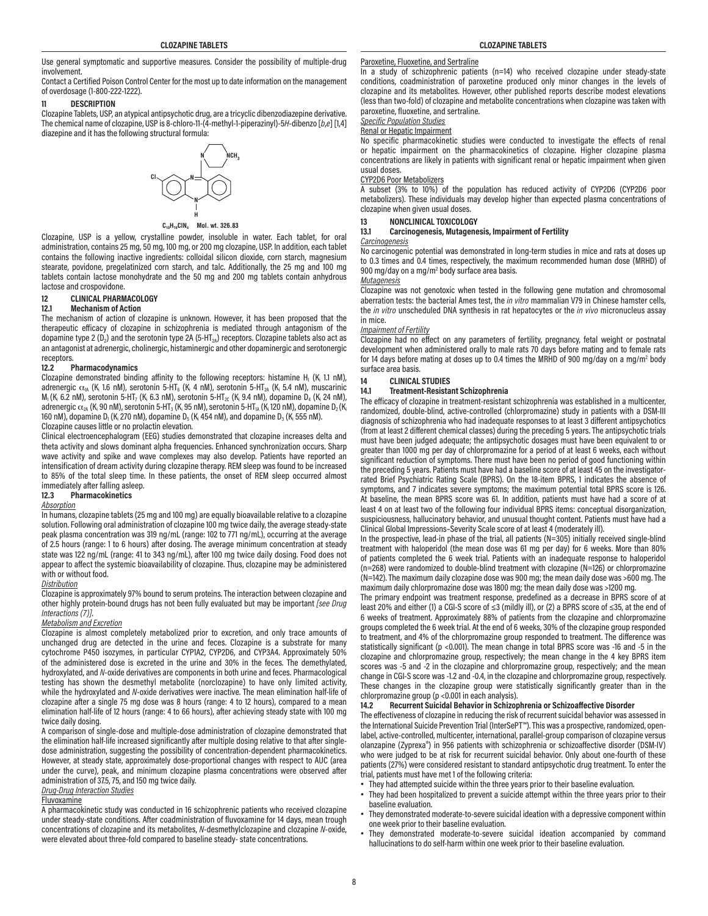Use general symptomatic and supportive measures. Consider the possibility of multiple-drug involvement.

Contact a Certified Poison Control Center for the most up to date information on the management of overdosage (1-800-222-1222).

#### **11 DESCRIPTION**

Clozapine Tablets, USP, an atypical antipsychotic drug, are a tricyclic dibenzodiazepine derivative. The chemical name of clozapine, USP is 8-chloro-11-(4-methyl-1-piperazinyl)-5*H*-dibenzo [*b*,*e*] [1,4] diazepine and it has the following structural formula:



**C18H19ClN4 Mol. wt. 326.83**

Clozapine, USP is a yellow, crystalline powder, insoluble in water. Each tablet, for oral administration, contains 25 mg, 50 mg, 100 mg, or 200 mg clozapine, USP. In addition, each tablet contains the following inactive ingredients: colloidal silicon dioxide, corn starch, magnesium stearate, povidone, pregelatinized corn starch, and talc. Additionally, the 25 mg and 100 mg tablets contain lactose monohydrate and the 50 mg and 200 mg tablets contain anhydrous lactose and crospovidone.

# **12 CLINICAL PHARMACOLOGY**

# **12.1 Mechanism of Action**

The mechanism of action of clozapine is unknown. However, it has been proposed that the therapeutic efficacy of clozapine in schizophrenia is mediated through antagonism of the dopamine type 2 ( $D_2$ ) and the serotonin type 2A (5-HT<sub>2A</sub>) receptors. Clozapine tablets also act as an antagonist at adrenergic, cholinergic, histaminergic and other dopaminergic and serotonergic receptors.

#### **12.2 Pharmacodynamics**

Clozapine demonstrated binding affinity to the following receptors: histamine  $H_1$  (K<sub>i</sub> 1.1 nM), adrenergic  $\alpha_{\scriptscriptstyle\!1\!A}$  (K, 1.6 nM), serotonin 5-HT $_{\scriptscriptstyle 6}$  (K, 4 nM), serotonin 5-HT $_{\scriptscriptstyle 2\!A}$  (K, 5.4 nM), muscarinic  $M_1$  (K<sub>i</sub> 6.2 nM), serotonin 5-HT<sub>7</sub> (K<sub>i</sub> 6.3 nM), serotonin 5-HT<sub>2C</sub> (K<sub>i</sub> 9.4 nM), dopamine D<sub>4</sub> (K<sub>i</sub> 24 nM), adrenergic  $\alpha_{\rm 2A}$  (K<sub>i</sub> 90 nM), serotonin 5-HT $_{\rm 3}$  (K<sub>i</sub> 95 nM), serotonin 5-HT $_{\rm 1A}$  (K<sub>i</sub> 120 nM), dopamine D $_{\rm 2}$  (K<sub>i</sub> 160 nM), dopamine D $_{\rm l}$  (K, 270 nM), dopamine D $_{\rm 5}$  (K, 454 nM), and dopamine D $_{\rm 3}$  (K, 555 nM).

# Clozapine causes little or no prolactin elevation.

Clinical electroencephalogram (EEG) studies demonstrated that clozapine increases delta and theta activity and slows dominant alpha frequencies. Enhanced synchronization occurs. Sharp wave activity and spike and wave complexes may also develop. Patients have reported an intensification of dream activity during clozapine therapy. REM sleep was found to be increased to 85% of the total sleep time. In these patients, the onset of REM sleep occurred almost immediately after falling asleep.<br>12.3 Pharmacokinetics

# **12.3 Pharmacokinetics**

#### *Absorption*

In humans, clozapine tablets (25 mg and 100 mg) are equally bioavailable relative to a clozapine solution. Following oral administration of clozapine 100 mg twice daily, the average steady-state peak plasma concentration was 319 ng/mL (range: 102 to 771 ng/mL), occurring at the average of 2.5 hours (range: 1 to 6 hours) after dosing. The average minimum concentration at steady state was 122 ng/mL (range: 41 to 343 ng/mL), after 100 mg twice daily dosing. Food does not appear to affect the systemic bioavailability of clozapine. Thus, clozapine may be administered with or without food.

#### *Distribution*

Clozapine is approximately 97% bound to serum proteins. The interaction between clozapine and other highly protein-bound drugs has not been fully evaluated but may be important *[see Drug Interactions (7)]*.

#### *Metabolism and Excretion*

Clozapine is almost completely metabolized prior to excretion, and only trace amounts of unchanged drug are detected in the urine and feces. Clozapine is a substrate for many cytochrome P450 isozymes, in particular CYP1A2, CYP2D6, and CYP3A4. Approximately 50% of the administered dose is excreted in the urine and 30% in the feces. The demethylated, hydroxylated, and *N*-oxide derivatives are components in both urine and feces. Pharmacological testing has shown the desmethyl metabolite (norclozapine) to have only limited activity, while the hydroxylated and *N*-oxide derivatives were inactive. The mean elimination half-life of clozapine after a single 75 mg dose was 8 hours (range: 4 to 12 hours), compared to a mean elimination half-life of 12 hours (range: 4 to 66 hours), after achieving steady state with 100 mg twice daily dosing.

A comparison of single-dose and multiple-dose administration of clozapine demonstrated that the elimination half-life increased significantly after multiple dosing relative to that after singledose administration, suggesting the possibility of concentration-dependent pharmacokinetics. However, at steady state, approximately dose-proportional changes with respect to AUC (area under the curve), peak, and minimum clozapine plasma concentrations were observed after administration of 37.5, 75, and 150 mg twice daily.

#### *Drug-Drug Interaction Studies*

#### Fluvoxamine

A pharmacokinetic study was conducted in 16 schizophrenic patients who received clozapine under steady-state conditions. After coadministration of fluvoxamine for 14 days, mean trough concentrations of clozapine and its metabolites, *N*-desmethylclozapine and clozapine *N*-oxide, were elevated about three-fold compared to baseline steady- state concentrations.

#### Paroxetine, Fluoxetine, and Sertraline

In a study of schizophrenic patients (n=14) who received clozapine under steady-state conditions, coadministration of paroxetine produced only minor changes in the levels of clozapine and its metabolites. However, other published reports describe modest elevations (less than two-fold) of clozapine and metabolite concentrations when clozapine was taken with paroxetine, fluoxetine, and sertraline.

*Specific Population Studies*

Renal or Hepatic Impairment

No specific pharmacokinetic studies were conducted to investigate the effects of renal or hepatic impairment on the pharmacokinetics of clozapine. Higher clozapine plasma concentrations are likely in patients with significant renal or hepatic impairment when given usual doses.

#### CYP2D6 Poor Metabolizers

A subset (3% to 10%) of the population has reduced activity of CYP2D6 (CYP2D6 poor metabolizers). These individuals may develop higher than expected plasma concentrations of clozapine when given usual doses.

# **13 NONCLINICAL TOXICOLOGY**

#### **13.1 Carcinogenesis, Mutagenesis, Impairment of Fertility**

#### *Carcinogenesis*

No carcinogenic potential was demonstrated in long-term studies in mice and rats at doses up to 0.3 times and 0.4 times, respectively, the maximum recommended human dose (MRHD) of 900 mg/day on a mg/m<sup>2</sup> body surface area basis.

#### *Mutagenesis*

Clozapine was not genotoxic when tested in the following gene mutation and chromosomal aberration tests: the bacterial Ames test, the *in vitro* mammalian V79 in Chinese hamster cells, the *in vitro* unscheduled DNA synthesis in rat hepatocytes or the *in vivo* micronucleus assay in mice.

#### *Impairment of Fertility*

Clozapine had no effect on any parameters of fertility, pregnancy, fetal weight or postnatal development when administered orally to male rats 70 days before mating and to female rats for 14 days before mating at doses up to 0.4 times the MRHD of 900 mg/day on a mg/m<sup>2</sup> body surface area basis.

# **14 CLINICAL STUDIES**

#### **14.1 Treatment-Resistant Schizophrenia**

The efficacy of clozapine in treatment-resistant schizophrenia was established in a multicenter, randomized, double-blind, active-controlled (chlorpromazine) study in patients with a DSM-III diagnosis of schizophrenia who had inadequate responses to at least 3 different antipsychotics (from at least 2 different chemical classes) during the preceding 5 years. The antipsychotic trials must have been judged adequate; the antipsychotic dosages must have been equivalent to or greater than 1000 mg per day of chlorpromazine for a period of at least 6 weeks, each without significant reduction of symptoms. There must have been no period of good functioning within the preceding 5 years. Patients must have had a baseline score of at least 45 on the investigatorrated Brief Psychiatric Rating Scale (BPRS). On the 18-item BPRS, 1 indicates the absence of symptoms, and 7 indicates severe symptoms; the maximum potential total BPRS score is 126. At baseline, the mean BPRS score was 61. In addition, patients must have had a score of at least 4 on at least two of the following four individual BPRS items: conceptual disorganization, suspiciousness, hallucinatory behavior, and unusual thought content. Patients must have had a Clinical Global Impressions–Severity Scale score of at least 4 (moderately ill).

In the prospective, lead-in phase of the trial, all patients (N=305) initially received single-blind treatment with haloperidol (the mean dose was 61 mg per day) for 6 weeks. More than 80% of patients completed the 6 week trial. Patients with an inadequate response to haloperidol (n=268) were randomized to double-blind treatment with clozapine (N=126) or chlorpromazine (N=142). The maximum daily clozapine dose was 900 mg; the mean daily dose was >600 mg. The maximum daily chlorpromazine dose was 1800 mg; the mean daily dose was >1200 mg.

The primary endpoint was treatment response, predefined as a decrease in BPRS score of at least 20% and either (1) a CGI-S score of ≤3 (mildly ill), or (2) a BPRS score of ≤35, at the end of 6 weeks of treatment. Approximately 88% of patients from the clozapine and chlorpromazine groups completed the 6 week trial. At the end of 6 weeks, 30% of the clozapine group responded to treatment, and 4% of the chlorpromazine group responded to treatment. The difference was statistically significant (p <0.001). The mean change in total BPRS score was -16 and -5 in the clozapine and chlorpromazine group, respectively; the mean change in the 4 key BPRS item scores was -5 and -2 in the clozapine and chlorpromazine group, respectively; and the mean change in CGI-S score was -1.2 and -0.4, in the clozapine and chlorpromazine group, respectively. These changes in the clozapine group were statistically significantly greater than in the chlorpromazine group (p <0.001 in each analysis).<br>14.2 Becurrent Suicidal Behavior in Schizor

#### **14.2 Recurrent Suicidal Behavior in Schizophrenia or Schizoaffective Disorder**

The effectiveness of clozapine in reducing the risk of recurrent suicidal behavior was assessed in the International Suicide Prevention Trial (InterSePT™). This was a prospective, randomized, openlabel, active-controlled, multicenter, international, parallel-group comparison of clozapine versus olanzapine (Zyprexa®) in 956 patients with schizophrenia or schizoaffective disorder (DSM-IV) who were judged to be at risk for recurrent suicidal behavior. Only about one-fourth of these patients (27%) were considered resistant to standard antipsychotic drug treatment. To enter the trial, patients must have met 1 of the following criteria:

- They had attempted suicide within the three years prior to their baseline evaluation.
- They had been hospitalized to prevent a suicide attempt within the three years prior to their baseline evaluation.
- They demonstrated moderate-to-severe suicidal ideation with a depressive component within one week prior to their baseline evaluation.
- They demonstrated moderate-to-severe suicidal ideation accompanied by command hallucinations to do self-harm within one week prior to their baseline evaluation.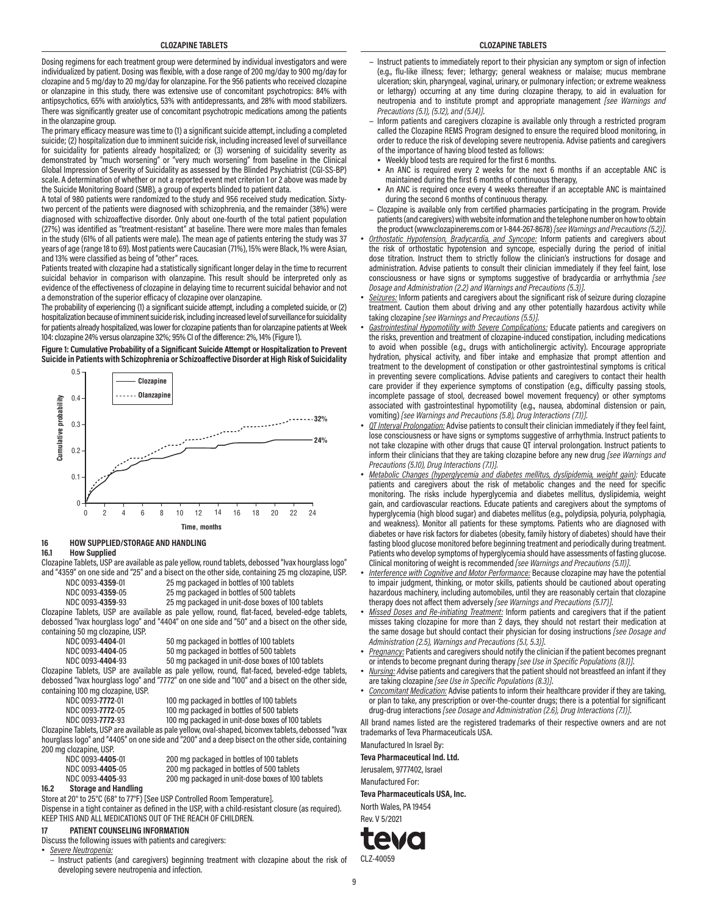Dosing regimens for each treatment group were determined by individual investigators and were individualized by patient. Dosing was flexible, with a dose range of 200 mg/day to 900 mg/day for clozapine and 5 mg/day to 20 mg/day for olanzapine. For the 956 patients who received clozapine or olanzapine in this study, there was extensive use of concomitant psychotropics: 84% with antipsychotics, 65% with anxiolytics, 53% with antidepressants, and 28% with mood stabilizers. There was significantly greater use of concomitant psychotropic medications among the patients in the olanzapine group.

The primary efficacy measure was time to (1) a significant suicide attempt, including a completed suicide; (2) hospitalization due to imminent suicide risk, including increased level of surveillance for suicidality for patients already hospitalized; or (3) worsening of suicidality severity as demonstrated by "much worsening" or "very much worsening" from baseline in the Clinical Global Impression of Severity of Suicidality as assessed by the Blinded Psychiatrist (CGI-SS-BP) scale. A determination of whether or not a reported event met criterion 1 or 2 above was made by the Suicide Monitoring Board (SMB), a group of experts blinded to patient data.

A total of 980 patients were randomized to the study and 956 received study medication. Sixtytwo percent of the patients were diagnosed with schizophrenia, and the remainder (38%) were diagnosed with schizoaffective disorder. Only about one-fourth of the total patient population (27%) was identified as "treatment-resistant" at baseline. There were more males than females in the study (61% of all patients were male). The mean age of patients entering the study was 37 years of age (range 18 to 69). Most patients were Caucasian (71%), 15% were Black, 1% were Asian, and 13% were classified as being of "other" races.

Patients treated with clozapine had a statistically significant longer delay in the time to recurrent suicidal behavior in comparison with olanzapine. This result should be interpreted only as evidence of the effectiveness of clozapine in delaying time to recurrent suicidal behavior and not a demonstration of the superior efficacy of clozapine over olanzapine.

The probability of experiencing (1) a significant suicide attempt, including a completed suicide, or (2) hospitalization because of imminent suicide risk, including increased level of surveillance for suicidality for patients already hospitalized, was lower for clozapine patients than for olanzapine patients at Week 104: clozapine 24% versus olanzapine 32%; 95% CI of the difference: 2%, 14% (Figure 1).

**Figure 1: Cumulative Probability of a Significant Suicide Attempt or Hospitalization to Prevent Suicide in Patients with Schizophrenia or Schizoaffective Disorder at High Risk of Suicidality**



# **16 HOW SUPPLIED/STORAGE AND HANDLING**

#### **16.1 How Supplied**

Clozapine Tablets, USP are available as pale yellow, round tablets, debossed "Ivax hourglass logo" and "4359" on one side and "25" and a bisect on the other side, containing 25 mg clozapine, USP. ng packaged in bottles of 100 tablets

| NDC 0093-4339-01 | Z9 II       |  |
|------------------|-------------|--|
| NDC 0000 49E0.0E | <b>OF</b> - |  |

 NDC 0093-**4359**-05 25 mg packaged in bottles of 500 tablets 25 mg packaged in unit-dose boxes of 100 tablets

Clozapine Tablets, USP are available as pale yellow, round, flat-faced, beveled-edge tablets, debossed "Ivax hourglass logo" and "4404" on one side and "50" and a bisect on the other side, containing 50 mg clozapine, USP.<br>NDC 0093-4404-01

| NDC 0093-4404-01 | 50 mg packaged in bottles of 100 tablets                                                                                                                                                                                               |
|------------------|----------------------------------------------------------------------------------------------------------------------------------------------------------------------------------------------------------------------------------------|
| NDC 0093-4404-05 | 50 mg packaged in bottles of 500 tablets                                                                                                                                                                                               |
| 110000000000000  | $\mathsf{F} \bullet$ , and it is the set of the set of the set of the set of the set of the set of the set of the set of the set of the set of the set of the set of the set of the set of the set of the set of the set of the set of |

NDC 0093-**4404**-93 50 mg packaged in unit-dose boxes of 100 tablets

Clozapine Tablets, USP are available as pale yellow, round, flat-faced, beveled-edge tablets, debossed "Ivax hourglass logo" and "7772" on one side and "100" and a bisect on the other side, containing 100 mg clozapine, USP. mg packaged in bottles of 100 tablets

| NDC 0093-7772-01         | 100         |
|--------------------------|-------------|
| NDC 0093-7772-05         | 100         |
| <u>מה הדדד ההמה החוו</u> | 10 $\alpha$ |

mg packaged in bottles of 500 tablets

NDC 0093-**7772**-93 100 mg packaged in unit-dose boxes of 100 tablets

Clozapine Tablets, USP are available as pale yellow, oval-shaped, biconvex tablets, debossed "Ivax hourglass logo" and "4405" on one side and "200" and a deep bisect on the other side, containing 200 mg clozapine, USP.

|               | NDC 0093-4405-05                  | 200 mg packaged in bottles of 500 tablets         |
|---------------|-----------------------------------|---------------------------------------------------|
|               | NDC 0093-4405-93                  | 200 mg packaged in unit-dose boxes of 100 tablets |
| $\sim$ $\sim$ | Others are not all the additions. |                                                   |

**16.2 Storage and Handling**

Store at 20° to 25°C (68° to 77°F) [See USP Controlled Room Temperature].

Dispense in a tight container as defined in the USP, with a child-resistant closure (as required). KEEP THIS AND ALL MEDICATIONS OUT OF THE REACH OF CHILDREN.

# **17 PATIENT COUNSELING INFORMATION**

Discuss the following issues with patients and caregivers:

• *Severe Neutropenia:*

− Instruct patients (and caregivers) beginning treatment with clozapine about the risk of developing severe neutropenia and infection.

- − Instruct patients to immediately report to their physician any symptom or sign of infection (e.g., flu-like illness; fever; lethargy; general weakness or malaise; mucus membrane ulceration; skin, pharyngeal, vaginal, urinary, or pulmonary infection; or extreme weakness or lethargy) occurring at any time during clozapine therapy, to aid in evaluation for neutropenia and to institute prompt and appropriate management *[see Warnings and Precautions (5.1), (5.12), and (5.14)]*.
- − Inform patients and caregivers clozapine is available only through a restricted program called the Clozapine REMS Program designed to ensure the required blood monitoring, in order to reduce the risk of developing severe neutropenia. Advise patients and caregivers of the importance of having blood tested as follows:
- Weekly blood tests are required for the first 6 months.
- An ANC is required every 2 weeks for the next 6 months if an acceptable ANC is maintained during the first 6 months of continuous therapy,
- An ANC is required once every 4 weeks thereafter if an acceptable ANC is maintained during the second 6 months of continuous therapy.
- − Clozapine is available only from certified pharmacies participating in the program. Provide patients (and caregivers) with website information and the telephone number on how to obtain the product (www.clozapinerems.com or 1-844-267-8678) *[see Warnings and Precautions (5.2)]*.
- *Orthostatic Hypotension, Bradycardia, and Syncope:* Inform patients and caregivers about the risk of orthostatic hypotension and syncope, especially during the period of initial dose titration. Instruct them to strictly follow the clinician's instructions for dosage and administration. Advise patients to consult their clinician immediately if they feel faint, lose consciousness or have signs or symptoms suggestive of bradycardia or arrhythmia *[see Dosage and Administration (2.2) and Warnings and Precautions (5.3)]*.
- *Seizures:* Inform patients and caregivers about the significant risk of seizure during clozapine treatment. Caution them about driving and any other potentially hazardous activity while taking clozapine *[see Warnings and Precautions (5.5)]*.
- *Gastrointestinal Hypomotility with Severe Complications:* Educate patients and caregivers on the risks, prevention and treatment of clozapine-induced constipation, including medications to avoid when possible (e.g., drugs with anticholinergic activity). Encourage appropriate hydration, physical activity, and fiber intake and emphasize that prompt attention and treatment to the development of constipation or other gastrointestinal symptoms is critical in preventing severe complications. Advise patients and caregivers to contact their health care provider if they experience symptoms of constipation (e.g., difficulty passing stools, incomplete passage of stool, decreased bowel movement frequency) or other symptoms associated with gastrointestinal hypomotility (e.g., nausea, abdominal distension or pain, vomiting) *[see Warnings and Precautions (5.8), Drug Interactions (7.1)]*.
- *QT Interval Prolongation:* Advise patients to consult their clinician immediately if they feel faint, lose consciousness or have signs or symptoms suggestive of arrhythmia. Instruct patients to not take clozapine with other drugs that cause QT interval prolongation. Instruct patients to inform their clinicians that they are taking clozapine before any new drug *[see Warnings and Precautions (5.10), Drug Interactions (7.1)].*
- *Metabolic Changes (hyperglycemia and diabetes mellitus, dyslipidemia, weight gain):* Educate patients and caregivers about the risk of metabolic changes and the need for specific monitoring. The risks include hyperglycemia and diabetes mellitus, dyslipidemia, weight gain, and cardiovascular reactions. Educate patients and caregivers about the symptoms of hyperglycemia (high blood sugar) and diabetes mellitus (e.g., polydipsia, polyuria, polyphagia, and weakness). Monitor all patients for these symptoms. Patients who are diagnosed with diabetes or have risk factors for diabetes (obesity, family history of diabetes) should have their fasting blood glucose monitored before beginning treatment and periodically during treatment. Patients who develop symptoms of hyperglycemia should have assessments of fasting glucose. Clinical monitoring of weight is recommended *[see Warnings and Precautions (5.11)]*.
- *Interference with Cognitive and Motor Performance:* Because clozapine may have the potential to impair judgment, thinking, or motor skills, patients should be cautioned about operating hazardous machinery, including automobiles, until they are reasonably certain that clozapine therapy does not affect them adversely *[see Warnings and Precautions (5.17)]*.
- *Missed Doses and Re-initiating Treatment:* Inform patients and caregivers that if the patient misses taking clozapine for more than 2 days, they should not restart their medication at the same dosage but should contact their physician for dosing instructions *[see Dosage and Administration (2.5), Warnings and Precautions (5.1, 5.3)]*.
- *Pregnancy:* Patients and caregivers should notify the clinician if the patient becomes pregnant or intends to become pregnant during therapy *[see Use in Specific Populations (8.1)]*.
- *Nursing: A*dvise patients and caregivers that the patient should not breastfeed an infant if they are taking clozapine *[see Use in Specific Populations (8.3)]*.
- *Concomitant Medication:* Advise patients to inform their healthcare provider if they are taking, or plan to take, any prescription or over-the-counter drugs; there is a potential for significant drug-drug interactions *[see Dosage and Administration (2.6), Drug Interactions (7.1)]*.

All brand names listed are the registered trademarks of their respective owners and are not trademarks of Teva Pharmaceuticals USA.

Manufactured In Israel By:

**Teva Pharmaceutical Ind. Ltd.**

Jerusalem, 9777402, Israel

#### Manufactured For:

**Teva Pharmaceuticals USA, Inc.**

North Wales, PA 19454 Rev. V 5/2021



CLZ-40059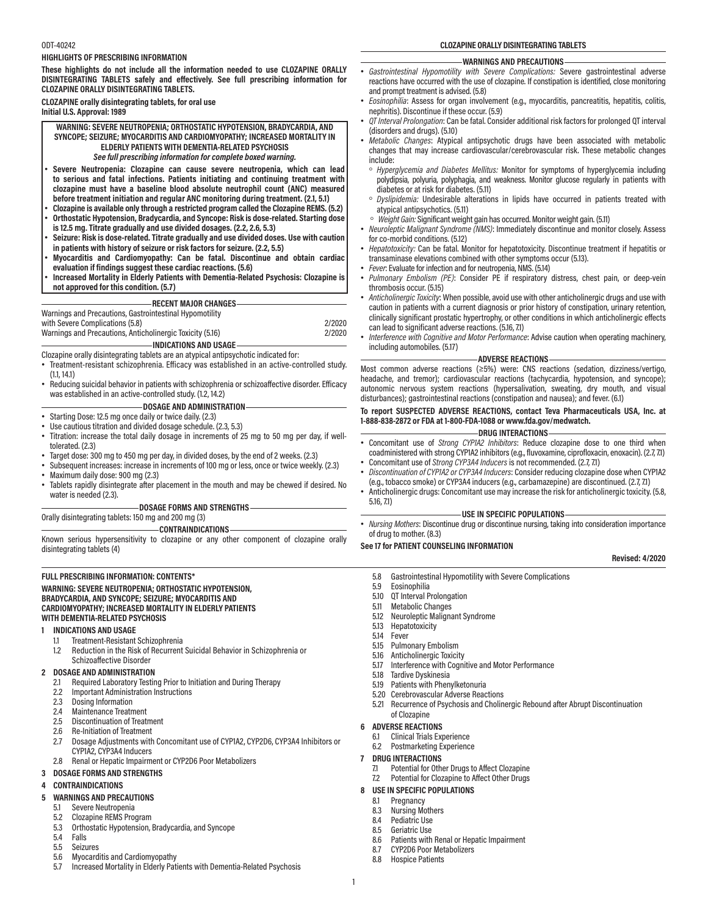#### ODT-40242

#### **HIGHLIGHTS OF PRESCRIBING INFORMATION**

**These highlights do not include all the information needed to use CLOZAPINE ORALLY DISINTEGRATING TABLETS safely and effectively. See full prescribing information for CLOZAPINE ORALLY DISINTEGRATING TABLETS.**

#### **CLOZAPINE orally disintegrating tablets, for oral use Initial U.S. Approval: 1989**

**WARNING: SEVERE NEUTROPENIA; ORTHOSTATIC HYPOTENSION, BRADYCARDIA, AND SYNCOPE; SEIZURE; MYOCARDITIS AND CARDIOMYOPATHY; INCREASED MORTALITY IN ELDERLY PATIENTS WITH DEMENTIA-RELATED PSYCHOSIS** *See full prescribing information for complete boxed warning.*

- **Severe Neutropenia: Clozapine can cause severe neutropenia, which can lead to serious and fatal infections. Patients initiating and continuing treatment with clozapine must have a baseline blood absolute neutrophil count (ANC) measured before treatment initiation and regular ANC monitoring during treatment. (2.1, 5.1)**
- **Clozapine is available only through a restricted program called the Clozapine REMS. (5.2)** • **Orthostatic Hypotension, Bradycardia, and Syncope: Risk is dose-related. Starting dose**
- **is 12.5 mg. Titrate gradually and use divided dosages. (2.2, 2.6, 5.3)**
- **Seizure: Risk is dose-related. Titrate gradually and use divided doses. Use with caution in patients with history of seizure or risk factors for seizure. (2.2, 5.5)**
- **Myocarditis and Cardiomyopathy: Can be fatal. Discontinue and obtain cardiac evaluation if findings suggest these cardiac reactions. (5.6)**
- **Increased Mortality in Elderly Patients with Dementia-Related Psychosis: Clozapine is not approved for this condition. (5.7)**

# **RECENT MAJOR CHANGES**

Warnings and Precautions, Gastrointestinal Hypomotility

| with Severe Complications (5.8)                           | 2/2020 |
|-----------------------------------------------------------|--------|
| Warnings and Precautions, Anticholinergic Toxicity (5.16) | 2/2020 |
| -INDICATIONS AND USAGE-                                   |        |

Clozapine orally disintegrating tablets are an atypical antipsychotic indicated for:

- Treatment-resistant schizophrenia. Efficacy was established in an active-controlled study. (1.1, 14.1)
- Reducing suicidal behavior in patients with schizophrenia or schizoaffective disorder. Efficacy was established in an active-controlled study. (1.2, 14.2)

# **DOSAGE AND ADMINISTRATION**

- Starting Dose: 12.5 mg once daily or twice daily. (2.3)
- Use cautious titration and divided dosage schedule. (2.3, 5.3)
- Titration: increase the total daily dosage in increments of 25 mg to 50 mg per day, if welltolerated. (2.3)
- Target dose: 300 mg to 450 mg per day, in divided doses, by the end of 2 weeks. (2.3)
- Subsequent increases: increase in increments of 100 mg or less, once or twice weekly. (2.3)
- Maximum daily dose: 900 mg (2.3) • Tablets rapidly disintegrate after placement in the mouth and may be chewed if desired. No
- water is needed (2.3).

### **DOSAGE FORMS AND STRENGTHS**

Orally disintegrating tablets: 150 mg and 200 mg (3) **CONTRAINDICATIONS**

Known serious hypersensitivity to clozapine or any other component of clozapine orally disintegrating tablets (4)

#### **FULL PRESCRIBING INFORMATION: CONTENTS\***

#### **WARNING: SEVERE NEUTROPENIA; ORTHOSTATIC HYPOTENSION, BRADYCARDIA, AND SYNCOPE; SEIZURE; MYOCARDITIS AND CARDIOMYOPATHY; INCREASED MORTALITY IN ELDERLY PATIENTS WITH DEMENTIA-RELATED PSYCHOSIS**

#### **1 INDICATIONS AND USAGE**

- 1.1 Treatment-Resistant Schizophrenia<br>1.2 Reduction in the Risk of Recurrent
- Reduction in the Risk of Recurrent Suicidal Behavior in Schizophrenia or Schizoaffective Disorder

#### **2 DOSAGE AND ADMINISTRATION**

- 2.1 Required Laboratory Testing Prior to Initiation and During Therapy
- 2.2 Important Administration Instructions
- 
- 2.3 Dosing Information<br>2.4 Maintenance Treatr Maintenance Treatment
- 2.5 Discontinuation of Treatment
- 
- 2.6 Re-Initiation of Treatment<br>2.7 Dosage Adiustments with 2.7 Dosage Adjustments with Concomitant use of CYP1A2, CYP2D6, CYP3A4 Inhibitors or CYP1A2, CYP3A4 Inducers
- 2.8 Renal or Hepatic Impairment or CYP2D6 Poor Metabolizers

#### **3 DOSAGE FORMS AND STRENGTHS**

#### **4 CONTRAINDICATIONS**

- **5 WARNINGS AND PRECAUTIONS**
	-
	- 5.1 Severe Neutropenia
	- 5.2 Clozapine REMS Program<br>5.3 Orthostatic Hypotension. 5.3 Orthostatic Hypotension, Bradycardia, and Syncope
	- **Falls**
	- 5.5 Seizures
	- 5.6 Myocarditis and Cardiomyopathy
	- 5.7 Increased Mortality in Elderly Patients with Dementia-Related Psychosis

**CLOZAPINE ORALLY DISINTEGRATING TABLETS**

#### **WARNINGS AND PRECAUTIONS**

- *Gastrointestinal Hypomotility with Severe Complications:* Severe gastrointestinal adverse reactions have occurred with the use of clozapine. If constipation is identified, close monitoring and prompt treatment is advised. (5.8)
- *Eosinophilia*: Assess for organ involvement (e.g., myocarditis, pancreatitis, hepatitis, colitis, nephritis). Discontinue if these occur. (5.9)
- *QT Interval Prolongation*: Can be fatal. Consider additional risk factors for prolonged QT interval (disorders and drugs). (5.10)
- *Metabolic Changes*: Atypical antipsychotic drugs have been associated with metabolic changes that may increase cardiovascular/cerebrovascular risk. These metabolic changes include:
- *Hyperglycemia and Diabetes Mellitus:* Monitor for symptoms of hyperglycemia including polydipsia, polyuria, polyphagia, and weakness. Monitor glucose regularly in patients with diabetes or at risk for diabetes. (5.11)
- *Dyslipidemia:* Undesirable alterations in lipids have occurred in patients treated with atypical antipsychotics. (5.11)
- *Weight Gain:* Significant weight gain has occurred. Monitor weight gain. (5.11)
- *Neuroleptic Malignant Syndrome (NMS)*: Immediately discontinue and monitor closely. Assess for co-morbid conditions. (5.12)
- *Hepatotoxicity:* Can be fatal. Monitor for hepatotoxicity. Discontinue treatment if hepatitis or transaminase elevations combined with other symptoms occur (5.13).
- *Fever*: Evaluate for infection and for neutropenia, NMS. (5.14)
- *Pulmonary Embolism (PE)*: Consider PE if respiratory distress, chest pain, or deep-vein thrombosis occur. (5.15)
- *Anticholinergic Toxicity*:When possible, avoid use with other anticholinergic drugs and use with caution in patients with a current diagnosis or prior history of constipation, urinary retention, clinically significant prostatic hypertrophy, or other conditions in which anticholinergic effects can lead to significant adverse reactions. (5.16, 7.1)
- *Interference with Cognitive and Motor Performance*: Advise caution when operating machinery, including automobiles. (5.17)

#### **ADVERSE REACTIONS**

Most common adverse reactions (≥5%) were: CNS reactions (sedation, dizziness/vertigo, headache, and tremor); cardiovascular reactions (tachycardia, hypotension, and syncope); autonomic nervous system reactions (hypersalivation, sweating, dry mouth, and visual disturbances); gastrointestinal reactions (constipation and nausea); and fever. (6.1)

# **To report SUSPECTED ADVERSE REACTIONS, contact Teva Pharmaceuticals USA, Inc. at 1-888-838-2872 or FDA at 1-800-FDA-1088 or www.fda.gov/medwatch.**

#### **DRUG INTERACTIONS**

- Concomitant use of *Strong CYP1A2 Inhibitors*: Reduce clozapine dose to one third when coadministered with strong CYP1A2 inhibitors (e.g., fluvoxamine, ciprofloxacin, enoxacin). (2.7, 7.1)
- Concomitant use of *Strong CYP3A4 Inducers* is not recommended. (2.7, 7.1) • *Discontinuation of CYP1A2 or CYP3A4 Inducers*: Consider reducing clozapine dose when CYP1A2
- (e.g., tobacco smoke) or CYP3A4 inducers (e.g., carbamazepine) are discontinued. (2.7, 7.1) • Anticholinergic drugs: Concomitant use may increase the risk for anticholinergic toxicity. (5.8, 5.16, 7.1)

# **USE IN SPECIFIC POPULATIONS**

• *Nursing Mothers*: Discontinue drug or discontinue nursing, taking into consideration importance of drug to mother. (8.3)

#### **See 17 for PATIENT COUNSELING INFORMATION**

#### **Revised: 4/2020**

- 5.8 Gastrointestinal Hypomotility with Severe Complications
- 5.9 Eosinophilia<br>510 OT Interval P
- 0T Interval Prolongation
- 5.11 Metabolic Changes
- 5.12 Neuroleptic Malignant Syndrome
- 5.13 Hepatotoxicity
- **Fever**
- 5.15 Pulmonary Embolism
- 5.16 Anticholinergic Toxicity<br>5.17 Interference with Coani
- 5.17 Interference with Cognitive and Motor Performance
- 5.18 Tardive Dyskinesia<br>5.19 Patients with Phen
- 5.19 Patients with Phenylketonuria
- 5.20 Cerebrovascular Adverse Reactions
- 5.21 Recurrence of Psychosis and Cholinergic Rebound after Abrupt Discontinuation of Clozapine
- **6 ADVERSE REACTIONS**

1

- 6.1 Clinical Trials Experience
- 6.2 Postmarketing Experience

#### **7 DRUG INTERACTIONS**

8.3 Nursing Mothers<br>8.4 Pediatric Use 8.4 Pediatric Use<br>8.5 Geriatric Use 8.5 Geriatric Use<br>8.6 Patients with

8.8 Hospice Patients

- 7.1 Potential for Other Drugs to Affect Clozapine
- 7.2 Potential for Clozapine to Affect Other Drugs

8.6 Patients with Renal or Hepatic Impairment<br>8.7 CYP2D6 Poor Metabolizers 8.7 CYP2D6 Poor Metabolizers

#### **8 USE IN SPECIFIC POPULATIONS** 8.1 Pregnancy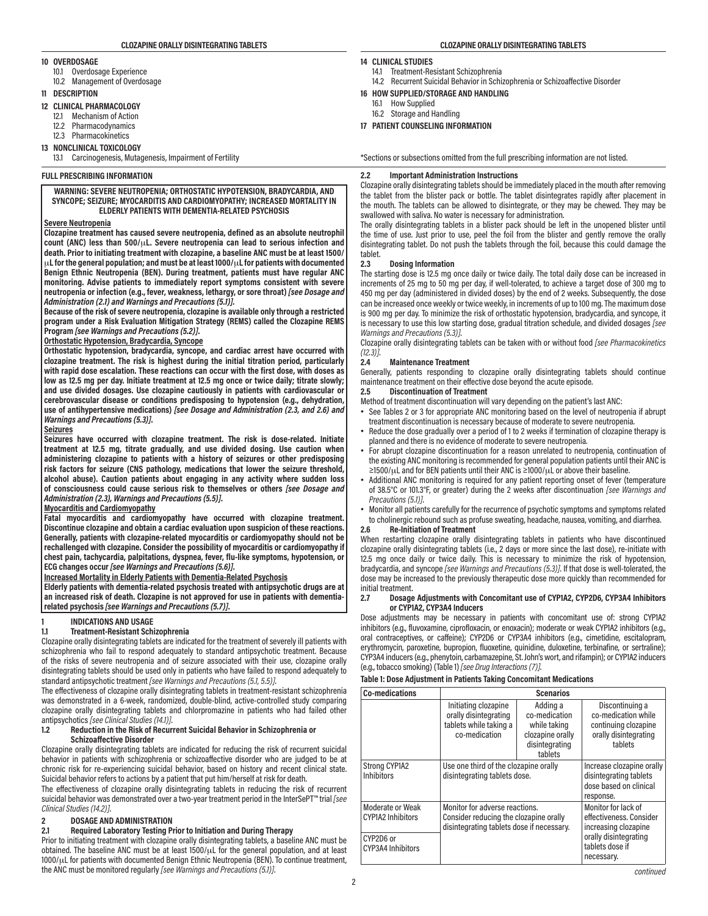#### **10 OVERDOSAGE**

- 10.1 Overdosage Experience
- 10.2 Management of Overdosage
- **11 DESCRIPTION**
- **12 CLINICAL PHARMACOLOGY**
	- 12.1 Mechanism of Action
	- 12.2 Pharmacodynamics
	- 12.3 Pharmacokinetics
- **13 NONCLINICAL TOXICOLOGY**
	- 13.1 Carcinogenesis, Mutagenesis, Impairment of Fertility

### **FULL PRESCRIBING INFORMATION**

#### **WARNING: SEVERE NEUTROPENIA; ORTHOSTATIC HYPOTENSION, BRADYCARDIA, AND SYNCOPE; SEIZURE; MYOCARDITIS AND CARDIOMYOPATHY; INCREASED MORTALITY IN ELDERLY PATIENTS WITH DEMENTIA-RELATED PSYCHOSIS**

#### **Severe Neutropenia**

**Clozapine treatment has caused severe neutropenia, defined as an absolute neutrophil count (ANC) less than 500/**μ**L. Severe neutropenia can lead to serious infection and death. Prior to initiating treatment with clozapine, a baseline ANC must be at least 1500/** μ**L for the general population; and must be at least 1000/**μ**L for patients with documented Benign Ethnic Neutropenia (BEN). During treatment, patients must have regular ANC monitoring. Advise patients to immediately report symptoms consistent with severe neutropenia or infection (e.g., fever, weakness, lethargy, or sore throat)** *[see Dosage and Administration (2.1) and Warnings and Precautions (5.1)].*

**Because of the risk of severe neutropenia, clozapine is available only through a restricted program under a Risk Evaluation Mitigation Strategy (REMS) called the Clozapine REMS Program** *[see Warnings and Precautions (5.2)]***.**

#### **Orthostatic Hypotension, Bradycardia, Syncope**

**Orthostatic hypotension, bradycardia, syncope, and cardiac arrest have occurred with clozapine treatment. The risk is highest during the initial titration period, particularly with rapid dose escalation. These reactions can occur with the first dose, with doses as low as 12.5 mg per day. Initiate treatment at 12.5 mg once or twice daily; titrate slowly; and use divided dosages. Use clozapine cautiously in patients with cardiovascular or cerebrovascular disease or conditions predisposing to hypotension (e.g., dehydration, use of antihypertensive medications)** *[see Dosage and Administration (2.3, and 2.6) and Warnings and Precautions (5.3)]***.**

### **Seizures**

**Seizures have occurred with clozapine treatment. The risk is dose-related. Initiate treatment at 12.5 mg, titrate gradually, and use divided dosing. Use caution when administering clozapine to patients with a history of seizures or other predisposing risk factors for seizure (CNS pathology, medications that lower the seizure threshold, alcohol abuse). Caution patients about engaging in any activity where sudden loss of consciousness could cause serious risk to themselves or others** *[see Dosage and Administration (2.3), Warnings and Precautions (5.5)]***.**

# **Myocarditis and Cardiomyopathy**

**Fatal myocarditis and cardiomyopathy have occurred with clozapine treatment. Discontinue clozapine and obtain a cardiac evaluation upon suspicion of these reactions. Generally, patients with clozapine-related myocarditis or cardiomyopathy should not be rechallenged with clozapine. Consider the possibility of myocarditis or cardiomyopathy if chest pain, tachycardia, palpitations, dyspnea, fever, flu-like symptoms, hypotension, or ECG changes occur** *[see Warnings and Precautions (5.6)]***.**

#### **Increased Mortality in Elderly Patients with Dementia-Related Psychosis**

**Elderly patients with dementia-related psychosis treated with antipsychotic drugs are at an increased risk of death. Clozapine is not approved for use in patients with dementiarelated psychosis** *[see Warnings and Precautions (5.7)]***.**

### **1 INDICATIONS AND USAGE**

#### **1.1 Treatment-Resistant Schizophrenia**

Clozapine orally disintegrating tablets are indicated for the treatment of severely ill patients with schizophrenia who fail to respond adequately to standard antipsychotic treatment. Because of the risks of severe neutropenia and of seizure associated with their use, clozapine orally disintegrating tablets should be used only in patients who have failed to respond adequately to standard antipsychotic treatment *[see Warnings and Precautions (5.1, 5.5)]*.

The effectiveness of clozapine orally disintegrating tablets in treatment-resistant schizophrenia was demonstrated in a 6-week, randomized, double-blind, active-controlled study comparing clozapine orally disintegrating tablets and chlorpromazine in patients who had failed other antipsychotics *[see Clinical Studies (14.1)]*.

#### **1.2 Reduction in the Risk of Recurrent Suicidal Behavior in Schizophrenia or Schizoaffective Disorder**

Clozapine orally disintegrating tablets are indicated for reducing the risk of recurrent suicidal behavior in patients with schizophrenia or schizoaffective disorder who are judged to be at chronic risk for re-experiencing suicidal behavior, based on history and recent clinical state. Suicidal behavior refers to actions by a patient that put him/herself at risk for death.

The effectiveness of clozapine orally disintegrating tablets in reducing the risk of recurrent suicidal behavior was demonstrated over a two-year treatment period in the InterSePT™ trial *[see Clinical Studies (14.2)]*.

# **2 DOSAGE AND ADMINISTRATION**

# **2.1 Required Laboratory Testing Prior to Initiation and During Therapy**

Prior to initiating treatment with clozapine orally disintegrating tablets, a baseline ANC must be obtained. The baseline ANC must be at least 1500/μL for the general population, and at least 1000/μL for patients with documented Benign Ethnic Neutropenia (BEN). To continue treatment, the ANC must be monitored regularly *[see Warnings and Precautions (5.1)]*.

#### **CLOZAPINE ORALLY DISINTEGRATING TABLETS CLOZAPINE ORALLY DISINTEGRATING TABLETS**

#### **14 CLINICAL STUDIES**

- 14.1 Treatment-Resistant Schizophrenia
- 14.2 Recurrent Suicidal Behavior in Schizophrenia or Schizoaffective Disorder
- **16 HOW SUPPLIED/STORAGE AND HANDLING**
	- 16.1 How Supplied
	- 16.2 Storage and Handling
- **17 PATIENT COUNSELING INFORMATION**

\*Sections or subsections omitted from the full prescribing information are not listed.

# **2.2 Important Administration Instructions**

Clozapine orally disintegrating tablets should be immediately placed in the mouth after removing the tablet from the blister pack or bottle. The tablet disintegrates rapidly after placement in the mouth. The tablets can be allowed to disintegrate, or they may be chewed. They may be swallowed with saliva. No water is necessary for administration.

The orally disintegrating tablets in a blister pack should be left in the unopened blister until the time of use. Just prior to use, peel the foil from the blister and gently remove the orally disintegrating tablet. Do not push the tablets through the foil, because this could damage the tablet.<br>2.3

#### **2.3 Dosing Information**

The starting dose is 12.5 mg once daily or twice daily. The total daily dose can be increased in increments of 25 mg to 50 mg per day, if well-tolerated, to achieve a target dose of 300 mg to 450 mg per day (administered in divided doses) by the end of 2 weeks. Subsequently, the dose can be increased once weekly or twice weekly, in increments of up to 100 mg. The maximum dose is 900 mg per day. To minimize the risk of orthostatic hypotension, bradycardia, and syncope, it is necessary to use this low starting dose, gradual titration schedule, and divided dosages *[see Warnings and Precautions (5.3)]*.

Clozapine orally disintegrating tablets can be taken with or without food *[see Pharmacokinetics (12.3)]*.

#### **2.4 Maintenance Treatment**

Generally, patients responding to clozapine orally disintegrating tablets should continue maintenance treatment on their effective dose beyond the acute episode.<br>2.5 Discontinuation of Treatment

# **2.5 Discontinuation of Treatment**

Method of treatment discontinuation will vary depending on the patient's last ANC:

- See Tables 2 or 3 for appropriate ANC monitoring based on the level of neutropenia if abrupt treatment discontinuation is necessary because of moderate to severe neutropenia.
- Reduce the dose gradually over a period of 1 to 2 weeks if termination of clozapine therapy is planned and there is no evidence of moderate to severe neutropenia.
- For abrupt clozapine discontinuation for a reason unrelated to neutropenia, continuation of the existing ANC monitoring is recommended for general population patients until their ANC is ≥1500/μL and for BEN patients until their ANC is ≥1000/μL or above their baseline.
- Additional ANC monitoring is required for any patient reporting onset of fever (temperature of 38.5°C or 101.3°F, or greater) during the 2 weeks after discontinuation *[see Warnings and Precautions (5.1)]*.
- Monitor all patients carefully for the recurrence of psychotic symptoms and symptoms related to cholinergic rebound such as profuse sweating, headache, nausea, vomiting, and diarrhea.

#### **2.6 Re-Initiation of Treatment**

When restarting clozapine orally disintegrating tablets in patients who have discontinued clozapine orally disintegrating tablets (i.e., 2 days or more since the last dose), re-initiate with 12.5 mg once daily or twice daily. This is necessary to minimize the risk of hypotension, bradycardia, and syncope *[see Warnings and Precautions (5.3)]*. If that dose is well-tolerated, the dose may be increased to the previously therapeutic dose more quickly than recommended for initial treatment.<br>2.7 Dosage

#### **2.7 Dosage Adjustments with Concomitant use of CYP1A2, CYP2D6, CYP3A4 Inhibitors or CYP1A2, CYP3A4 Inducers**

Dose adjustments may be necessary in patients with concomitant use of: strong CYP1A2 inhibitors (e.g., fluvoxamine, ciprofloxacin, or enoxacin); moderate or weak CYP1A2 inhibitors (e.g., oral contraceptives, or caffeine); CYP2D6 or CYP3A4 inhibitors (e.g., cimetidine, escitalopram, erythromycin, paroxetine, bupropion, fluoxetine, quinidine, duloxetine, terbinafine, or sertraline); CYP3A4 inducers (e.g., phenytoin, carbamazepine, St. John's wort, and rifampin); or CYP1A2 inducers (e.g., tobacco smoking) (Table 1) *[see Drug Interactions (7)]*.

# **Table 1: Dose Adjustment in Patients Taking Concomitant Medications**

| <b>Co-medications</b>                        |                                                                                                                       | <b>Scenarios</b>                                                                           |                                                                                                    |
|----------------------------------------------|-----------------------------------------------------------------------------------------------------------------------|--------------------------------------------------------------------------------------------|----------------------------------------------------------------------------------------------------|
|                                              | Initiating clozapine<br>orally disintegrating<br>tablets while taking a<br>co-medication                              | Adding a<br>co-medication<br>while taking<br>clozapine orally<br>disintegrating<br>tablets | Discontinuing a<br>co-medication while<br>continuing clozapine<br>orally disintegrating<br>tablets |
| Strong CYP1A2<br><b>Inhibitors</b>           | Use one third of the clozapine orally<br>disintegrating tablets dose.                                                 |                                                                                            | Increase clozapine orally<br>disintegrating tablets<br>dose based on clinical<br>response.         |
| Moderate or Weak<br><b>CYP1A2 Inhibitors</b> | Monitor for adverse reactions.<br>Consider reducing the clozapine orally<br>disintegrating tablets dose if necessary. |                                                                                            | Monitor for lack of<br>effectiveness. Consider<br>increasing clozapine                             |
| CYP2D6 or<br>CYP3A4 Inhibitors               |                                                                                                                       |                                                                                            | orally disintegrating<br>tablets dose if<br>necessary.                                             |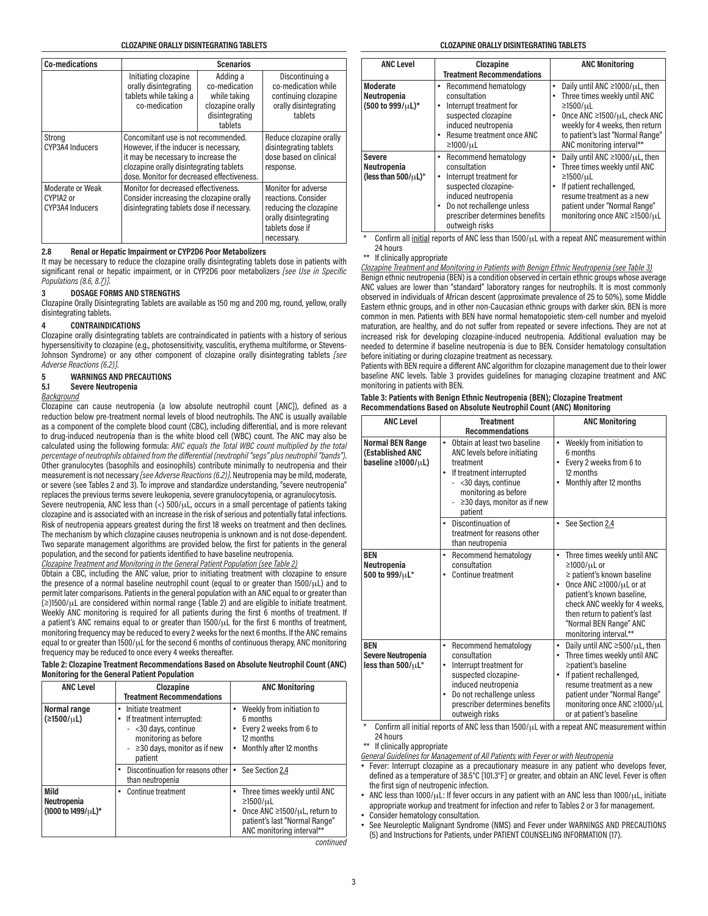| <b>Co-medications</b>                            |                                                                                          | <b>Scenarios</b>                                                                                                                                                                                             |                                                                                                    |  |
|--------------------------------------------------|------------------------------------------------------------------------------------------|--------------------------------------------------------------------------------------------------------------------------------------------------------------------------------------------------------------|----------------------------------------------------------------------------------------------------|--|
|                                                  | Initiating clozapine<br>orally disintegrating<br>tablets while taking a<br>co-medication | Adding a<br>co-medication<br>while taking<br>clozapine orally<br>disintegrating<br>tablets                                                                                                                   | Discontinuing a<br>co-medication while<br>continuing clozapine<br>orally disintegrating<br>tablets |  |
| Strong<br>CYP3A4 Inducers                        |                                                                                          | Concomitant use is not recommended.<br>However, if the inducer is necessary,<br>it may be necessary to increase the<br>clozapine orally disintegrating tablets<br>dose. Monitor for decreased effectiveness. |                                                                                                    |  |
| Moderate or Weak<br>CYP1A2 or<br>CYP3A4 Inducers |                                                                                          | Monitor for decreased effectiveness.<br>Consider increasing the clozapine orally<br>disintegrating tablets dose if necessary.                                                                                |                                                                                                    |  |

#### **2.8 Renal or Hepatic Impairment or CYP2D6 Poor Metabolizers**

It may be necessary to reduce the clozapine orally disintegrating tablets dose in patients with significant renal or hepatic impairment, or in CYP2D6 poor metabolizers *[see Use in Specific Populations (8.6, 8.7)]*.

# **3 DOSAGE FORMS AND STRENGTHS**

Clozapine Orally Disintegrating Tablets are available as 150 mg and 200 mg, round, yellow, orally disintegrating tablets.

#### **4 CONTRAINDICATIONS**

Clozapine orally disintegrating tablets are contraindicated in patients with a history of serious hypersensitivity to clozapine (e.g., photosensitivity, vasculitis, erythema multiforme, or Stevens-Johnson Syndrome) or any other component of clozapine orally disintegrating tablets *[see Adverse Reactions (6.2)]*.

#### **5 WARNINGS AND PRECAUTIONS**

#### **5.1 Severe Neutropenia**

*Background*

Clozapine can cause neutropenia (a low absolute neutrophil count [ANC]), defined as a reduction below pre-treatment normal levels of blood neutrophils. The ANC is usually available as a component of the complete blood count (CBC), including differential, and is more relevant to drug-induced neutropenia than is the white blood cell (WBC) count. The ANC may also be calculated using the following formula: *ANC equals the Total WBC count multiplied by the total percentage of neutrophils obtained from the differential (neutrophil "segs" plus neutrophil "bands")*. Other granulocytes (basophils and eosinophils) contribute minimally to neutropenia and their measurement is not necessary *[see Adverse Reactions (6.2)]*. Neutropenia may be mild, moderate, or severe (see Tables 2 and 3). To improve and standardize understanding, "severe neutropenia" replaces the previous terms severe leukopenia, severe granulocytopenia, or agranulocytosis.

Severe neutropenia, ANC less than  $\left\langle \cdot \right\rangle$  500/ $\mu$ L, occurs in a small percentage of patients taking clozapine and is associated with an increase in the risk of serious and potentially fatal infections. Risk of neutropenia appears greatest during the first 18 weeks on treatment and then declines. The mechanism by which clozapine causes neutropenia is unknown and is not dose-dependent. Two separate management algorithms are provided below, the first for patients in the general population, and the second for patients identified to have baseline neutropenia.

*Clozapine Treatment and Monitoring in the General Patient Population (see Table 2)*

Obtain a CBC, including the ANC value, prior to initiating treatment with clozapine to ensure the presence of a normal baseline neutrophil count (equal to or greater than 1500/μL) and to permit later comparisons. Patients in the general population with an ANC equal to or greater than (≥)1500/μL are considered within normal range (Table 2) and are eligible to initiate treatment. Weekly ANC monitoring is required for all patients during the first 6 months of treatment. If a patient's ANC remains equal to or greater than 1500/μL for the first 6 months of treatment, monitoring frequency may be reduced to every 2 weeks for the next 6 months. If the ANC remains equal to or greater than 1500/μL for the second 6 months of continuous therapy, ANC monitoring frequency may be reduced to once every 4 weeks thereafter.

**Table 2: Clozapine Treatment Recommendations Based on Absolute Neutrophil Count (ANC) Monitoring for the General Patient Population**

| <b>ANC Level</b>                          | Clozapine<br><b>Treatment Recommendations</b>                                                                                                                        | <b>ANC Monitoring</b>                                                                                                                                    |
|-------------------------------------------|----------------------------------------------------------------------------------------------------------------------------------------------------------------------|----------------------------------------------------------------------------------------------------------------------------------------------------------|
| Normal range<br>(≥1500/µL)                | Initiate treatment<br>٠<br>If treatment interrupted:<br>$\bullet$<br>- < 30 days, continue<br>monitoring as before<br>- $\geq$ 30 days, monitor as if new<br>patient | Weekly from initiation to<br>6 months<br>Every 2 weeks from 6 to<br>12 months<br>Monthly after 12 months                                                 |
|                                           | Discontinuation for reasons other<br>٠<br>than neutropenia                                                                                                           | See Section 2.4                                                                                                                                          |
| Mild<br>Neutropenia<br>(1000 to 1499/µL)* | Continue treatment<br>٠                                                                                                                                              | Three times weekly until ANC<br>$\geq$ 1500/uL<br>Once ANC $\geq$ 1500/ $\mu$ L, return to<br>patient's last "Normal Range"<br>ANC monitoring interval** |

*continued*

| <b>ANC Level</b>                                          | Clozapine<br><b>Treatment Recommendations</b>                                                                                                                                                             | <b>ANC Monitoring</b>                                                                                                                                                                                                                                   |
|-----------------------------------------------------------|-----------------------------------------------------------------------------------------------------------------------------------------------------------------------------------------------------------|---------------------------------------------------------------------------------------------------------------------------------------------------------------------------------------------------------------------------------------------------------|
| <b>Moderate</b><br>Neutropenia<br>(500 to 999/µL)*        | Recommend hematology<br>٠<br>consultation<br>Interrupt treatment for<br>٠<br>suspected clozapine<br>induced neutropenia<br>Resume treatment once ANC<br>$\geq 1000/\mu L$                                 | Daily until ANC $\geq$ 1000/ $\mu$ L, then<br>Three times weekly until ANC<br>۰<br>$\geq$ 1500/ $\mu$ L<br>Once ANC $\geq$ 1500/ $\mu$ L, check ANC<br>weekly for 4 weeks, then return<br>to patient's last "Normal Range"<br>ANC monitoring interval** |
| <b>Severe</b><br>Neutropenia<br>(less than $500/\mu L$ )* | Recommend hematology<br>٠<br>consultation<br>Interrupt treatment for<br>suspected clozapine-<br>induced neutropenia<br>Do not rechallenge unless<br>٠<br>prescriber determines benefits<br>outweigh risks | Daily until ANC $\geq$ 1000/ $\mu$ L, then<br>٠<br>Three times weekly until ANC<br>$\geq 1500/\mu L$<br>If patient rechallenged,<br>resume treatment as a new<br>patient under "Normal Range"<br>monitoring once ANC ≥1500/µL                           |

Confirm all initial reports of ANC less than  $1500/\mu$ L with a repeat ANC measurement within 24 hours

\*\* If clinically appropriate

*Clozapine Treatment and Monitoring in Patients with Benign Ethnic Neutropenia (see Table 3)* Benign ethnic neutropenia (BEN) is a condition observed in certain ethnic groups whose average ANC values are lower than "standard" laboratory ranges for neutrophils. It is most commonly observed in individuals of African descent (approximate prevalence of 25 to 50%), some Middle Eastern ethnic groups, and in other non-Caucasian ethnic groups with darker skin. BEN is more common in men. Patients with BEN have normal hematopoietic stem-cell number and myeloid maturation, are healthy, and do not suffer from repeated or severe infections. They are not at increased risk for developing clozapine-induced neutropenia. Additional evaluation may be needed to determine if baseline neutropenia is due to BEN. Consider hematology consultation before initiating or during clozapine treatment as necessary.

Patients with BEN require a different ANC algorithm for clozapine management due to their lower baseline ANC levels. Table 3 provides guidelines for managing clozapine treatment and ANC monitoring in patients with BEN.

| Table 3: Patients with Benign Ethnic Neutropenia (BEN); Clozapine Treatment |  |
|-----------------------------------------------------------------------------|--|
| Recommendations Based on Absolute Neutrophil Count (ANC) Monitoring         |  |

| <b>ANC Level</b>                                                            | <b>Treatment</b><br><b>Recommendations</b>                                                                                                                                                                                    | <b>ANC Monitoring</b>                                                                                                                                                                                                                                                                       |
|-----------------------------------------------------------------------------|-------------------------------------------------------------------------------------------------------------------------------------------------------------------------------------------------------------------------------|---------------------------------------------------------------------------------------------------------------------------------------------------------------------------------------------------------------------------------------------------------------------------------------------|
| <b>Normal BEN Range</b><br>(Established ANC<br>baseline $\geq 1000/\mu L$ ) | Obtain at least two baseline<br>$\bullet$<br>ANC levels before initiating<br>treatment<br>If treatment interrupted<br>$\bullet$<br><30 days, continue<br>monitoring as before<br>$\geq$ 30 days, monitor as if new<br>patient | Weekly from initiation to<br>٠<br>6 months<br>Every 2 weeks from 6 to<br>٠<br>12 months<br>Monthly after 12 months<br>٠                                                                                                                                                                     |
|                                                                             | Discontinuation of<br>treatment for reasons other<br>than neutropenia                                                                                                                                                         | • See Section 2.4                                                                                                                                                                                                                                                                           |
| <b>BEN</b><br>Neutropenia<br>500 to 999/µL*                                 | Recommend hematology<br>$\bullet$<br>consultation<br><b>Continue treatment</b>                                                                                                                                                | Three times weekly until ANC<br>۰<br>$\geq 1000/\mu L$ or<br>$\geq$ patient's known baseline<br>Once ANC $\geq$ 1000/ $\mu$ L or at<br>٠<br>patient's known baseline,<br>check ANC weekly for 4 weeks,<br>then return to patient's last<br>"Normal BEN Range" ANC<br>monitoring interval.** |
| <b>BEN</b><br>Severe Neutropenia<br>less than $500/\mu L^*$                 | Recommend hematology<br>٠<br>consultation<br>Interrupt treatment for<br>٠<br>suspected clozapine-<br>induced neutropenia<br>Do not rechallenge unless<br>prescriber determines benefits<br>outweigh risks                     | Daily until ANC $\geq$ 500/ $\mu$ L, then<br>٠<br>Three times weekly until ANC<br>٠<br>≥patient's baseline<br>If patient rechallenged,<br>٠<br>resume treatment as a new<br>patient under "Normal Range"<br>monitoring once ANC ≥1000/µL<br>or at patient's baseline                        |

Confirm all initial reports of ANC less than  $1500/\mu$ L with a repeat ANC measurement within 24 hours

\*\* If clinically appropriate

*General Guidelines for Management of All Patients with Fever or with Neutropenia*

• Fever: Interrupt clozapine as a precautionary measure in any patient who develops fever, defined as a temperature of 38.5°C [101.3°F] or greater, and obtain an ANC level. Fever is often the first sign of neutropenic infection.

• ANC less than 1000/ $\mu$ L: If fever occurs in any patient with an ANC less than 1000/ $\mu$ L, initiate appropriate workup and treatment for infection and refer to Tables 2 or 3 for management.

Consider hematology consultation.

• See Neuroleptic Malignant Syndrome (NMS) and Fever under WARNINGS AND PRECAUTIONS (5) and Instructions for Patients, under PATIENT COUNSELING INFORMATION (17).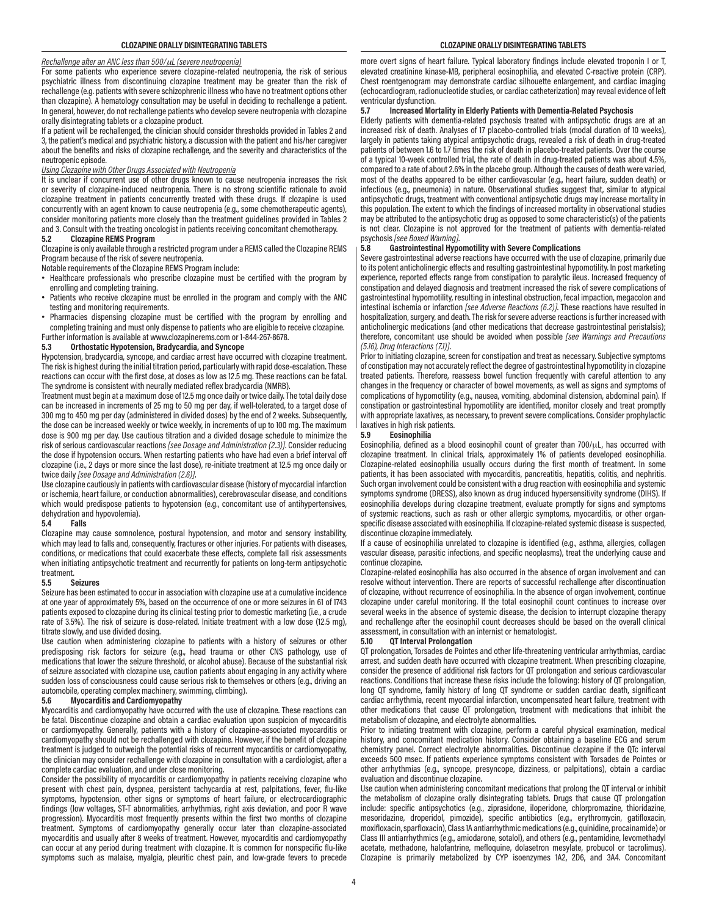# *Rechallenge after an ANC less than 500/*μ*L (severe neutropenia)*

For some patients who experience severe clozapine-related neutropenia, the risk of serious psychiatric illness from discontinuing clozapine treatment may be greater than the risk of rechallenge (e.g. patients with severe schizophrenic illness who have no treatment options other than clozapine). A hematology consultation may be useful in deciding to rechallenge a patient. In general, however, do not rechallenge patients who develop severe neutropenia with clozapine orally disintegrating tablets or a clozapine product.

If a patient will be rechallenged, the clinician should consider thresholds provided in Tables 2 and 3, the patient's medical and psychiatric history, a discussion with the patient and his/her caregiver about the benefits and risks of clozapine rechallenge, and the severity and characteristics of the neutropenic episode.

#### *Using Clozapine with Other Drugs Associated with Neutropenia*

It is unclear if concurrent use of other drugs known to cause neutropenia increases the risk or severity of clozapine-induced neutropenia. There is no strong scientific rationale to avoid clozapine treatment in patients concurrently treated with these drugs. If clozapine is used concurrently with an agent known to cause neutropenia (e.g., some chemotherapeutic agents), consider monitoring patients more closely than the treatment guidelines provided in Tables 2 and 3. Consult with the treating oncologist in patients receiving concomitant chemotherapy.

#### **5.2 Clozapine REMS Program**

Clozapine is only available through a restricted program under a REMS called the Clozapine REMS Program because of the risk of severe neutropenia.

Notable requirements of the Clozapine REMS Program include:

- Healthcare professionals who prescribe clozapine must be certified with the program by enrolling and completing training.
- Patients who receive clozapine must be enrolled in the program and comply with the ANC testing and monitoring requirements.
- Pharmacies dispensing clozapine must be certified with the program by enrolling and completing training and must only dispense to patients who are eligible to receive clozapine.

Further information is available at www.clozapinerems.com or 1-844-267-8678.

#### **5.3 Orthostatic Hypotension, Bradycardia, and Syncope**

Hypotension, bradycardia, syncope, and cardiac arrest have occurred with clozapine treatment. The risk is highest during the initial titration period, particularly with rapid dose-escalation. These reactions can occur with the first dose, at doses as low as 12.5 mg. These reactions can be fatal. The syndrome is consistent with neurally mediated reflex bradycardia (NMRB).

Treatment must begin at a maximum dose of 12.5 mg once daily or twice daily. The total daily dose can be increased in increments of 25 mg to 50 mg per day, if well-tolerated, to a target dose of 300 mg to 450 mg per day (administered in divided doses) by the end of 2 weeks. Subsequently, the dose can be increased weekly or twice weekly, in increments of up to 100 mg. The maximum dose is 900 mg per day. Use cautious titration and a divided dosage schedule to minimize the risk of serious cardiovascular reactions *[see Dosage and Administration (2.3)]*. Consider reducing the dose if hypotension occurs. When restarting patients who have had even a brief interval off clozapine (i.e., 2 days or more since the last dose), re-initiate treatment at 12.5 mg once daily or twice daily *[see Dosage and Administration (2.6)]*.

Use clozapine cautiously in patients with cardiovascular disease (history of myocardial infarction or ischemia, heart failure, or conduction abnormalities), cerebrovascular disease, and conditions which would predispose patients to hypotension (e.g., concomitant use of antihypertensives, dehydration and hypovolemia).

#### **5.4 Falls**

Clozapine may cause somnolence, postural hypotension, and motor and sensory instability, which may lead to falls and, consequently, fractures or other injuries. For patients with diseases, conditions, or medications that could exacerbate these effects, complete fall risk assessments when initiating antipsychotic treatment and recurrently for patients on long-term antipsychotic treatment.<br>5.5

#### **5.5 Seizures**

Seizure has been estimated to occur in association with clozapine use at a cumulative incidence at one year of approximately 5%, based on the occurrence of one or more seizures in 61 of 1743 patients exposed to clozapine during its clinical testing prior to domestic marketing (i.e., a crude rate of 3.5%). The risk of seizure is dose-related. Initiate treatment with a low dose (12.5 mg), titrate slowly, and use divided dosing.

Use caution when administering clozapine to patients with a history of seizures or other predisposing risk factors for seizure (e.g., head trauma or other CNS pathology, use of medications that lower the seizure threshold, or alcohol abuse). Because of the substantial risk of seizure associated with clozapine use, caution patients about engaging in any activity where sudden loss of consciousness could cause serious risk to themselves or others (e.g., driving an automobile, operating complex machinery, swimming, climbing).

#### **5.6 Myocarditis and Cardiomyopathy**

Myocarditis and cardiomyopathy have occurred with the use of clozapine. These reactions can be fatal. Discontinue clozapine and obtain a cardiac evaluation upon suspicion of myocarditis or cardiomyopathy. Generally, patients with a history of clozapine-associated myocarditis or cardiomyopathy should not be rechallenged with clozapine. However, if the benefit of clozapine treatment is judged to outweigh the potential risks of recurrent myocarditis or cardiomyopathy, the clinician may consider rechallenge with clozapine in consultation with a cardiologist, after a complete cardiac evaluation, and under close monitoring.

Consider the possibility of myocarditis or cardiomyopathy in patients receiving clozapine who present with chest pain, dyspnea, persistent tachycardia at rest, palpitations, fever, flu-like symptoms, hypotension, other signs or symptoms of heart failure, or electrocardiographic findings (low voltages, ST-T abnormalities, arrhythmias, right axis deviation, and poor R wave progression). Myocarditis most frequently presents within the first two months of clozapine treatment. Symptoms of cardiomyopathy generally occur later than clozapine-associated myocarditis and usually after 8 weeks of treatment. However, myocarditis and cardiomyopathy can occur at any period during treatment with clozapine. It is common for nonspecific flu-like symptoms such as malaise, myalgia, pleuritic chest pain, and low-grade fevers to precede

more overt signs of heart failure. Typical laboratory findings include elevated troponin I or T, elevated creatinine kinase-MB, peripheral eosinophilia, and elevated C-reactive protein (CRP). Chest roentgenogram may demonstrate cardiac silhouette enlargement, and cardiac imaging (echocardiogram, radionucleotide studies, or cardiac catheterization) may reveal evidence of left ventricular dysfunction.

#### **5.7 Increased Mortality in Elderly Patients with Dementia-Related Psychosis**

Elderly patients with dementia-related psychosis treated with antipsychotic drugs are at an increased risk of death. Analyses of 17 placebo-controlled trials (modal duration of 10 weeks), largely in patients taking atypical antipsychotic drugs, revealed a risk of death in drug-treated patients of between 1.6 to 1.7 times the risk of death in placebo-treated patients. Over the course of a typical 10-week controlled trial, the rate of death in drug-treated patients was about 4.5%, compared to a rate of about 2.6% in the placebo group. Although the causes of death were varied, most of the deaths appeared to be either cardiovascular (e.g., heart failure, sudden death) or infectious (e.g., pneumonia) in nature. Observational studies suggest that, similar to atypical antipsychotic drugs, treatment with conventional antipsychotic drugs may increase mortality in this population. The extent to which the findings of increased mortality in observational studies may be attributed to the antipsychotic drug as opposed to some characteristic(s) of the patients is not clear. Clozapine is not approved for the treatment of patients with dementia-related psychosis *[see Boxed Warning]*.

# **5.8 Gastrointestinal Hypomotility with Severe Complications**

Severe gastrointestinal adverse reactions have occurred with the use of clozapine, primarily due to its potent anticholinergic effects and resulting gastrointestinal hypomotility. In post marketing experience, reported effects range from constipation to paralytic ileus. Increased frequency of constipation and delayed diagnosis and treatment increased the risk of severe complications of gastrointestinal hypomotility, resulting in intestinal obstruction, fecal impaction, megacolon and intestinal ischemia or infarction *[see Adverse Reactions (6.2)]*. These reactions have resulted in hospitalization, surgery, and death. The risk for severe adverse reactions is further increased with anticholinergic medications (and other medications that decrease gastrointestinal peristalsis); therefore, concomitant use should be avoided when possible *[see Warnings and Precautions (5.16), Drug Interactions (7.1)]*.

Prior to initiating clozapine, screen for constipation and treat as necessary. Subjective symptoms of constipation may not accurately reflect the degree of gastrointestinal hypomotility in clozapine treated patients. Therefore, reassess bowel function frequently with careful attention to any changes in the frequency or character of bowel movements, as well as signs and symptoms of complications of hypomotility (e.g., nausea, vomiting, abdominal distension, abdominal pain). If constipation or gastrointestinal hypomotility are identified, monitor closely and treat promptly with appropriate laxatives, as necessary, to prevent severe complications. Consider prophylactic laxatives in high risk patients.

#### **5.9 Eosinophilia**

Eosinophilia, defined as a blood eosinophil count of greater than 700/ $\mu$ L, has occurred with clozapine treatment. In clinical trials, approximately 1% of patients developed eosinophilia. Clozapine-related eosinophilia usually occurs during the first month of treatment. In some patients, it has been associated with myocarditis, pancreatitis, hepatitis, colitis, and nephritis. Such organ involvement could be consistent with a drug reaction with eosinophilia and systemic symptoms syndrome (DRESS), also known as drug induced hypersensitivity syndrome (DIHS). If eosinophilia develops during clozapine treatment, evaluate promptly for signs and symptoms of systemic reactions, such as rash or other allergic symptoms, myocarditis, or other organspecific disease associated with eosinophilia. If clozapine-related systemic disease is suspected, discontinue clozapine immediately.

If a cause of eosinophilia unrelated to clozapine is identified (e.g., asthma, allergies, collagen vascular disease, parasitic infections, and specific neoplasms), treat the underlying cause and continue clozapine.

Clozapine-related eosinophilia has also occurred in the absence of organ involvement and can resolve without intervention. There are reports of successful rechallenge after discontinuation of clozapine, without recurrence of eosinophilia. In the absence of organ involvement, continue clozapine under careful monitoring. If the total eosinophil count continues to increase over several weeks in the absence of systemic disease, the decision to interrupt clozapine therapy and rechallenge after the eosinophil count decreases should be based on the overall clinical assessment, in consultation with an internist or hematologist.<br>5.10 0T Interval Prolongation

#### **5.10 QT Interval Prolongation**

QT prolongation, Torsades de Pointes and other life-threatening ventricular arrhythmias, cardiac arrest, and sudden death have occurred with clozapine treatment. When prescribing clozapine, consider the presence of additional risk factors for QT prolongation and serious cardiovascular reactions. Conditions that increase these risks include the following: history of QT prolongation, long QT syndrome, family history of long QT syndrome or sudden cardiac death, significant cardiac arrhythmia, recent myocardial infarction, uncompensated heart failure, treatment with other medications that cause QT prolongation, treatment with medications that inhibit the metabolism of clozapine, and electrolyte abnormalities.

Prior to initiating treatment with clozapine, perform a careful physical examination, medical history, and concomitant medication history. Consider obtaining a baseline ECG and serum chemistry panel. Correct electrolyte abnormalities. Discontinue clozapine if the QTc interval exceeds 500 msec. If patients experience symptoms consistent with Torsades de Pointes or other arrhythmias (e.g., syncope, presyncope, dizziness, or palpitations), obtain a cardiac evaluation and discontinue clozapine.

Use caution when administering concomitant medications that prolong the QT interval or inhibit the metabolism of clozapine orally disintegrating tablets. Drugs that cause QT prolongation include: specific antipsychotics (e.g., ziprasidone, iloperidone, chlorpromazine, thioridazine, mesoridazine, droperidol, pimozide), specific antibiotics (e.g., erythromycin, gatifloxacin, moxifloxacin, sparfloxacin), Class 1A antiarrhythmic medications (e.g., quinidine, procainamide) or Class III antiarrhythmics (e.g., amiodarone, sotalol), and others (e.g., pentamidine, levomethadyl acetate, methadone, halofantrine, mefloquine, dolasetron mesylate, probucol or tacrolimus). Clozapine is primarily metabolized by CYP isoenzymes 1A2, 2D6, and 3A4. Concomitant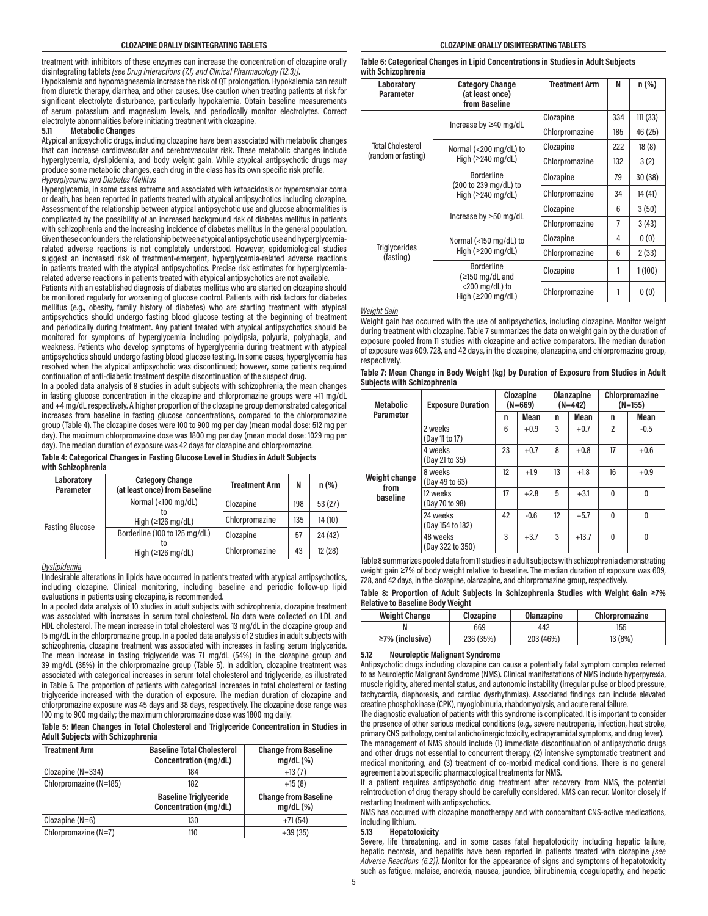treatment with inhibitors of these enzymes can increase the concentration of clozapine orally disintegrating tablets *[see Drug Interactions (7.1) and Clinical Pharmacology (12.3)]*.

Hypokalemia and hypomagnesemia increase the risk of QT prolongation. Hypokalemia can result from diuretic therapy, diarrhea, and other causes. Use caution when treating patients at risk for significant electrolyte disturbance, particularly hypokalemia. Obtain baseline measurements of serum potassium and magnesium levels, and periodically monitor electrolytes. Correct electrolyte abnormalities before initiating treatment with clozapine.<br>5.11 Metabolic Changes

#### **5.11 Metabolic Changes**

Atypical antipsychotic drugs, including clozapine have been associated with metabolic changes that can increase cardiovascular and cerebrovascular risk. These metabolic changes include hyperglycemia, dyslipidemia, and body weight gain. While atypical antipsychotic drugs may produce some metabolic changes, each drug in the class has its own specific risk profile. *Hyperglycemia and Diabetes Mellitus*

Hyperglycemia, in some cases extreme and associated with ketoacidosis or hyperosmolar coma or death, has been reported in patients treated with atypical antipsychotics including clozapine. Assessment of the relationship between atypical antipsychotic use and glucose abnormalities is complicated by the possibility of an increased background risk of diabetes mellitus in patients with schizophrenia and the increasing incidence of diabetes mellitus in the general population. Given these confounders, the relationship between atypical antipsychotic use and hyperglycemiarelated adverse reactions is not completely understood. However, epidemiological studies suggest an increased risk of treatment-emergent, hyperglycemia-related adverse reactions in patients treated with the atypical antipsychotics. Precise risk estimates for hyperglycemiarelated adverse reactions in patients treated with atypical antipsychotics are not available.

Patients with an established diagnosis of diabetes mellitus who are started on clozapine should be monitored regularly for worsening of glucose control. Patients with risk factors for diabetes mellitus (e.g., obesity, family history of diabetes) who are starting treatment with atypical antipsychotics should undergo fasting blood glucose testing at the beginning of treatment and periodically during treatment. Any patient treated with atypical antipsychotics should be monitored for symptoms of hyperglycemia including polydipsia, polyuria, polyphagia, and weakness. Patients who develop symptoms of hyperglycemia during treatment with atypical antipsychotics should undergo fasting blood glucose testing. In some cases, hyperglycemia has resolved when the atypical antipsychotic was discontinued; however, some patients required continuation of anti-diabetic treatment despite discontinuation of the suspect drug.

In a pooled data analysis of 8 studies in adult subjects with schizophrenia, the mean changes in fasting glucose concentration in the clozapine and chlorpromazine groups were +11 mg/dL and +4 mg/dL respectively. A higher proportion of the clozapine group demonstrated categorical increases from baseline in fasting glucose concentrations, compared to the chlorpromazine group (Table 4). The clozapine doses were 100 to 900 mg per day (mean modal dose: 512 mg per day). The maximum chlorpromazine dose was 1800 mg per day (mean modal dose: 1029 mg per day). The median duration of exposure was 42 days for clozapine and chlorpromazine.

**Table 4: Categorical Changes in Fasting Glucose Level in Studies in Adult Subjects with Schizophrenia**

| Laboratory<br><b>Parameter</b> | <b>Category Change</b><br>(at least once) from Baseline          | <b>Treatment Arm</b> | N   | n(%)    |
|--------------------------------|------------------------------------------------------------------|----------------------|-----|---------|
| Normal (<100 mg/dL)            |                                                                  | Clozapine            | 198 | 53(27)  |
| <b>Fasting Glucose</b>         | High $(\geq 126 \text{ mg/dL})$                                  | Chlorpromazine       | 135 | 14 (10) |
|                                | Borderline (100 to 125 mg/dL)<br>High $(\geq 126 \text{ mg/dL})$ | Clozapine            | 57  | 24 (42) |
|                                |                                                                  | Chlorpromazine       | 43  | 12(28)  |

*Dyslipidemia*

Undesirable alterations in lipids have occurred in patients treated with atypical antipsychotics, including clozapine. Clinical monitoring, including baseline and periodic follow-up lipid evaluations in patients using clozapine, is recommended.

In a pooled data analysis of 10 studies in adult subjects with schizophrenia, clozapine treatment was associated with increases in serum total cholesterol. No data were collected on LDL and HDL cholesterol. The mean increase in total cholesterol was 13 mg/dL in the clozapine group and 15 mg/dL in the chlorpromazine group. In a pooled data analysis of 2 studies in adult subjects with schizophrenia, clozapine treatment was associated with increases in fasting serum triglyceride. The mean increase in fasting triglyceride was 71 mg/dL (54%) in the clozapine group and 39 mg/dL (35%) in the chlorpromazine group (Table 5). In addition, clozapine treatment was associated with categorical increases in serum total cholesterol and triglyceride, as illustrated in Table 6. The proportion of patients with categorical increases in total cholesterol or fasting triglyceride increased with the duration of exposure. The median duration of clozapine and chlorpromazine exposure was 45 days and 38 days, respectively. The clozapine dose range was 100 mg to 900 mg daily; the maximum chlorpromazine dose was 1800 mg daily.

**Table 5: Mean Changes in Total Cholesterol and Triglyceride Concentration in Studies in Adult Subjects with Schizophrenia**

| <b>Treatment Arm</b>   | <b>Baseline Total Cholesterol</b><br>Concentration (mg/dL) | <b>Change from Baseline</b><br>mg/dL(%)    |
|------------------------|------------------------------------------------------------|--------------------------------------------|
| $Clozapine (N=334)$    | 184                                                        | $+13(7)$                                   |
| Chlorpromazine (N=185) | 182                                                        | $+15(8)$                                   |
|                        | <b>Baseline Triglyceride</b><br>Concentration (mg/dL)      | <b>Change from Baseline</b><br>$mq/dL$ (%) |
| Clozapine $(N=6)$      | 130                                                        | $+71(54)$                                  |
| Chlorpromazine (N=7)   | 110                                                        | $+39(35)$                                  |

**Table 6: Categorical Changes in Lipid Concentrations in Studies in Adult Subjects with Schizophrenia**

| Laboratory<br>Parameter           | <b>Category Change</b><br>(at least once)<br>from Baseline | <b>Treatment Arm</b> | N   | $n$ (%) |
|-----------------------------------|------------------------------------------------------------|----------------------|-----|---------|
|                                   | Increase by $\geq$ 40 mg/dL                                | Clozapine            | 334 | 111(33) |
|                                   |                                                            | Chlorpromazine       | 185 | 46 (25) |
| <b>Total Cholesterol</b>          | Normal (<200 mg/dL) to                                     | Clozapine            | 222 | 18(8)   |
| (random or fasting)               | High $(\geq 240 \text{ mg/dL})$                            | Chlorpromazine       | 132 | 3(2)    |
|                                   | <b>Borderline</b>                                          | Clozapine            | 79  | 30(38)  |
|                                   | (200 to 239 mg/dL) to<br>High $(\geq 240 \text{ mg/dL})$   | Chlorpromazine       | 34  | 14 (41) |
|                                   | Increase by $\geq 50$ mg/dL                                | Clozapine            | 6   | 3(50)   |
|                                   |                                                            | Chlorpromazine       | 7   | 3(43)   |
|                                   | Normal (<150 mg/dL) to                                     | Clozapine            | 4   | 0(0)    |
| <b>Triglycerides</b><br>(fasting) | High $(\geq 200 \text{ mg/dL})$                            | Chlorpromazine       | 6   | 2(33)   |
|                                   | <b>Borderline</b><br>$( \ge 150 \text{ mg/dL}$ and         | Clozapine            |     | 1(100)  |
|                                   | $<$ 200 mg/dL) to<br>High $(\geq 200 \text{ mg/dL})$       | Chlorpromazine       |     | 0(0)    |

#### *Weight Gain*

Weight gain has occurred with the use of antipsychotics, including clozapine. Monitor weight during treatment with clozapine. Table 7 summarizes the data on weight gain by the duration of exposure pooled from 11 studies with clozapine and active comparators. The median duration of exposure was 609, 728, and 42 days, in the clozapine, olanzapine, and chlorpromazine group, respectively.

| Table 7: Mean Change in Body Weight (kg) by Duration of Exposure from Studies in Adult |  |
|----------------------------------------------------------------------------------------|--|
| <b>Subjects with Schizophrenia</b>                                                     |  |

| <b>Metabolic</b>      | <b>Exposure Duration</b>     | Clozapine<br>$(N=669)$ |             | Olanzapine<br>$(N=442)$ |         | Chlorpromazine<br>$(N=155)$ |              |
|-----------------------|------------------------------|------------------------|-------------|-------------------------|---------|-----------------------------|--------------|
| Parameter             |                              | n                      | <b>Mean</b> | n                       | Mean    | n                           | Mean         |
|                       | 2 weeks<br>(Day 11 to 17)    | 6                      | $+0.9$      | 3                       | $+0.7$  | $\overline{2}$              | $-0.5$       |
|                       | 4 weeks<br>(Day 21 to 35)    | 23                     | $+0.7$      | 8                       | $+0.8$  | 17                          | $+0.6$       |
| Weight change<br>from | 8 weeks<br>(Day 49 to 63)    | 12                     | $+1.9$      | 13                      | $+1.8$  | 16                          | $+0.9$       |
| baseline              | 12 weeks<br>(Day 70 to 98)   | 17                     | $+2.8$      | 5                       | $+3.1$  | $\Omega$                    | $\mathbf{0}$ |
|                       | 24 weeks<br>(Day 154 to 182) | 42                     | $-0.6$      | 12                      | $+5.7$  | $\Omega$                    | 0            |
|                       | 48 weeks<br>(Day 322 to 350) | 3                      | $+3.7$      | 3                       | $+13.7$ | 0                           | 0            |

Table 8 summarizes pooled data from 11 studies in adult subjects with schizophrenia demonstrating weight gain ≥7% of body weight relative to baseline. The median duration of exposure was 609, 728, and 42 days, in the clozapine, olanzapine, and chlorpromazine group, respectively.

|                                  |  |  | Table 8: Proportion of Adult Subjects in Schizophrenia Studies with Weight Gain ≥7% |  |  |  |
|----------------------------------|--|--|-------------------------------------------------------------------------------------|--|--|--|
| Relative to Baseline Body Weight |  |  |                                                                                     |  |  |  |

| <b>Weight Change</b>  | Clozapine | Olanzapine | Chlorpromazine |
|-----------------------|-----------|------------|----------------|
|                       | 669       | 442        | 155            |
| $\geq$ 7% (inclusive) | 236 (35%) | 203 (46%)  | 13 (8%)        |

# **5.12 Neuroleptic Malignant Syndrome**

Antipsychotic drugs including clozapine can cause a potentially fatal symptom complex referred to as Neuroleptic Malignant Syndrome (NMS). Clinical manifestations of NMS include hyperpyrexia, muscle rigidity, altered mental status, and autonomic instability (irregular pulse or blood pressure, tachycardia, diaphoresis, and cardiac dysrhythmias). Associated findings can include elevated creatine phosphokinase (CPK), myoglobinuria, rhabdomyolysis, and acute renal failure.

The diagnostic evaluation of patients with this syndrome is complicated. It is important to consider the presence of other serious medical conditions (e.g., severe neutropenia, infection, heat stroke, primary CNS pathology, central anticholinergic toxicity, extrapyramidal symptoms, and drug fever).

The management of NMS should include (1) immediate discontinuation of antipsychotic drugs and other drugs not essential to concurrent therapy, (2) intensive symptomatic treatment and medical monitoring, and (3) treatment of co-morbid medical conditions. There is no general agreement about specific pharmacological treatments for NMS.

If a patient requires antipsychotic drug treatment after recovery from NMS, the potential reintroduction of drug therapy should be carefully considered. NMS can recur. Monitor closely if restarting treatment with antipsychotics.

NMS has occurred with clozapine monotherapy and with concomitant CNS-active medications, including lithium.<br>5.13 Hepatot

#### **5.13 Hepatotoxicity**

Severe, life threatening, and in some cases fatal hepatotoxicity including hepatic failure, hepatic necrosis, and hepatitis have been reported in patients treated with clozapine *[see Adverse Reactions (6.2)]*. Monitor for the appearance of signs and symptoms of hepatotoxicity such as fatigue, malaise, anorexia, nausea, jaundice, bilirubinemia, coagulopathy, and hepatic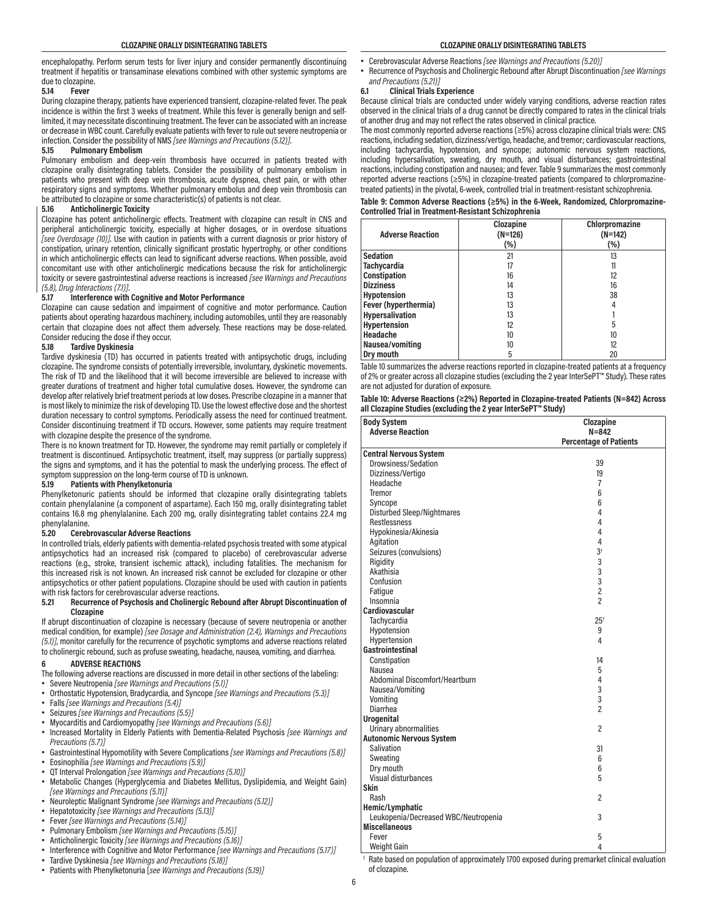encephalopathy. Perform serum tests for liver injury and consider permanently discontinuing treatment if hepatitis or transaminase elevations combined with other systemic symptoms are due to clozapine.

#### **5.14 Fever**

During clozapine therapy, patients have experienced transient, clozapine-related fever. The peak incidence is within the first 3 weeks of treatment. While this fever is generally benign and selflimited, it may necessitate discontinuing treatment. The fever can be associated with an increase or decrease in WBC count. Carefully evaluate patients with fever to rule out severe neutropenia or infection. Consider the possibility of NMS *[see Warnings and Precautions (5.12)]*.

#### **5.15 Pulmonary Embolism**

Pulmonary embolism and deep-vein thrombosis have occurred in patients treated with clozapine orally disintegrating tablets. Consider the possibility of pulmonary embolism in patients who present with deep vein thrombosis, acute dyspnea, chest pain, or with other respiratory signs and symptoms. Whether pulmonary embolus and deep vein thrombosis can be attributed to clozapine or some characteristic(s) of patients is not clear.

## **5.16 Anticholinergic Toxicity**

Clozapine has potent anticholinergic effects. Treatment with clozapine can result in CNS and peripheral anticholinergic toxicity, especially at higher dosages, or in overdose situations *[see Overdosage (10)]*. Use with caution in patients with a current diagnosis or prior history of constipation, urinary retention, clinically significant prostatic hypertrophy, or other conditions in which anticholinergic effects can lead to significant adverse reactions. When possible, avoid concomitant use with other anticholinergic medications because the risk for anticholinergic toxicity or severe gastrointestinal adverse reactions is increased *[see Warnings and Precautions (5.8), Drug Interactions (7.1)]*.

## **5.17 Interference with Cognitive and Motor Performance**

Clozapine can cause sedation and impairment of cognitive and motor performance. Caution patients about operating hazardous machinery, including automobiles, until they are reasonably certain that clozapine does not affect them adversely. These reactions may be dose-related. Consider reducing the dose if they occur.

#### **5.18 Tardive Dyskinesia**

Tardive dyskinesia (TD) has occurred in patients treated with antipsychotic drugs, including clozapine. The syndrome consists of potentially irreversible, involuntary, dyskinetic movements. The risk of TD and the likelihood that it will become irreversible are believed to increase with greater durations of treatment and higher total cumulative doses. However, the syndrome can develop after relatively brief treatment periods at low doses. Prescribe clozapine in a manner that is most likely to minimize the risk of developing TD. Use the lowest effective dose and the shortest duration necessary to control symptoms. Periodically assess the need for continued treatment. Consider discontinuing treatment if TD occurs. However, some patients may require treatment with clozapine despite the presence of the syndrome.

There is no known treatment for TD. However, the syndrome may remit partially or completely if treatment is discontinued. Antipsychotic treatment, itself, may suppress (or partially suppress) the signs and symptoms, and it has the potential to mask the underlying process. The effect of symptom suppression on the long-term course of TD is unknown.

# **5.19 Patients with Phenylketonuria**

Phenylketonuric patients should be informed that clozapine orally disintegrating tablets contain phenylalanine (a component of aspartame). Each 150 mg, orally disintegrating tablet contains 16.8 mg phenylalanine. Each 200 mg, orally disintegrating tablet contains 22.4 mg phenylalanine.

#### **5.20 Cerebrovascular Adverse Reactions**

In controlled trials, elderly patients with dementia-related psychosis treated with some atypical antipsychotics had an increased risk (compared to placebo) of cerebrovascular adverse reactions (e.g., stroke, transient ischemic attack), including fatalities. The mechanism for this increased risk is not known. An increased risk cannot be excluded for clozapine or other antipsychotics or other patient populations. Clozapine should be used with caution in patients with risk factors for cerebrovascular adverse reactions.

**5.21 Recurrence of Psychosis and Cholinergic Rebound after Abrupt Discontinuation of Clozapine**

If abrupt discontinuation of clozapine is necessary (because of severe neutropenia or another medical condition, for example) *[see Dosage and Administration (2.4), Warnings and Precautions (5.1)]*, monitor carefully for the recurrence of psychotic symptoms and adverse reactions related to cholinergic rebound, such as profuse sweating, headache, nausea, vomiting, and diarrhea.

#### **6 ADVERSE REACTIONS**

The following adverse reactions are discussed in more detail in other sections of the labeling: • Severe Neutropenia *[see Warnings and Precautions (5.1)]*

- Orthostatic Hypotension, Bradycardia, and Syncope *[see Warnings and Precautions (5.3)]*
- Falls *[see Warnings and Precautions (5.4)]*
- Seizures *[see Warnings and Precautions (5.5)]*
- Myocarditis and Cardiomyopathy *[see Warnings and Precautions (5.6)]*
- Increased Mortality in Elderly Patients with Dementia-Related Psychosis *[see Warnings and Precautions (5.7)]*
- Gastrointestinal Hypomotility with Severe Complications *[see Warnings and Precautions (5.8)]* • Eosinophilia *[see Warnings and Precautions (5.9)]*
- QT Interval Prolongation *[see Warnings and Precautions (5.10)]*
- Metabolic Changes (Hyperglycemia and Diabetes Mellitus, Dyslipidemia, and Weight Gain) *[see Warnings and Precautions (5.11)]*
- Neuroleptic Malignant Syndrome *[see Warnings and Precautions (5.12)]*
- Hepatotoxicity *[see Warnings and Precautions (5.13)]*
- Fever *[see Warnings and Precautions (5.14)]*
- Pulmonary Embolism *[see Warnings and Precautions (5.15)]*
- Anticholinergic Toxicity *[see Warnings and Precautions (5.16)]*
- Interference with Cognitive and Motor Performance *[see Warnings and Precautions (5.17)]*
- Tardive Dyskinesia *[see Warnings and Precautions (5.18)]*
- Patients with Phenylketonuria [*see Warnings and Precautions (5.19)]*
- Cerebrovascular Adverse Reactions *[see Warnings and Precautions (5.20)]*
- Recurrence of Psychosis and Cholinergic Rebound after Abrupt Discontinuation *[see Warnings and Precautions (5.21)]*

# **6.1 Clinical Trials Experience**

Because clinical trials are conducted under widely varying conditions, adverse reaction rates observed in the clinical trials of a drug cannot be directly compared to rates in the clinical trials of another drug and may not reflect the rates observed in clinical practice.

The most commonly reported adverse reactions (≥5%) across clozapine clinical trials were: CNS reactions, including sedation, dizziness/vertigo, headache, and tremor; cardiovascular reactions, including tachycardia, hypotension, and syncope; autonomic nervous system reactions, including hypersalivation, sweating, dry mouth, and visual disturbances; gastrointestinal reactions, including constipation and nausea; and fever. Table 9 summarizes the most commonly reported adverse reactions (≥5%) in clozapine-treated patients (compared to chlorpromazinetreated patients) in the pivotal, 6-week, controlled trial in treatment-resistant schizophrenia.

#### **Table 9: Common Adverse Reactions (≥5%) in the 6-Week, Randomized, Chlorpromazine-Controlled Trial in Treatment-Resistant Schizophrenia**

| <b>Adverse Reaction</b> | Clozapine<br>$(N=126)$<br>(% ) | Chlorpromazine<br>$(N=142)$<br>(%) |
|-------------------------|--------------------------------|------------------------------------|
| <b>Sedation</b>         | 21                             | 13                                 |
| <b>Tachycardia</b>      | 17                             | 11                                 |
| Constipation            | 16                             | 12                                 |
| <b>Dizziness</b>        | 14                             | 16                                 |
| Hypotension             | 13                             | 38                                 |
| Fever (hyperthermia)    | 13                             | 4                                  |
| Hypersalivation         | 13                             |                                    |
| <b>Hypertension</b>     | 12                             | 5                                  |
| Headache                | 10                             | 10                                 |
| Nausea/vomiting         | 10                             | 12                                 |
| Dry mouth               | 5                              | 20                                 |

Table 10 summarizes the adverse reactions reported in clozapine-treated patients at a frequency of 2% or greater across all clozapine studies (excluding the 2 year InterSePT™ Study). These rates are not adjusted for duration of exposure.

| Table 10: Adverse Reactions (≥2%) Reported in Clozapine-treated Patients (N=842) Across |
|-----------------------------------------------------------------------------------------|
| all Clozapine Studies (excluding the 2 year InterSePT™ Study)                           |

| <b>Body System</b>                   | Clozapine                     |
|--------------------------------------|-------------------------------|
| <b>Adverse Reaction</b>              | $N = 842$                     |
|                                      | <b>Percentage of Patients</b> |
| <b>Central Nervous System</b>        |                               |
| Drowsiness/Sedation                  | 39                            |
| Dizziness/Vertigo                    | 19                            |
| Headache                             | 7                             |
| Tremor                               | 6                             |
| Syncope                              | 6                             |
| <b>Disturbed Sleep/Nightmares</b>    | 4                             |
| Restlessness                         | 4                             |
| Hypokinesia/Akinesia                 | 4                             |
| Agitation                            | 4                             |
| Seizures (convulsions)               | 3 <sup>†</sup>                |
| Rigidity                             | 3                             |
| Akathisia                            | 3                             |
| Confusion                            | 3                             |
| Fatique                              | $\overline{2}$                |
| Insomnia                             | $\overline{2}$                |
| <b>Cardiovascular</b>                |                               |
| Tachycardia                          | 25 <sup>†</sup>               |
| Hypotension                          | 9                             |
| Hypertension                         | 4                             |
| Gastrointestinal                     |                               |
| Constipation                         | 14                            |
| Nausea                               | 5                             |
| Abdominal Discomfort/Heartburn       | 4                             |
| Nausea/Vomiting                      | 3                             |
| Vomiting                             | 3                             |
| Diarrhea                             | $\overline{2}$                |
| <b>Urogenital</b>                    |                               |
| Urinary abnormalities                | $\overline{2}$                |
| <b>Autonomic Nervous System</b>      |                               |
| Salivation                           | 31                            |
| Sweating                             | 6                             |
| Dry mouth                            | 6                             |
| Visual disturbances                  | 5                             |
| Skin                                 |                               |
| Rash                                 | $\overline{c}$                |
| Hemic/Lymphatic                      |                               |
| Leukopenia/Decreased WBC/Neutropenia | 3                             |
| <b>Miscellaneous</b>                 |                               |
| Fever                                | 5                             |
| Weight Gain                          | 4                             |

† Rate based on population of approximately 1700 exposed during premarket clinical evaluation of clozapine.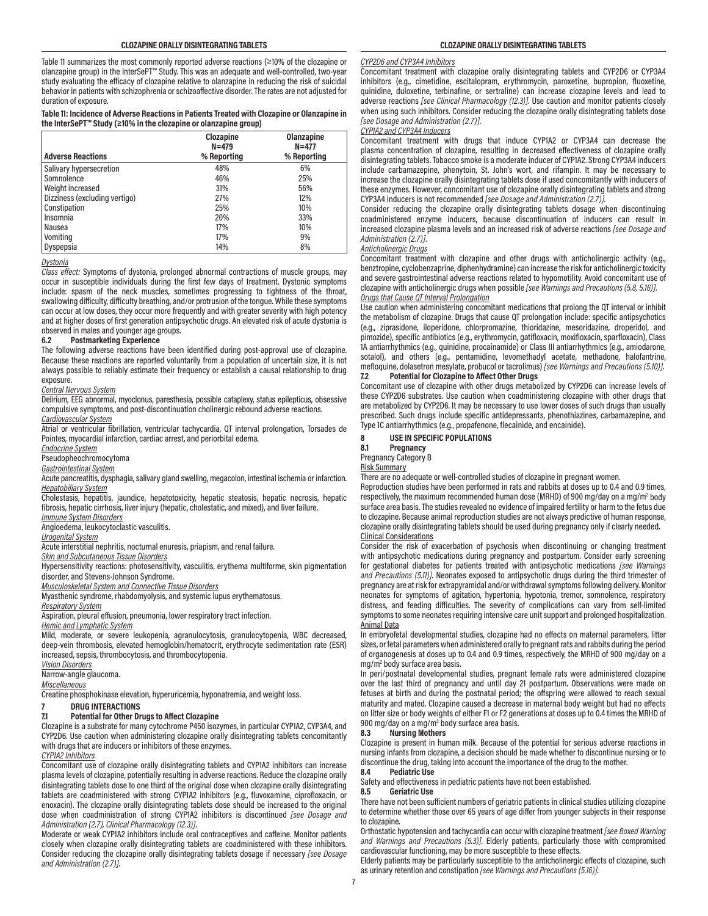Table 11 summarizes the most commonly reported adverse reactions (≥10% of the clozapine or olanzapine group) in the InterSePT™ Study. This was an adequate and well-controlled, two-year study evaluating the efficacy of clozapine relative to olanzapine in reducing the risk of suicidal behavior in patients with schizophrenia or schizoaffective disorder. The rates are not adjusted for duration of exposure.

#### **Table 11: Incidence of Adverse Reactions in Patients Treated with Clozapine or Olanzapine in the InterSePT™ Study (≥10% in the clozapine or olanzapine group)**

|                               | Clozapine<br>$N = 479$ | <b>Olanzapine</b><br>$N = 477$ |
|-------------------------------|------------------------|--------------------------------|
| <b>Adverse Reactions</b>      | % Reporting            | % Reporting                    |
| Salivary hypersecretion       | 48%                    | 6%                             |
| Somnolence                    | 46%                    | 25%                            |
| Weight increased              | 31%                    | 56%                            |
| Dizziness (excluding vertigo) | 27%                    | 12%                            |
| Constipation                  | 25%                    | 10%                            |
| Insomnia                      | 20%                    | 33%                            |
| Nausea                        | 17%                    | 10%                            |
| Vomiting                      | 17%                    | 9%                             |
| Dyspepsia                     | 14%                    | 8%                             |

# *Dystonia*

*Class effect:* Symptoms of dystonia, prolonged abnormal contractions of muscle groups, may occur in susceptible individuals during the first few days of treatment. Dystonic symptoms include: spasm of the neck muscles, sometimes progressing to tightness of the throat, swallowing difficulty, difficulty breathing, and/or protrusion of the tongue. While these symptoms can occur at low doses, they occur more frequently and with greater severity with high potency and at higher doses of first generation antipsychotic drugs. An elevated risk of acute dystonia is

#### observed in males and younger age groups.<br>6.2 Postmarketing Experience **6.2 Postmarketing Experience**

The following adverse reactions have been identified during post-approval use of clozapine. Because these reactions are reported voluntarily from a population of uncertain size, it is not always possible to reliably estimate their frequency or establish a causal relationship to drug exposure.

#### *Central Nervous System*

Delirium, EEG abnormal, myoclonus, paresthesia, possible cataplexy, status epilepticus, obsessive compulsive symptoms, and post-discontinuation cholinergic rebound adverse reactions. *Cardiovascular System*

Atrial or ventricular fibrillation, ventricular tachycardia, QT interval prolongation, Torsades de Pointes, myocardial infarction, cardiac arrest, and periorbital edema.

*Endocrine System*

Pseudopheochromocytoma

*Gastrointestinal System*

Acute pancreatitis, dysphagia, salivary gland swelling, megacolon, intestinal ischemia or infarction. *Hepatobiliary System*

Cholestasis, hepatitis, jaundice, hepatotoxicity, hepatic steatosis, hepatic necrosis, hepatic fibrosis, hepatic cirrhosis, liver injury (hepatic, cholestatic, and mixed), and liver failure. *Immune System Disorders*

Angioedema, leukocytoclastic vasculitis.

*Urogenital System*

Acute interstitial nephritis, nocturnal enuresis, priapism, and renal failure.

*Skin and Subcutaneous Tissue Disorders*

Hypersensitivity reactions: photosensitivity, vasculitis, erythema multiforme, skin pigmentation disorder, and Stevens-Johnson Syndrome.

*Musculoskeletal System and Connective Tissue Disorders*

Myasthenic syndrome, rhabdomyolysis, and systemic lupus erythematosus.

#### *Respiratory System*

Aspiration, pleural effusion, pneumonia, lower respiratory tract infection.

*Hemic and Lymphatic System*

Mild, moderate, or severe leukopenia, agranulocytosis, granulocytopenia, WBC decreased, deep-vein thrombosis, elevated hemoglobin/hematocrit, erythrocyte sedimentation rate (ESR) increased, sepsis, thrombocytosis, and thrombocytopenia.

*Vision Disorders*

Narrow-angle glaucoma.

*Miscellaneous*

Creatine phosphokinase elevation, hyperuricemia, hyponatremia, and weight loss.

# **7 DRUG INTERACTIONS**

# **7.1 Potential for Other Drugs to Affect Clozapine**

Clozapine is a substrate for many cytochrome P450 isozymes, in particular CYP1A2, CYP3A4, and CYP2D6. Use caution when administering clozapine orally disintegrating tablets concomitantly with drugs that are inducers or inhibitors of these enzymes.

## *CYP1A2 Inhibitors*

Concomitant use of clozapine orally disintegrating tablets and CYP1A2 inhibitors can increase plasma levels of clozapine, potentially resulting in adverse reactions. Reduce the clozapine orally disintegrating tablets dose to one third of the original dose when clozapine orally disintegrating tablets are coadministered with strong CYP1A2 inhibitors (e.g., fluvoxamine, ciprofloxacin, or enoxacin). The clozapine orally disintegrating tablets dose should be increased to the original dose when coadministration of strong CYP1A2 inhibitors is discontinued *[see Dosage and Administration (2.7), Clinical Pharmacology (12.3)]*.

Moderate or weak CYP1A2 inhibitors include oral contraceptives and caffeine. Monitor patients closely when clozapine orally disintegrating tablets are coadministered with these inhibitors. Consider reducing the clozapine orally disintegrating tablets dosage if necessary *[see Dosage and Administration (2.7)]*.

#### *CYP2D6 and CYP3A4 Inhibitors*

Concomitant treatment with clozapine orally disintegrating tablets and CYP2D6 or CYP3A4 inhibitors (e.g., cimetidine, escitalopram, erythromycin, paroxetine, bupropion, fluoxetine, quinidine, duloxetine, terbinafine, or sertraline) can increase clozapine levels and lead to adverse reactions *[see Clinical Pharmacology (12.3)]*. Use caution and monitor patients closely when using such inhibitors. Consider reducing the clozapine orally disintegrating tablets dose *[see Dosage and Administration (2.7)]*.

#### *CYP1A2 and CYP3A4 Inducers*

Concomitant treatment with drugs that induce CYP1A2 or CYP3A4 can decrease the plasma concentration of clozapine, resulting in decreased effectiveness of clozapine orally disintegrating tablets. Tobacco smoke is a moderate inducer of CYP1A2. Strong CYP3A4 inducers include carbamazepine, phenytoin, St. John's wort, and rifampin. It may be necessary to increase the clozapine orally disintegrating tablets dose if used concomitantly with inducers of these enzymes. However, concomitant use of clozapine orally disintegrating tablets and strong CYP3A4 inducers is not recommended *[see Dosage and Administration (2.7)]*.

Consider reducing the clozapine orally disintegrating tablets dosage when discontinuing coadministered enzyme inducers, because discontinuation of inducers can result in increased clozapine plasma levels and an increased risk of adverse reactions *[see Dosage and Administration (2.7)]*.

# *Anticholinergic Drugs*

Concomitant treatment with clozapine and other drugs with anticholinergic activity (e.g., benztropine, cyclobenzaprine, diphenhydramine) can increase the risk for anticholinergic toxicity and severe gastrointestinal adverse reactions related to hypomotility. Avoid concomitant use of clozapine with anticholinergic drugs when possible *[see Warnings and Precautions (5.8, 5.16)]*.

# *Drugs that Cause QT Interval Prolongation*

Use caution when administering concomitant medications that prolong the QT interval or inhibit the metabolism of clozapine. Drugs that cause QT prolongation include: specific antipsychotics (e.g., ziprasidone, iloperidone, chlorpromazine, thioridazine, mesoridazine, droperidol, and pimozide), specific antibiotics (e.g., erythromycin, gatifloxacin, moxifloxacin, sparfloxacin), Class 1A antiarrhythmics (e.g., quinidine, procainamide) or Class III antiarrhythmics (e.g., amiodarone, sotalol), and others (e.g., pentamidine, levomethadyl acetate, methadone, halofantrine, mefloquine, dolasetron mesylate, probucol or tacrolimus) *[see Warnings and Precautions (5.10)]*.

#### **7.2 Potential for Clozapine to Affect Other Drugs**

Concomitant use of clozapine with other drugs metabolized by CYP2D6 can increase levels of these CYP2D6 substrates. Use caution when coadministering clozapine with other drugs that are metabolized by CYP2D6. It may be necessary to use lower doses of such drugs than usually prescribed. Such drugs include specific antidepressants, phenothiazines, carbamazepine, and Type 1C antiarrhythmics (e.g., propafenone, flecainide, and encainide).

#### **8 USE IN SPECIFIC POPULATIONS**

**8.1 Pregnancy**

Pregnancy Category B

#### Risk Summary

There are no adequate or well-controlled studies of clozapine in pregnant women.

Reproduction studies have been performed in rats and rabbits at doses up to 0.4 and 0.9 times, respectively, the maximum recommended human dose (MRHD) of 900 mg/day on a mg/m<sup>2</sup> body surface area basis. The studies revealed no evidence of impaired fertility or harm to the fetus due to clozapine. Because animal reproduction studies are not always predictive of human response, clozapine orally disintegrating tablets should be used during pregnancy only if clearly needed. Clinical Considerations

Consider the risk of exacerbation of psychosis when discontinuing or changing treatment with antipsychotic medications during pregnancy and postpartum. Consider early screening for gestational diabetes for patients treated with antipsychotic medications *[see Warnings and Precautions (5.11)]*. Neonates exposed to antipsychotic drugs during the third trimester of pregnancy are at risk for extrapyramidal and/or withdrawal symptoms following delivery. Monitor neonates for symptoms of agitation, hypertonia, hypotonia, tremor, somnolence, respiratory distress, and feeding difficulties. The severity of complications can vary from self-limited symptoms to some neonates requiring intensive care unit support and prolonged hospitalization. Animal Data

In embryofetal developmental studies, clozapine had no effects on maternal parameters, litter sizes, or fetal parameters when administered orally to pregnant rats and rabbits during the period of organogenesis at doses up to 0.4 and 0.9 times, respectively, the MRHD of 900 mg/day on a mg/m2 body surface area basis.

In peri/postnatal developmental studies, pregnant female rats were administered clozapine over the last third of pregnancy and until day 21 postpartum. Observations were made on fetuses at birth and during the postnatal period; the offspring were allowed to reach sexual maturity and mated. Clozapine caused a decrease in maternal body weight but had no effects on litter size or body weights of either F1 or F2 generations at doses up to 0.4 times the MRHD of 900 mg/day on a mg/m<sup>2</sup> body surface area basis.

#### **8.3 Nursing Mothers**

Clozapine is present in human milk. Because of the potential for serious adverse reactions in nursing infants from clozapine, a decision should be made whether to discontinue nursing or to discontinue the drug, taking into account the importance of the drug to the mother.

#### **8.4 Pediatric Use**

Safety and effectiveness in pediatric patients have not been established.

#### **8.5 Geriatric Use**

There have not been sufficient numbers of geriatric patients in clinical studies utilizing clozapine to determine whether those over 65 years of age differ from younger subjects in their response to clozapine.

Orthostatic hypotension and tachycardia can occur with clozapine treatment *[see Boxed Warning and Warnings and Precautions (5.3)]*. Elderly patients, particularly those with compromised cardiovascular functioning, may be more susceptible to these effects.

Elderly patients may be particularly susceptible to the anticholinergic effects of clozapine, such as urinary retention and constipation *[see Warnings and Precautions (5.16)]*.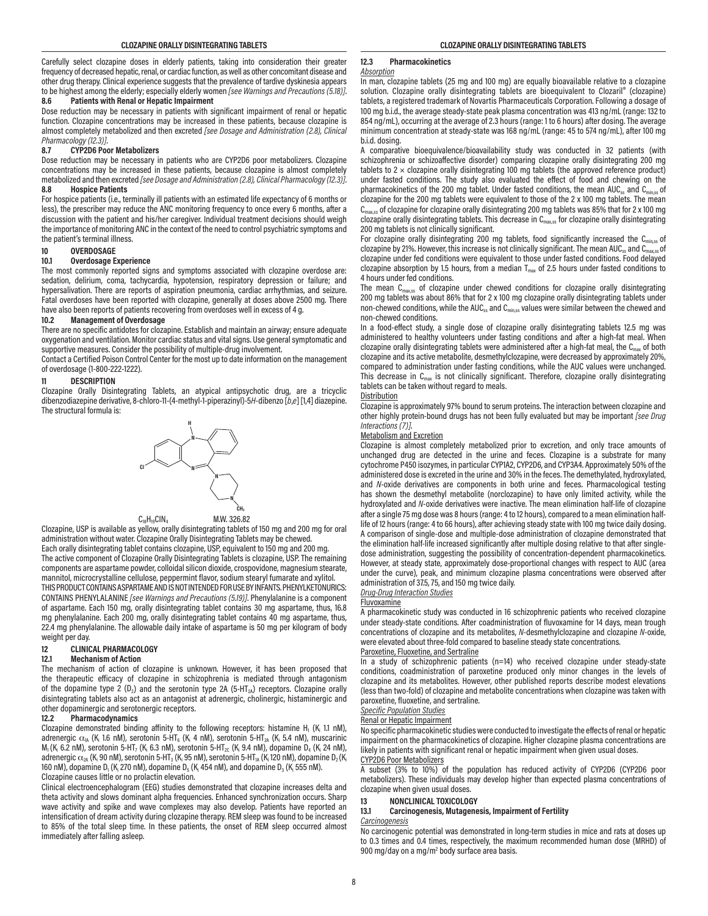Carefully select clozapine doses in elderly patients, taking into consideration their greater frequency of decreased hepatic, renal, or cardiac function, as well as other concomitant disease and other drug therapy. Clinical experience suggests that the prevalence of tardive dyskinesia appears to be highest among the elderly; especially elderly women *[see Warnings and Precautions (5.18)]*.<br>8.6 Patients with Renal or Henatic Impairment **8.6 Patients with Renal or Hepatic Impairment**

Dose reduction may be necessary in patients with significant impairment of renal or hepatic function. Clozapine concentrations may be increased in these patients, because clozapine is almost completely metabolized and then excreted *[see Dosage and Administration (2.8), Clinical Pharmacology (12.3)]*.

#### **8.7 CYP2D6 Poor Metabolizers**

Dose reduction may be necessary in patients who are CYP2D6 poor metabolizers. Clozapine concentrations may be increased in these patients, because clozapine is almost completely metabolized and then excreted *[see Dosage and Administration (2.8), Clinical Pharmacology (12.3)]*. **8.8 Hospice Patients**

For hospice patients (i.e., terminally ill patients with an estimated life expectancy of 6 months or less), the prescriber may reduce the ANC monitoring frequency to once every 6 months, after a discussion with the patient and his/her caregiver. Individual treatment decisions should weigh the importance of monitoring ANC in the context of the need to control psychiatric symptoms and the patient's terminal illness.

# **10 OVERDOSAGE**

#### **10.1 Overdosage Experience**

The most commonly reported signs and symptoms associated with clozapine overdose are: sedation, delirium, coma, tachycardia, hypotension, respiratory depression or failure; and hypersalivation. There are reports of aspiration pneumonia, cardiac arrhythmias, and seizure. Fatal overdoses have been reported with clozapine, generally at doses above 2500 mg. There have also been reports of patients recovering from overdoses well in excess of 4 g.<br>10.2 Management of Overdosage

#### **10.2 Management of Overdosage**

There are no specific antidotes for clozapine. Establish and maintain an airway; ensure adequate oxygenation and ventilation. Monitor cardiac status and vital signs. Use general symptomatic and supportive measures. Consider the possibility of multiple-drug involvement.

Contact a Certified Poison Control Center for the most up to date information on the management of overdosage (1-800-222-1222).

# **11 DESCRIPTION**

Clozapine Orally Disintegrating Tablets, an atypical antipsychotic drug, are a tricyclic dibenzodiazepine derivative, 8-chloro-11-(4-methyl-1-piperazinyl)-5*H*-dibenzo [*b*,*e*] [1,4] diazepine. The structural formula is:





Clozapine, USP is available as yellow, orally disintegrating tablets of 150 mg and 200 mg for oral administration without water. Clozapine Orally Disintegrating Tablets may be chewed. Each orally disintegrating tablet contains clozapine, USP, equivalent to 150 mg and 200 mg. The active component of Clozapine Orally Disintegrating Tablets is clozapine, USP. The remaining components are aspartame powder, colloidal silicon dioxide, crospovidone, magnesium stearate, mannitol, microcrystalline cellulose, peppermint flavor, sodium stearyl fumarate and xylitol.

THIS PRODUCT CONTAINS ASPARTAME AND IS NOT INTENDED FOR USE BY INFANTS. PHENYLKETONURICS: CONTAINS PHENYLALANINE *[see Warnings and Precautions (5.19)]*. Phenylalanine is a component of aspartame. Each 150 mg, orally disintegrating tablet contains 30 mg aspartame, thus, 16.8 mg phenylalanine. Each 200 mg, orally disintegrating tablet contains 40 mg aspartame, thus, 22.4 mg phenylalanine. The allowable daily intake of aspartame is 50 mg per kilogram of body weight per day.

# **12 CLINICAL PHARMACOLOGY**

#### **12.1 Mechanism of Action**

The mechanism of action of clozapine is unknown. However, it has been proposed that the therapeutic efficacy of clozapine in schizophrenia is mediated through antagonism of the dopamine type 2  $(D_2)$  and the serotonin type 2A  $(5-HT_{2A})$  receptors. Clozapine orally disintegrating tablets also act as an antagonist at adrenergic, cholinergic, histaminergic and other dopaminergic and serotonergic receptors.

## **12.2 Pharmacodynamics**

Clozapine demonstrated binding affinity to the following receptors: histamine  $H_1$  (K<sub>i</sub> 1.1 nM), adrenergic  $\alpha_{1A}$  (K<sub>i</sub> 1.6 nM), serotonin 5-HT<sub>6</sub> (K<sub>i</sub> 4 nM), serotonin 5-HT<sub>2A</sub> (K<sub>i</sub> 5.4 nM), muscarinic  $M_1(K_i, 6.2 \text{ nM})$ , serotonin 5-HT<sub>7</sub> (K<sub>i</sub> 6.3 nM), serotonin 5-HT<sub>2C</sub> (K<sub>i</sub> 9.4 nM), dopamine D<sub>4</sub> (K<sub>i</sub> 24 nM), adrenergic  $\alpha_{\rm 2A}$  (K<sub>i</sub> 90 nM), serotonin 5-HT $_{\rm 3}$  (K<sub>i</sub> 95 nM), serotonin 5-HT $_{\rm 1A}$  (K<sub>i</sub> 120 nM), dopamine D $_{\rm 2}$  (K<sub>i</sub> 160 nM), dopamine D<sub>1</sub> (K<sub>i</sub> 270 nM), dopamine D<sub>5</sub> (K<sub>i</sub> 454 nM), and dopamine D<sub>3</sub> (K<sub>i</sub> 555 nM). Clozapine causes little or no prolactin elevation.

Clinical electroencephalogram (EEG) studies demonstrated that clozapine increases delta and theta activity and slows dominant alpha frequencies. Enhanced synchronization occurs. Sharp wave activity and spike and wave complexes may also develop. Patients have reported an intensification of dream activity during clozapine therapy. REM sleep was found to be increased to 85% of the total sleep time. In these patients, the onset of REM sleep occurred almost immediately after falling asleep.

# **12.3 Pharmacokinetics**

#### *Absorption*

In man, clozapine tablets (25 mg and 100 mg) are equally bioavailable relative to a clozapine solution. Clozapine orally disintegrating tablets are bioequivalent to Clozaril® (clozapine) tablets, a registered trademark of Novartis Pharmaceuticals Corporation. Following a dosage of 100 mg b.i.d., the average steady-state peak plasma concentration was 413 ng/mL (range: 132 to 854 ng/mL), occurring at the average of 2.3 hours (range: 1 to 6 hours) after dosing. The average minimum concentration at steady-state was 168 ng/mL (range: 45 to 574 ng/mL), after 100 mg b.i.d. dosing.

A comparative bioequivalence/bioavailability study was conducted in 32 patients (with schizophrenia or schizoaffective disorder) comparing clozapine orally disintegrating 200 mg tablets to  $2 \times$  clozapine orally disintegrating 100 mg tablets (the approved reference product) under fasted conditions. The study also evaluated the effect of food and chewing on the pharmacokinetics of the 200 mg tablet. Under fasted conditions, the mean AUC $_{ss}$  and  $C_{min}$  of clozapine for the 200 mg tablets were equivalent to those of the 2 x 100 mg tablets. The mean  $C<sub>max,ss</sub>$  of clozapine for clozapine orally disintegrating 200 mg tablets was 85% that for 2 x 100 mg clozapine orally disintegrating tablets. This decrease in  $C_{max,ss}$  for clozapine orally disintegrating 200 mg tablets is not clinically significant.

For clozapine orally disintegrating 200 mg tablets, food significantly increased the C<sub>min,ss</sub> of clozapine by 21%. However, this increase is not clinically significant. The mean AUC<sub>ss</sub> and C<sub>max,ss</sub> of clozapine under fed conditions were equivalent to those under fasted conditions. Food delayed clozapine absorption by 1.5 hours, from a median  $T_{\text{max}}$  of 2.5 hours under fasted conditions to 4 hours under fed conditions.

The mean  $C_{max,ss}$  of clozapine under chewed conditions for clozapine orally disintegrating 200 mg tablets was about 86% that for 2 x 100 mg clozapine orally disintegrating tablets under non-chewed conditions, while the AUC<sub>ss</sub> and  $C<sub>min,ss</sub>$  values were similar between the chewed and non-chewed conditions.

In a food-effect study, a single dose of clozapine orally disintegrating tablets 12.5 mg was administered to healthy volunteers under fasting conditions and after a high-fat meal. When clozapine orally disintegrating tablets were administered after a high-fat meal, the  $C_{\text{max}}$  of both clozapine and its active metabolite, desmethylclozapine, were decreased by approximately 20%, compared to administration under fasting conditions, while the AUC values were unchanged. This decrease in  $C_{\text{max}}$  is not clinically significant. Therefore, clozapine orally disintegrating tablets can be taken without regard to meals.

#### **Distribution**

Clozapine is approximately 97% bound to serum proteins. The interaction between clozapine and other highly protein-bound drugs has not been fully evaluated but may be important *[see Drug Interactions (7)]*.

#### Metabolism and Excretion

Clozapine is almost completely metabolized prior to excretion, and only trace amounts of unchanged drug are detected in the urine and feces. Clozapine is a substrate for many cytochrome P450 isozymes, in particular CYP1A2, CYP2D6, and CYP3A4. Approximately 50% of the administered dose is excreted in the urine and 30% in the feces. The demethylated, hydroxylated, and *N*-oxide derivatives are components in both urine and feces. Pharmacological testing has shown the desmethyl metabolite (norclozapine) to have only limited activity, while the hydroxylated and *N*-oxide derivatives were inactive. The mean elimination half-life of clozapine after a single 75 mg dose was 8 hours (range: 4 to 12 hours), compared to a mean elimination halflife of 12 hours (range: 4 to 66 hours), after achieving steady state with 100 mg twice daily dosing. A comparison of single-dose and multiple-dose administration of clozapine demonstrated that the elimination half-life increased significantly after multiple dosing relative to that after singledose administration, suggesting the possibility of concentration-dependent pharmacokinetics. However, at steady state, approximately dose-proportional changes with respect to AUC (area under the curve), peak, and minimum clozapine plasma concentrations were observed after administration of 37.5, 75, and 150 mg twice daily.

*Drug-Drug Interaction Studies*

# Fluvoxamine

A pharmacokinetic study was conducted in 16 schizophrenic patients who received clozapine under steady-state conditions. After coadministration of fluvoxamine for 14 days, mean trough concentrations of clozapine and its metabolites, *N*-desmethylclozapine and clozapine *N*-oxide, were elevated about three-fold compared to baseline steady state concentrations.

#### Paroxetine, Fluoxetine, and Sertraline

In a study of schizophrenic patients (n=14) who received clozapine under steady-state conditions, coadministration of paroxetine produced only minor changes in the levels of clozapine and its metabolites. However, other published reports describe modest elevations (less than two-fold) of clozapine and metabolite concentrations when clozapine was taken with paroxetine, fluoxetine, and sertraline.

# *Specific Population Studies*

# Renal or Hepatic Impairment

No specific pharmacokinetic studies were conducted to investigate the effects of renal or hepatic impairment on the pharmacokinetics of clozapine. Higher clozapine plasma concentrations are likely in patients with significant renal or hepatic impairment when given usual doses. CYP2D6 Poor Metabolizers

A subset (3% to 10%) of the population has reduced activity of CYP2D6 (CYP2D6 poor metabolizers). These individuals may develop higher than expected plasma concentrations of clozapine when given usual doses.

# **13 NONCLINICAL TOXICOLOGY**

**13.1 Carcinogenesis, Mutagenesis, Impairment of Fertility**

#### *Carcinogenesis*

No carcinogenic potential was demonstrated in long-term studies in mice and rats at doses up to 0.3 times and 0.4 times, respectively, the maximum recommended human dose (MRHD) of 900 mg/day on a mg/m<sup>2</sup> body surface area basis.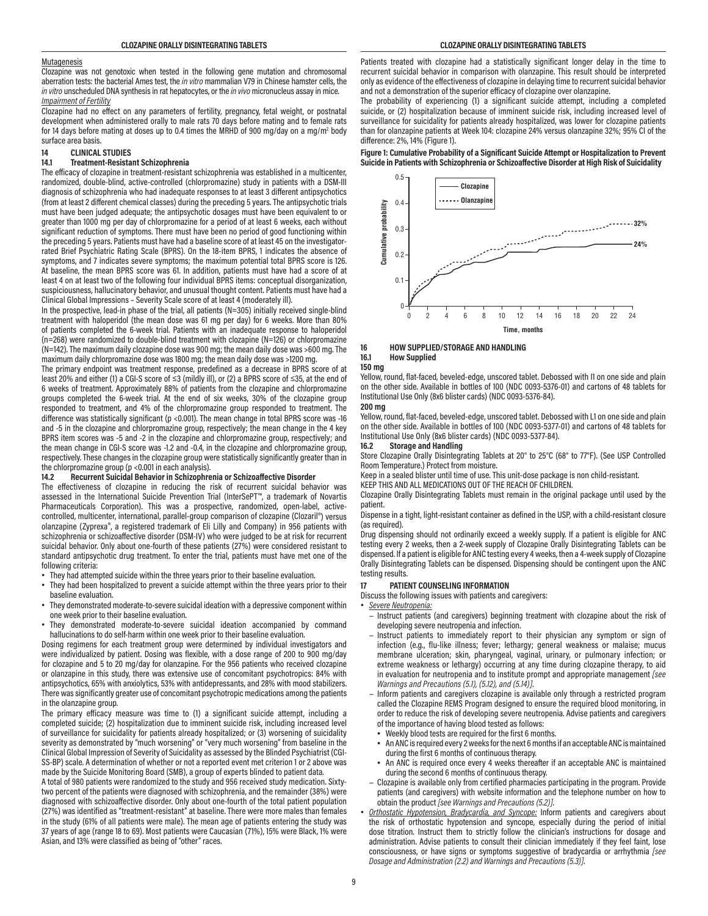#### **Mutagenesis**

Clozapine was not genotoxic when tested in the following gene mutation and chromosomal aberration tests: the bacterial Ames test, the *in vitro* mammalian V79 in Chinese hamster cells, the *in vitro* unscheduled DNA synthesis in rat hepatocytes, or the *in vivo* micronucleus assay in mice. *Impairment of Fertility*

Clozapine had no effect on any parameters of fertility, pregnancy, fetal weight, or postnatal development when administered orally to male rats 70 days before mating and to female rats for 14 days before mating at doses up to 0.4 times the MRHD of 900 mg/day on a mg/m<sup>2</sup> body surface area basis.

# **14 CLINICAL STUDIES**

#### **14.1 Treatment-Resistant Schizophrenia**

The efficacy of clozapine in treatment-resistant schizophrenia was established in a multicenter, randomized, double-blind, active-controlled (chlorpromazine) study in patients with a DSM-III diagnosis of schizophrenia who had inadequate responses to at least 3 different antipsychotics (from at least 2 different chemical classes) during the preceding 5 years. The antipsychotic trials must have been judged adequate; the antipsychotic dosages must have been equivalent to or greater than 1000 mg per day of chlorpromazine for a period of at least 6 weeks, each without significant reduction of symptoms. There must have been no period of good functioning within the preceding 5 years. Patients must have had a baseline score of at least 45 on the investigatorrated Brief Psychiatric Rating Scale (BPRS). On the 18-item BPRS, 1 indicates the absence of symptoms, and 7 indicates severe symptoms; the maximum potential total BPRS score is 126. At baseline, the mean BPRS score was 61. In addition, patients must have had a score of at least 4 on at least two of the following four individual BPRS items: conceptual disorganization, suspiciousness, hallucinatory behavior, and unusual thought content. Patients must have had a Clinical Global Impressions – Severity Scale score of at least 4 (moderately ill).

In the prospective, lead-in phase of the trial, all patients (N=305) initially received single-blind treatment with haloperidol (the mean dose was 61 mg per day) for 6 weeks. More than 80% of patients completed the 6-week trial. Patients with an inadequate response to haloperidol (n=268) were randomized to double-blind treatment with clozapine (N=126) or chlorpromazine (N=142). The maximum daily clozapine dose was 900 mg; the mean daily dose was >600 mg. The maximum daily chlorpromazine dose was 1800 mg; the mean daily dose was >1200 mg.

The primary endpoint was treatment response, predefined as a decrease in BPRS score of at least 20% and either (1) a CGI-S score of ≤3 (mildly ill), or (2) a BPRS score of ≤35, at the end of 6 weeks of treatment. Approximately 88% of patients from the clozapine and chlorpromazine groups completed the 6-week trial. At the end of six weeks, 30% of the clozapine group responded to treatment, and 4% of the chlorpromazine group responded to treatment. The difference was statistically significant (p <0.001). The mean change in total BPRS score was -16 and -5 in the clozapine and chlorpromazine group, respectively; the mean change in the 4 key BPRS item scores was -5 and -2 in the clozapine and chlorpromazine group, respectively; and the mean change in CGI-S score was -1.2 and -0.4, in the clozapine and chlorpromazine group, respectively. These changes in the clozapine group were statistically significantly greater than in the chlorpromazine group (p <0.001 in each analysis).

#### **14.2 Recurrent Suicidal Behavior in Schizophrenia or Schizoaffective Disorder**

The effectiveness of clozapine in reducing the risk of recurrent suicidal behavior was assessed in the International Suicide Prevention Trial (InterSePT™, a trademark of Novartis Pharmaceuticals Corporation). This was a prospective, randomized, open-label, activecontrolled, multicenter, international, parallel-group comparison of clozapine (Clozaril®) versus olanzapine (Zyprexa®, a registered trademark of Eli Lilly and Company) in 956 patients with schizophrenia or schizoaffective disorder (DSM-IV) who were judged to be at risk for recurrent suicidal behavior. Only about one-fourth of these patients (27%) were considered resistant to standard antipsychotic drug treatment. To enter the trial, patients must have met one of the following criteria:

- They had attempted suicide within the three years prior to their baseline evaluation.
- They had been hospitalized to prevent a suicide attempt within the three years prior to their baseline evaluation.
- They demonstrated moderate-to-severe suicidal ideation with a depressive component within one week prior to their baseline evaluation.
- They demonstrated moderate-to-severe suicidal ideation accompanied by command hallucinations to do self-harm within one week prior to their baseline evaluation.

Dosing regimens for each treatment group were determined by individual investigators and were individualized by patient. Dosing was flexible, with a dose range of 200 to 900 mg/day for clozapine and 5 to 20 mg/day for olanzapine. For the 956 patients who received clozapine or olanzapine in this study, there was extensive use of concomitant psychotropics: 84% with antipsychotics, 65% with anxiolytics, 53% with antidepressants, and 28% with mood stabilizers. There was significantly greater use of concomitant psychotropic medications among the patients in the olanzapine group.

The primary efficacy measure was time to (1) a significant suicide attempt, including a completed suicide; (2) hospitalization due to imminent suicide risk, including increased level of surveillance for suicidality for patients already hospitalized; or (3) worsening of suicidality severity as demonstrated by "much worsening" or "very much worsening" from baseline in the Clinical Global Impression of Severity of Suicidality as assessed by the Blinded Psychiatrist (CGI-SS-BP) scale. A determination of whether or not a reported event met criterion 1 or 2 above was made by the Suicide Monitoring Board (SMB), a group of experts blinded to patient data.

A total of 980 patients were randomized to the study and 956 received study medication. Sixtytwo percent of the patients were diagnosed with schizophrenia, and the remainder (38%) were diagnosed with schizoaffective disorder. Only about one-fourth of the total patient population (27%) was identified as "treatment-resistant" at baseline. There were more males than females in the study (61% of all patients were male). The mean age of patients entering the study was 37 years of age (range 18 to 69). Most patients were Caucasian (71%), 15% were Black, 1% were Asian, and 13% were classified as being of "other" races.

Patients treated with clozapine had a statistically significant longer delay in the time to recurrent suicidal behavior in comparison with olanzapine. This result should be interpreted only as evidence of the effectiveness of clozapine in delaying time to recurrent suicidal behavior and not a demonstration of the superior efficacy of clozapine over olanzapine.

The probability of experiencing (1) a significant suicide attempt, including a completed suicide, or (2) hospitalization because of imminent suicide risk, including increased level of surveillance for suicidality for patients already hospitalized, was lower for clozapine patients than for olanzapine patients at Week 104: clozapine 24% versus olanzapine 32%; 95% CI of the difference: 2%, 14% (Figure 1).

**Figure 1: Cumulative Probability of a Significant Suicide Attempt or Hospitalization to Prevent Suicide in Patients with Schizophrenia or Schizoaffective Disorder at High Risk of Suicidality**



#### **16 HOW SUPPLIED/STORAGE AND HANDLING 16.1 How Supplied**

# **150 mg**

Yellow, round, flat-faced, beveled-edge, unscored tablet. Debossed with I1 on one side and plain on the other side. Available in bottles of 100 (NDC 0093-5376-01) and cartons of 48 tablets for Institutional Use Only (8x6 blister cards) (NDC 0093-5376-84). **200 mg**

Yellow, round, flat-faced, beveled-edge, unscored tablet. Debossed with L1 on one side and plain on the other side. Available in bottles of 100 (NDC 0093-5377-01) and cartons of 48 tablets for Institutional Use Only (8x6 blister cards) (NDC 0093-5377-84).

#### **16.2 Storage and Handling**

Store Clozapine Orally Disintegrating Tablets at 20° to 25°C (68° to 77°F). (See USP Controlled Room Temperature.) Protect from moisture.

Keep in a sealed blister until time of use. This unit-dose package is non child-resistant.

KEEP THIS AND ALL MEDICATIONS OUT OF THE REACH OF CHILDREN.

Clozapine Orally Disintegrating Tablets must remain in the original package until used by the patient.

Dispense in a tight, light-resistant container as defined in the USP, with a child-resistant closure (as required).

Drug dispensing should not ordinarily exceed a weekly supply. If a patient is eligible for ANC testing every 2 weeks, then a 2-week supply of Clozapine Orally Disintegrating Tablets can be dispensed. If a patient is eligible for ANC testing every 4 weeks, then a 4-week supply of Clozapine Orally Disintegrating Tablets can be dispensed. Dispensing should be contingent upon the ANC testing results.

#### **17 PATIENT COUNSELING INFORMATION**

Discuss the following issues with patients and caregivers:

• *Severe Neutropenia:*

- − Instruct patients (and caregivers) beginning treatment with clozapine about the risk of developing severe neutropenia and infection.
- − Instruct patients to immediately report to their physician any symptom or sign of infection (e.g., flu-like illness; fever; lethargy; general weakness or malaise; mucus membrane ulceration; skin, pharyngeal, vaginal, urinary, or pulmonary infection; or extreme weakness or lethargy) occurring at any time during clozapine therapy, to aid in evaluation for neutropenia and to institute prompt and appropriate management *[see Warnings and Precautions (5.1), (5.12), and (5.14)]*.
- − Inform patients and caregivers clozapine is available only through a restricted program called the Clozapine REMS Program designed to ensure the required blood monitoring, in order to reduce the risk of developing severe neutropenia. Advise patients and caregivers of the importance of having blood tested as follows:
- Weekly blood tests are required for the first 6 months.
- An ANC is required every 2 weeks for the next 6 months if an acceptable ANC is maintained during the first 6 months of continuous therapy.
- An ANC is required once every 4 weeks thereafter if an acceptable ANC is maintained during the second 6 months of continuous therapy.
- − Clozapine is available only from certified pharmacies participating in the program. Provide patients (and caregivers) with website information and the telephone number on how to obtain the product *[see Warnings and Precautions (5.2)]*.
- *Orthostatic Hypotension, Bradycardia, and Syncope:* Inform patients and caregivers about the risk of orthostatic hypotension and syncope, especially during the period of initial dose titration. Instruct them to strictly follow the clinician's instructions for dosage and administration. Advise patients to consult their clinician immediately if they feel faint, lose consciousness, or have signs or symptoms suggestive of bradycardia or arrhythmia *[see Dosage and Administration (2.2) and Warnings and Precautions (5.3)]*.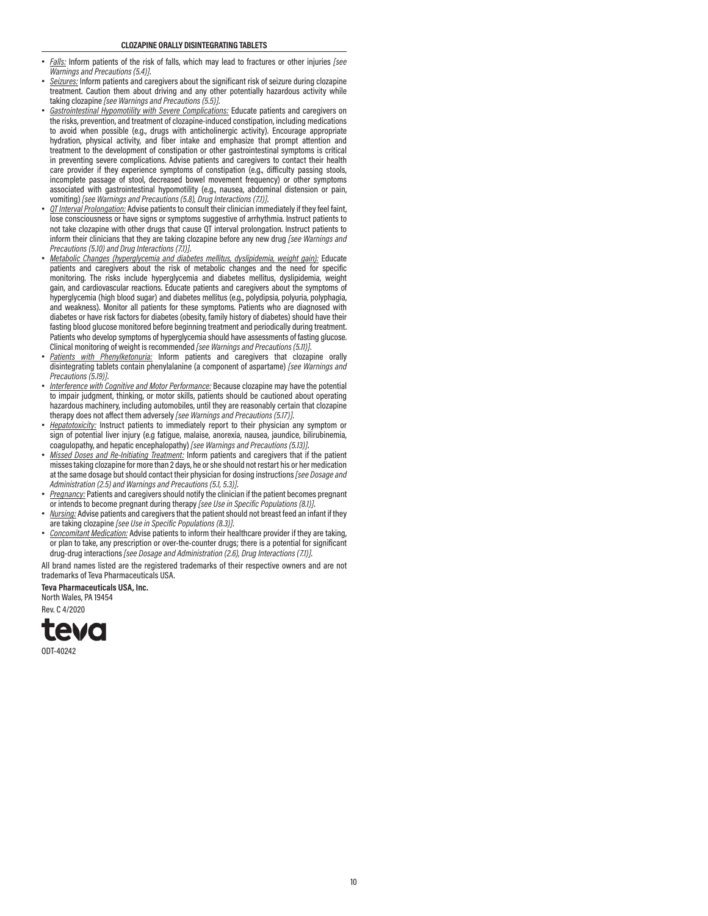- *Falls:* Inform patients of the risk of falls, which may lead to fractures or other injuries *[see Warnings and Precautions (5.4)]*.
- *Seizures:* Inform patients and caregivers about the significant risk of seizure during clozapine treatment. Caution them about driving and any other potentially hazardous activity while taking clozapine *[see Warnings and Precautions (5.5)]*.
- *Gastrointestinal Hypomotility with Severe Complications:* Educate patients and caregivers on the risks, prevention, and treatment of clozapine-induced constipation, including medications to avoid when possible (e.g., drugs with anticholinergic activity). Encourage appropriate hydration, physical activity, and fiber intake and emphasize that prompt attention and treatment to the development of constipation or other gastrointestinal symptoms is critical in preventing severe complications. Advise patients and caregivers to contact their health care provider if they experience symptoms of constipation (e.g., difficulty passing stools, incomplete passage of stool, decreased bowel movement frequency) or other symptoms associated with gastrointestinal hypomotility (e.g., nausea, abdominal distension or pain, vomiting) *[see Warnings and Precautions (5.8), Drug Interactions (7.1)]*.
- *QT Interval Prolongation:* Advise patients to consult their clinician immediately if they feel faint, lose consciousness or have signs or symptoms suggestive of arrhythmia. Instruct patients to not take clozapine with other drugs that cause QT interval prolongation. Instruct patients to inform their clinicians that they are taking clozapine before any new drug *[see Warnings and Precautions (5.10) and Drug Interactions (7.1)]*.
- *Metabolic Changes (hyperglycemia and diabetes mellitus, dyslipidemia, weight gain):* Educate patients and caregivers about the risk of metabolic changes and the need for specific monitoring. The risks include hyperglycemia and diabetes mellitus, dyslipidemia, weight gain, and cardiovascular reactions. Educate patients and caregivers about the symptoms of hyperglycemia (high blood sugar) and diabetes mellitus (e.g., polydipsia, polyuria, polyphagia, and weakness). Monitor all patients for these symptoms. Patients who are diagnosed with diabetes or have risk factors for diabetes (obesity, family history of diabetes) should have their fasting blood glucose monitored before beginning treatment and periodically during treatment. Patients who develop symptoms of hyperglycemia should have assessments of fasting glucose. Clinical monitoring of weight is recommended *[see Warnings and Precautions (5.11)]*.
- *Patients with Phenylketonuria:* Inform patients and caregivers that clozapine orally disintegrating tablets contain phenylalanine (a component of aspartame) *[see Warnings and Precautions (5.19)]*.
- *Interference with Cognitive and Motor Performance:* Because clozapine may have the potential to impair judgment, thinking, or motor skills, patients should be cautioned about operating hazardous machinery, including automobiles, until they are reasonably certain that clozapine therapy does not affect them adversely *[see Warnings and Precautions (5.17)]*.
- *Hepatotoxicity:* Instruct patients to immediately report to their physician any symptom or sign of potential liver injury (e.g fatigue, malaise, anorexia, nausea, jaundice, bilirubinemia, coagulopathy, and hepatic encephalopathy) *[see Warnings and Precautions (5.13)]*.
- *Missed Doses and Re-Initiating Treatment:* Inform patients and caregivers that if the patient misses taking clozapine for more than 2 days, he or she should not restart his or her medication at the same dosage but should contact their physician for dosing instructions *[see Dosage and Administration (2.5) and Warnings and Precautions (5.1, 5.3)]*.
- *Pregnancy:* Patients and caregivers should notify the clinician if the patient becomes pregnant or intends to become pregnant during therapy *[see Use in Specific Populations (8.1)]*.
- *Nursing:* Advise patients and caregivers that the patient should not breast feed an infant if they are taking clozapine *[see Use in Specific Populations (8.3)]*.
- *Concomitant Medication:* Advise patients to inform their healthcare provider if they are taking, or plan to take, any prescription or over-the-counter drugs; there is a potential for significant drug-drug interactions *[see Dosage and Administration (2.6), Drug Interactions (7.1)]*.

All brand names listed are the registered trademarks of their respective owners and are not trademarks of Teva Pharmaceuticals USA.

**Teva Pharmaceuticals USA, Inc.** North Wales, PA 19454

Rev. C 4/2020

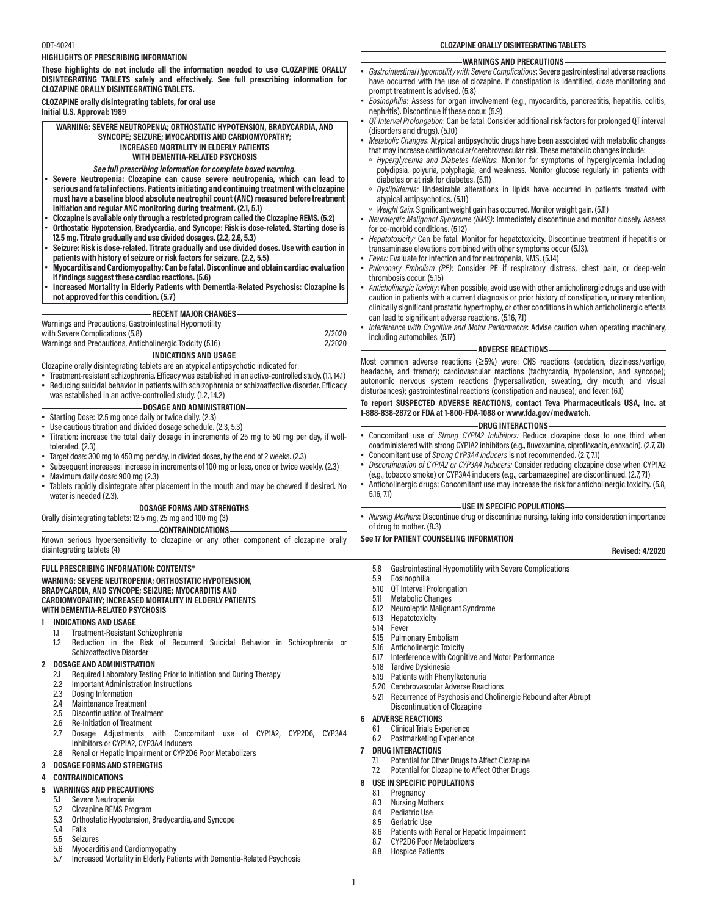#### ODT-40241

#### **HIGHLIGHTS OF PRESCRIBING INFORMATION**

**These highlights do not include all the information needed to use CLOZAPINE ORALLY DISINTEGRATING TABLETS safely and effectively. See full prescribing information for CLOZAPINE ORALLY DISINTEGRATING TABLETS.**

# **CLOZAPINE orally disintegrating tablets, for oral use Initial U.S. Approval: 1989**

**WARNING: SEVERE NEUTROPENIA; ORTHOSTATIC HYPOTENSION, BRADYCARDIA, AND SYNCOPE; SEIZURE; MYOCARDITIS AND CARDIOMYOPATHY; INCREASED MORTALITY IN ELDERLY PATIENTS WITH DEMENTIA-RELATED PSYCHOSIS**

#### *See full prescribing information for complete boxed warning.*

- **Severe Neutropenia: Clozapine can cause severe neutropenia, which can lead to serious and fatal infections. Patients initiating and continuing treatment with clozapine must have a baseline blood absolute neutrophil count (ANC) measured before treatment initiation and regular ANC monitoring during treatment. (2.1, 5.1)**
- **Clozapine is available only through a restricted program called the Clozapine REMS. (5.2)**
- **Orthostatic Hypotension, Bradycardia, and Syncope: Risk is dose-related. Starting dose is 12.5 mg. Titrate gradually and use divided dosages. (2.2, 2.6, 5.3)**
- **Seizure: Risk is dose-related. Titrate gradually and use divided doses. Use with caution in patients with history of seizure or risk factors for seizure. (2.2, 5.5)**
- **Myocarditis and Cardiomyopathy: Can be fatal. Discontinue and obtain cardiac evaluation if findings suggest these cardiac reactions. (5.6)**
- **Increased Mortality in Elderly Patients with Dementia-Related Psychosis: Clozapine is not approved for this condition. (5.7)**

#### **RECENT MAJOR CHANGES**

# Warnings and Precautions, Gastrointestinal Hypomotility with Severe Complications (5.8) 2/2020 Warnings and Precautions, Anticholinergic Toxicity (5.16) 2/2020

**INDICATIONS AND USAGE** Clozapine orally disintegrating tablets are an atypical antipsychotic indicated for:

- Treatment-resistant schizophrenia. Efficacy was established in an active-controlled study. (1.1, 14.1)
- Reducing suicidal behavior in patients with schizophrenia or schizoaffective disorder. Efficacy was established in an active-controlled study. (1.2, 14.2)

# **DOSAGE AND ADMINISTRATION**

- Starting Dose: 12.5 mg once daily or twice daily. (2.3)
- Use cautious titration and divided dosage schedule. (2.3, 5.3)
- Titration: increase the total daily dosage in increments of 25 mg to 50 mg per day, if welltolerated. (2.3)
- Target dose: 300 mg to 450 mg per day, in divided doses, by the end of 2 weeks. (2.3)
- Subsequent increases: increase in increments of 100 mg or less, once or twice weekly. (2.3)
- Maximum daily dose: 900 mg (2.3)
- Tablets rapidly disintegrate after placement in the mouth and may be chewed if desired. No water is needed (2.3).

#### **DOSAGE FORMS AND STRENGTHS**

Orally disintegrating tablets: 12.5 mg, 25 mg and 100 mg (3)

**CONTRAINDICATIONS**

Known serious hypersensitivity to clozapine or any other component of clozapine orally disintegrating tablets (4)

#### **FULL PRESCRIBING INFORMATION: CONTENTS\***

#### **WARNING: SEVERE NEUTROPENIA; ORTHOSTATIC HYPOTENSION, BRADYCARDIA, AND SYNCOPE; SEIZURE; MYOCARDITIS AND CARDIOMYOPATHY; INCREASED MORTALITY IN ELDERLY PATIENTS WITH DEMENTIA-RELATED PSYCHOSIS**

#### **1 INDICATIONS AND USAGE**

- 1.1 Treatment-Resistant Schizophrenia<br>12 Reduction in the Risk of Rec
- Reduction in the Risk of Recurrent Suicidal Behavior in Schizophrenia or Schizoaffective Disorder

#### **2 DOSAGE AND ADMINISTRATION**

- 2.1 Required Laboratory Testing Prior to Initiation and During Therapy<br>2.2 Important Administration Instructions
- 2.2 Important Administration Instructions
- 2.3 Dosing Information<br>2.4 Maintenance Treatm
- 2.4 Maintenance Treatment<br>2.5 Discontinuation of Treat
- 2.5 Discontinuation of Treatment<br>2.6 Re-Initiation of Treatment
- **Re-Initiation of Treatment**
- 2.7 Dosage Adjustments with Concomitant use of CYP1A2, CYP2D6, CYP3A4 Inhibitors or CYP1A2, CYP3A4 Inducers
- 2.8 Renal or Hepatic Impairment or CYP2D6 Poor Metabolizers
- **3 DOSAGE FORMS AND STRENGTHS**

# **4 CONTRAINDICATIONS**

# **5 WARNINGS AND PRECAUTIONS**

- 5.1 Severe Neutropenia
- 5.2 Clozapine REMS Program<br>5.3 Orthostatic Hypotension
- 5.3 Orthostatic Hypotension, Bradycardia, and Syncope
- 5.4 Falls
- 5.5 Seizures
- Myocarditis and Cardiomyopathy
- 5.7 Increased Mortality in Elderly Patients with Dementia-Related Psychosis

**CLOZAPINE ORALLY DISINTEGRATING TABLETS**

#### **WARNINGS AND PRECAUTIONS**

- *Gastrointestinal Hypomotility with Severe Complications*: Severe gastrointestinal adverse reactions have occurred with the use of clozapine. If constipation is identified, close monitoring and prompt treatment is advised. (5.8)
- *Eosinophilia*: Assess for organ involvement (e.g., myocarditis, pancreatitis, hepatitis, colitis, nephritis). Discontinue if these occur. (5.9)
- *QT Interval Prolongation*: Can be fatal. Consider additional risk factors for prolonged QT interval (disorders and drugs). (5.10)
- *Metabolic Changes*: Atypical antipsychotic drugs have been associated with metabolic changes that may increase cardiovascular/cerebrovascular risk. These metabolic changes include:
- *Hyperglycemia and Diabetes Mellitus*: Monitor for symptoms of hyperglycemia including polydipsia, polyuria, polyphagia, and weakness. Monitor glucose regularly in patients with diabetes or at risk for diabetes. (5.11)
- *Dyslipidemia:* Undesirable alterations in lipids have occurred in patients treated with atypical antipsychotics. (5.11)
- *Weight Gain:* Significant weight gain has occurred. Monitor weight gain. (5.11)
- *Neuroleptic Malignant Syndrome (NMS)*: Immediately discontinue and monitor closely. Assess for co-morbid conditions. (5.12)
- *Hepatotoxicity:* Can be fatal. Monitor for hepatotoxicity. Discontinue treatment if hepatitis or transaminase elevations combined with other symptoms occur (5.13).
- *Fever:* Evaluate for infection and for neutropenia, NMS. (5.14)
- *Pulmonary Embolism (PE)*: Consider PE if respiratory distress, chest pain, or deep-vein thrombosis occur. (5.15)
- *Anticholinergic Toxicity*: When possible, avoid use with other anticholinergic drugs and use with caution in patients with a current diagnosis or prior history of constipation, urinary retention, clinically significant prostatic hypertrophy, or other conditions in which anticholinergic effects can lead to significant adverse reactions. (5.16, 7.1)
- *Interference with Cognitive and Motor Performance*: Advise caution when operating machinery, including automobiles. (5.17)

#### **ADVERSE REACTIONS**

Most common adverse reactions (≥5%) were: CNS reactions (sedation, dizziness/vertigo, headache, and tremor); cardiovascular reactions (tachycardia, hypotension, and syncope); autonomic nervous system reactions (hypersalivation, sweating, dry mouth, and visual disturbances); gastrointestinal reactions (constipation and nausea); and fever. (6.1)

# **To report SUSPECTED ADVERSE REACTIONS, contact Teva Pharmaceuticals USA, Inc. at 1-888-838-2872 or FDA at 1-800-FDA-1088 or www.fda.gov/medwatch.**

# **DRUG INTERACTIONS**

- Concomitant use of *Strong CYP1A2 Inhibitors:* Reduce clozapine dose to one third when coadministered with strong CYP1A2 inhibitors (e.g., fluvoxamine, ciprofloxacin, enoxacin). (2.7, 7.1)
- Concomitant use of *Strong CYP3A4 Inducers* is not recommended. (2.7, 7.1) • *Discontinuation of CYP1A2 or CYP3A4 Inducers:* Consider reducing clozapine dose when CYP1A2
- (e.g., tobacco smoke) or CYP3A4 inducers (e.g., carbamazepine) are discontinued. (2.7, 7.1) • Anticholinergic drugs: Concomitant use may increase the risk for anticholinergic toxicity. (5.8, 5.16, 7.1)

#### **USE IN SPECIFIC POPULATIONS**

• *Nursing Mothers*: Discontinue drug or discontinue nursing, taking into consideration importance of drug to mother. (8.3)

#### **See 17 for PATIENT COUNSELING INFORMATION**

#### **Revised: 4/2020**

- 5.8 Gastrointestinal Hypomotility with Severe Complications
- 5.9 Eosinophilia
- 
- 5.10 QT Interval Prolongation<br>5.11 Metabolic Changes 5.11 Metabolic Changes<br>5.12 Neuroleptic Maliona
- 5.12 Neuroleptic Malignant Syndrome
- 5.13 Hepatotoxicity<br>5.14 Fever
- **Fever** 
	- 5.15 Pulmonary Embolism<br>5.16 Anticholinergic Toxicit
	- 5.16 Anticholinergic Toxicity<br>5.17 Interference with Cogni Interference with Cognitive and Motor Performance
	-
	- 5.18 Tardive Dyskinesia Patients with Phenylketonuria
	- 5.20 Cerebrovascular Adverse Reactions
	- 5.21 Recurrence of Psychosis and Cholinergic Rebound after Abrupt
	- Discontinuation of Clozapine

# **6 ADVERSE REACTIONS**

- 6.1 Clinical Trials Experience
- 6.2 Postmarketing Experience

# **7 DRUG INTERACTIONS**

1

- 7.1 Potential for Other Drugs to Affect Clozapine
- 7.2 Potential for Clozapine to Affect Other Drugs

8.6 Patients with Renal or Hepatic Impairment

#### **8 USE IN SPECIFIC POPULATIONS** Pregnancy

8.7 CYP2D6 Poor Metabolizers<br>8.8 Hospice Patients **Hospice Patients** 

8.3 Nursing Mothers<br>8.4 Pediatric Use 8.4 Pediatric Use<br>8.5 Geriatric Use Geriatric Use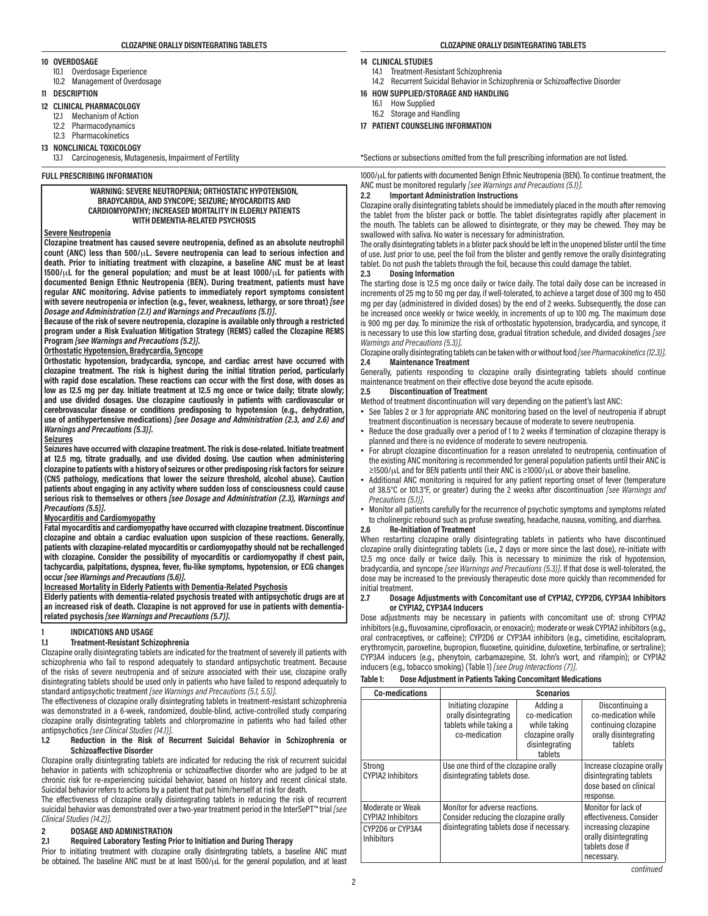#### **10 OVERDOSAGE**

- 10.1 Overdosage Experience
- 10.2 Management of Overdosage

## **11 DESCRIPTION**

- **12 CLINICAL PHARMACOLOGY**
	- 12.1 Mechanism of Action
	- 12.2 Pharmacodynamics
	- 12.3 Pharmacokinetics
- **13 NONCLINICAL TOXICOLOGY**
	- 13.1 Carcinogenesis, Mutagenesis, Impairment of Fertility

**FULL PRESCRIBING INFORMATION** 

#### **WARNING: SEVERE NEUTROPENIA; ORTHOSTATIC HYPOTENSION, BRADYCARDIA, AND SYNCOPE; SEIZURE; MYOCARDITIS AND CARDIOMYOPATHY; INCREASED MORTALITY IN ELDERLY PATIENTS WITH DEMENTIA-RELATED PSYCHOSIS**

# **Severe Neutropenia**

**Clozapine treatment has caused severe neutropenia, defined as an absolute neutrophil count (ANC) less than 500/**μ**L. Severe neutropenia can lead to serious infection and death. Prior to initiating treatment with clozapine, a baseline ANC must be at least 1500/**μ**L for the general population; and must be at least 1000/**μ**L for patients with documented Benign Ethnic Neutropenia (BEN). During treatment, patients must have regular ANC monitoring. Advise patients to immediately report symptoms consistent with severe neutropenia or infection (e.g., fever, weakness, lethargy, or sore throat)** *[see Dosage and Administration (2.1) and Warnings and Precautions (5.1)]***.**

**Because of the risk of severe neutropenia, clozapine is available only through a restricted program under a Risk Evaluation Mitigation Strategy (REMS) called the Clozapine REMS Program** *[see Warnings and Precautions (5.2)]***.**

# **Orthostatic Hypotension, Bradycardia, Syncope**

**Orthostatic hypotension, bradycardia, syncope, and cardiac arrest have occurred with clozapine treatment. The risk is highest during the initial titration period, particularly with rapid dose escalation. These reactions can occur with the first dose, with doses as low as 12.5 mg per day. Initiate treatment at 12.5 mg once or twice daily; titrate slowly; and use divided dosages. Use clozapine cautiously in patients with cardiovascular or cerebrovascular disease or conditions predisposing to hypotension (e.g., dehydration, use of antihypertensive medications)** *[see Dosage and Administration (2.3, and 2.6) and Warnings and Precautions (5.3)]***.**

#### **Seizures**

**Seizures have occurred with clozapine treatment. The risk is dose-related. Initiate treatment at 12.5 mg, titrate gradually, and use divided dosing. Use caution when administering clozapine to patients with a history of seizures or other predisposing risk factors for seizure (CNS pathology, medications that lower the seizure threshold, alcohol abuse). Caution patients about engaging in any activity where sudden loss of consciousness could cause serious risk to themselves or others** *[see Dosage and Administration (2.3), Warnings and Precautions (5.5)]***.**

#### **Myocarditis and Cardiomyopathy**

**Fatal myocarditis and cardiomyopathy have occurred with clozapine treatment. Discontinue clozapine and obtain a cardiac evaluation upon suspicion of these reactions. Generally, patients with clozapine-related myocarditis or cardiomyopathy should not be rechallenged with clozapine. Consider the possibility of myocarditis or cardiomyopathy if chest pain, tachycardia, palpitations, dyspnea, fever, flu-like symptoms, hypotension, or ECG changes occur** *[see Warnings and Precautions (5.6)]***.**

# **Increased Mortality in Elderly Patients with Dementia-Related Psychosis**

**Elderly patients with dementia-related psychosis treated with antipsychotic drugs are at an increased risk of death. Clozapine is not approved for use in patients with dementiarelated psychosis** *[see Warnings and Precautions (5.7)]***.**

#### **1 INDICATIONS AND USAGE**

# **1.1 Treatment-Resistant Schizophrenia**

Clozapine orally disintegrating tablets are indicated for the treatment of severely ill patients with schizophrenia who fail to respond adequately to standard antipsychotic treatment. Because of the risks of severe neutropenia and of seizure associated with their use, clozapine orally disintegrating tablets should be used only in patients who have failed to respond adequately to standard antipsychotic treatment *[see Warnings and Precautions (5.1, 5.5)]*.

The effectiveness of clozapine orally disintegrating tablets in treatment-resistant schizophrenia was demonstrated in a 6-week, randomized, double-blind, active-controlled study comparing clozapine orally disintegrating tablets and chlorpromazine in patients who had failed other antipsychotics *[see Clinical Studies (14.1)]*.

### **1.2 Reduction in the Risk of Recurrent Suicidal Behavior in Schizophrenia or Schizoaffective Disorder**

Clozapine orally disintegrating tablets are indicated for reducing the risk of recurrent suicidal behavior in patients with schizophrenia or schizoaffective disorder who are judged to be at chronic risk for re-experiencing suicidal behavior, based on history and recent clinical state. Suicidal behavior refers to actions by a patient that put him/herself at risk for death.

The effectiveness of clozapine orally disintegrating tablets in reducing the risk of recurrent suicidal behavior was demonstrated over a two-year treatment period in the InterSePT™ trial *[see Clinical Studies (14.2)]*.

#### **2 DOSAGE AND ADMINISTRATION**

#### **2.1 Required Laboratory Testing Prior to Initiation and During Therapy**

Prior to initiating treatment with clozapine orally disintegrating tablets, a baseline ANC must be obtained. The baseline ANC must be at least 1500/μL for the general population, and at least

#### **CLOZAPINE ORALLY DISINTEGRATING TABLETS CLOZAPINE ORALLY DISINTEGRATING TABLETS**

#### **14 CLINICAL STUDIES**

- 14.1 Treatment-Resistant Schizophrenia
- 14.2 Recurrent Suicidal Behavior in Schizophrenia or Schizoaffective Disorder
- **16 HOW SUPPLIED/STORAGE AND HANDLING**
	- 16.1 How Supplied
	- 16.2 Storage and Handling
- **17 PATIENT COUNSELING INFORMATION**

\*Sections or subsections omitted from the full prescribing information are not listed.

1000/μL for patients with documented Benign Ethnic Neutropenia (BEN). To continue treatment, the ANC must be monitored regularly *[see Warnings and Precautions (5.1)]*.

## **2.2 Important Administration Instructions**

Clozapine orally disintegrating tablets should be immediately placed in the mouth after removing the tablet from the blister pack or bottle. The tablet disintegrates rapidly after placement in the mouth. The tablets can be allowed to disintegrate, or they may be chewed. They may be swallowed with saliva. No water is necessary for administration.

The orally disintegrating tablets in a blister pack should be left in the unopened blister until the time of use. Just prior to use, peel the foil from the blister and gently remove the orally disintegrating tablet. Do not push the tablets through the foil, because this could damage the tablet.<br>2.3 **Dosing Information** 

#### **2.3 Dosing Information**

The starting dose is 12.5 mg once daily or twice daily. The total daily dose can be increased in increments of 25 mg to 50 mg per day, if well-tolerated, to achieve a target dose of 300 mg to 450 mg per day (administered in divided doses) by the end of 2 weeks. Subsequently, the dose can be increased once weekly or twice weekly, in increments of up to 100 mg. The maximum dose is 900 mg per day. To minimize the risk of orthostatic hypotension, bradycardia, and syncope, it is necessary to use this low starting dose, gradual titration schedule, and divided dosages *[see Warnings and Precautions (5.3)]*.

Clozapine orally disintegrating tablets can be taken with or without food *[see Pharmacokinetics (12.3)]*.<br>24 **Maintenance Treatment 2.4 Maintenance Treatment**

Generally, patients responding to clozapine orally disintegrating tablets should continue maintenance treatment on their effective dose beyond the acute episode.<br>2.5 Discontinuation of Treatment

# **2.5 Discontinuation of Treatment**

Method of treatment discontinuation will vary depending on the patient's last ANC:

- See Tables 2 or 3 for appropriate ANC monitoring based on the level of neutropenia if abrupt treatment discontinuation is necessary because of moderate to severe neutropenia.
- Reduce the dose gradually over a period of 1 to 2 weeks if termination of clozapine therapy is planned and there is no evidence of moderate to severe neutropenia.
- For abrupt clozapine discontinuation for a reason unrelated to neutropenia, continuation of the existing ANC monitoring is recommended for general population patients until their ANC is ≥1500/μL and for BEN patients until their ANC is ≥1000/μL or above their baseline.
- Additional ANC monitoring is required for any patient reporting onset of fever (temperature of 38.5°C or 101.3°F, or greater) during the 2 weeks after discontinuation *[see Warnings and Precautions (5.1)]*.
- Monitor all patients carefully for the recurrence of psychotic symptoms and symptoms related to cholinergic rebound such as profuse sweating, headache, nausea, vomiting, and diarrhea.

#### **2.6 Re-Initiation of Treatment**

When restarting clozapine orally disintegrating tablets in patients who have discontinued clozapine orally disintegrating tablets (i.e., 2 days or more since the last dose), re-initiate with 12.5 mg once daily or twice daily. This is necessary to minimize the risk of hypotension, bradycardia, and syncope *[see Warnings and Precautions (5.3)]*. If that dose is well-tolerated, the dose may be increased to the previously therapeutic dose more quickly than recommended for initial treatment.<br>2.7 Dosago

#### **2.7 Dosage Adjustments with Concomitant use of CYP1A2, CYP2D6, CYP3A4 Inhibitors or CYP1A2, CYP3A4 Inducers**

Dose adjustments may be necessary in patients with concomitant use of: strong CYP1A2 inhibitors (e.g., fluvoxamine, ciprofloxacin, or enoxacin); moderate or weak CYP1A2 inhibitors (e.g., oral contraceptives, or caffeine); CYP2D6 or CYP3A4 inhibitors (e.g., cimetidine, escitalopram, erythromycin, paroxetine, bupropion, fluoxetine, quinidine, duloxetine, terbinafine, or sertraline); CYP3A4 inducers (e.g., phenytoin, carbamazepine, St. John's wort, and rifampin); or CYP1A2 inducers (e.g., tobacco smoking) (Table 1) *[see Drug Interactions (7)]*.

# **Table 1: Dose Adjustment in Patients Taking Concomitant Medications**

| <b>Co-medications</b>                                                                 |                                                                                                                       | <b>Scenarios</b>                                                                           |                                                                                                                                  |
|---------------------------------------------------------------------------------------|-----------------------------------------------------------------------------------------------------------------------|--------------------------------------------------------------------------------------------|----------------------------------------------------------------------------------------------------------------------------------|
|                                                                                       | Initiating clozapine<br>orally disintegrating<br>tablets while taking a<br>co-medication                              | Adding a<br>co-medication<br>while taking<br>clozapine orally<br>disintegrating<br>tablets | Discontinuing a<br>co-medication while<br>continuing clozapine<br>orally disintegrating<br>tablets                               |
| Strong<br><b>CYP1A2 Inhibitors</b>                                                    | Use one third of the clozapine orally<br>disintegrating tablets dose.                                                 | Increase clozapine orally<br>disintegrating tablets<br>dose based on clinical<br>response. |                                                                                                                                  |
| Moderate or Weak<br><b>CYP1A2 Inhibitors</b><br>CYP2D6 or CYP3A4<br><b>Inhibitors</b> | Monitor for adverse reactions.<br>Consider reducing the clozapine orally<br>disintegrating tablets dose if necessary. |                                                                                            | Monitor for lack of<br>effectiveness. Consider<br>increasing clozapine<br>orally disintegrating<br>tablets dose if<br>necessary. |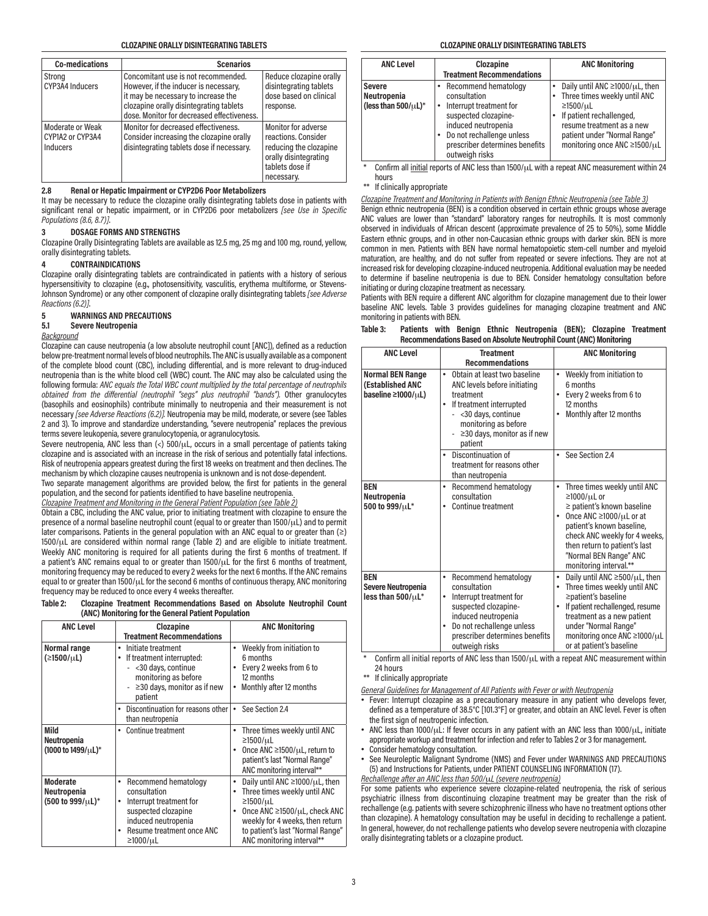| <b>Co-medications</b>                            | <b>Scenarios</b>                                                                                                                                                                                             |                                                                                                                                |
|--------------------------------------------------|--------------------------------------------------------------------------------------------------------------------------------------------------------------------------------------------------------------|--------------------------------------------------------------------------------------------------------------------------------|
| Strong<br>CYP3A4 Inducers                        | Concomitant use is not recommended.<br>However, if the inducer is necessary,<br>it may be necessary to increase the<br>clozapine orally disintegrating tablets<br>dose. Monitor for decreased effectiveness. | Reduce clozapine orally<br>disintegrating tablets<br>dose based on clinical<br>response.                                       |
| Moderate or Weak<br>CYP1A2 or CYP3A4<br>Inducers | Monitor for decreased effectiveness.<br>Consider increasing the clozapine orally<br>disintegrating tablets dose if necessary.                                                                                | Monitor for adverse<br>reactions. Consider<br>reducing the clozapine<br>orally disintegrating<br>tablets dose if<br>necessary. |

#### **2.8 Renal or Hepatic Impairment or CYP2D6 Poor Metabolizers**

It may be necessary to reduce the clozapine orally disintegrating tablets dose in patients with significant renal or hepatic impairment, or in CYP2D6 poor metabolizers *[see Use in Specific Populations (8.6, 8.7)]*.

#### **3 DOSAGE FORMS AND STRENGTHS**

Clozapine Orally Disintegrating Tablets are available as 12.5 mg, 25 mg and 100 mg, round, yellow, orally disintegrating tablets.

### **4 CONTRAINDICATIONS**

Clozapine orally disintegrating tablets are contraindicated in patients with a history of serious hypersensitivity to clozapine (e.g., photosensitivity, vasculitis, erythema multiforme, or Stevens-Johnson Syndrome) or any other component of clozapine orally disintegrating tablets *[see Adverse Reactions (6.2)]*.

# **5 WARNINGS AND PRECAUTIONS**

#### **5.1 Severe Neutropenia**

# *Background*

Clozapine can cause neutropenia (a low absolute neutrophil count [ANC]), defined as a reduction below pre-treatment normal levels of blood neutrophils. The ANC is usually available as a component of the complete blood count (CBC), including differential, and is more relevant to drug-induced neutropenia than is the white blood cell (WBC) count. The ANC may also be calculated using the following formula: *ANC equals the Total WBC count multiplied by the total percentage of neutrophils obtained from the differential (neutrophil "segs" plus neutrophil "bands").* Other granulocytes (basophils and eosinophils) contribute minimally to neutropenia and their measurement is not necessary *[see Adverse Reactions (6.2)].* Neutropenia may be mild, moderate, or severe (see Tables 2 and 3). To improve and standardize understanding, "severe neutropenia" replaces the previous terms severe leukopenia, severe granulocytopenia, or agranulocytosis.

Severe neutropenia, ANC less than  $\langle \cdot \rangle$  500/ $\mu$ L, occurs in a small percentage of patients taking clozapine and is associated with an increase in the risk of serious and potentially fatal infections. Risk of neutropenia appears greatest during the first 18 weeks on treatment and then declines. The mechanism by which clozapine causes neutropenia is unknown and is not dose-dependent.

Two separate management algorithms are provided below, the first for patients in the general population, and the second for patients identified to have baseline neutropenia.

*Clozapine Treatment and Monitoring in the General Patient Population (see Table 2)*

Obtain a CBC, including the ANC value, prior to initiating treatment with clozapine to ensure the presence of a normal baseline neutrophil count (equal to or greater than 1500/μL) and to permit later comparisons. Patients in the general population with an ANC equal to or greater than (≥) 1500/μL are considered within normal range (Table 2) and are eligible to initiate treatment. Weekly ANC monitoring is required for all patients during the first 6 months of treatment. If a patient's ANC remains equal to or greater than 1500/μL for the first 6 months of treatment, monitoring frequency may be reduced to every 2 weeks for the next 6 months. If the ANC remains equal to or greater than 1500/μL for the second 6 months of continuous therapy, ANC monitoring frequency may be reduced to once every 4 weeks thereafter.

#### **Table 2: Clozapine Treatment Recommendations Based on Absolute Neutrophil Count (ANC) Monitoring for the General Patient Population**

| <b>ANC Level</b>                                         | Clozapine<br><b>Treatment Recommendations</b>                                                                                                                                          | <b>ANC Monitoring</b>                                                                                                                                                                                                                                             |
|----------------------------------------------------------|----------------------------------------------------------------------------------------------------------------------------------------------------------------------------------------|-------------------------------------------------------------------------------------------------------------------------------------------------------------------------------------------------------------------------------------------------------------------|
| Normal range<br>(≥1500/µL)                               | Initiate treatment<br>٠<br>If treatment interrupted:<br>٠<br>- < 30 days, continue<br>monitoring as before<br>$\geq$ 30 days, monitor as if new<br>$\overline{\phantom{0}}$<br>patient | Weekly from initiation to<br>٠<br>6 months<br>Every 2 weeks from 6 to<br>12 months<br>Monthly after 12 months                                                                                                                                                     |
|                                                          | Discontinuation for reasons other<br>than neutropenia                                                                                                                                  | See Section 2.4<br>$\bullet$                                                                                                                                                                                                                                      |
| Mild<br>Neutropenia<br>(1000 to 1499/uL)*                | Continue treatment<br>٠                                                                                                                                                                | Three times weekly until ANC<br>٠<br>$\geq 1500/\mu L$<br>Once ANC $\geq$ 1500/ $\mu$ L, return to<br>patient's last "Normal Range"<br>ANC monitoring interval**                                                                                                  |
| <b>Moderate</b><br>Neutropenia<br>$(500 to 999/\mu L)^*$ | Recommend hematology<br>٠<br>consultation<br>Interrupt treatment for<br>٠<br>suspected clozapine<br>induced neutropenia<br>Resume treatment once ANC<br>٠<br>≥1000/µL                  | Daily until ANC $\geq$ 1000/ $\mu$ L, then<br>٠<br>Three times weekly until ANC<br>$\bullet$<br>$\geq 1500/\mu L$<br>Once ANC $\geq$ 1500/ $\mu$ L, check ANC<br>weekly for 4 weeks, then return<br>to patient's last "Normal Range"<br>ANC monitoring interval** |

| <b>ANC Level</b>                                          | Clozapine<br><b>Treatment Recommendations</b>                                                                                                                                                   | <b>ANC Monitoring</b>                                                                                                                                                                                                    |
|-----------------------------------------------------------|-------------------------------------------------------------------------------------------------------------------------------------------------------------------------------------------------|--------------------------------------------------------------------------------------------------------------------------------------------------------------------------------------------------------------------------|
| <b>Severe</b><br>Neutropenia<br>(less than $500/\mu L$ )* | Recommend hematology<br>consultation<br>Interrupt treatment for<br>suspected clozapine-<br>induced neutropenia<br>Do not rechallenge unless<br>prescriber determines benefits<br>outweigh risks | Daily until ANC $\geq$ 1000/ $\mu$ L, then<br>Three times weekly until ANC<br>$\geq 1500/\mu L$<br>If patient rechallenged,<br>resume treatment as a new<br>patient under "Normal Range"<br>monitoring once ANC ≥1500/µL |
|                                                           |                                                                                                                                                                                                 | Confirm all initial reports of ANC less than 1500/ul with a repeat ANC measurement within 24                                                                                                                             |

\* Confirm all initial reports of ANC less than 1500/μL with a repeat ANC measurement within 24 hours

\*\* If clinically appropriate

*Clozapine Treatment and Monitoring in Patients with Benign Ethnic Neutropenia (see Table 3)*

Benign ethnic neutropenia (BEN) is a condition observed in certain ethnic groups whose average ANC values are lower than "standard" laboratory ranges for neutrophils. It is most commonly observed in individuals of African descent (approximate prevalence of 25 to 50%), some Middle Eastern ethnic groups, and in other non-Caucasian ethnic groups with darker skin. BEN is more common in men. Patients with BEN have normal hematopoietic stem-cell number and myeloid maturation, are healthy, and do not suffer from repeated or severe infections. They are not at increased risk for developing clozapine-induced neutropenia. Additional evaluation may be needed to determine if baseline neutropenia is due to BEN. Consider hematology consultation before initiating or during clozapine treatment as necessary.

Patients with BEN require a different ANC algorithm for clozapine management due to their lower baseline ANC levels. Table 3 provides guidelines for managing clozapine treatment and ANC monitoring in patients with BEN.

| Table 3: |  |  | Patients with Benign Ethnic Neutropenia (BEN); Clozapine Treatment  |  |  |
|----------|--|--|---------------------------------------------------------------------|--|--|
|          |  |  | Recommendations Based on Absolute Neutrophil Count (ANC) Monitoring |  |  |

| <b>ANC Level</b>                                                            | <b>Treatment</b><br><b>Recommendations</b>                                                                                                                                                                     | <b>ANC Monitoring</b>                                                                                                                                                                                                                                                                |
|-----------------------------------------------------------------------------|----------------------------------------------------------------------------------------------------------------------------------------------------------------------------------------------------------------|--------------------------------------------------------------------------------------------------------------------------------------------------------------------------------------------------------------------------------------------------------------------------------------|
| <b>Normal BEN Range</b><br>(Established ANC<br>baseline $\geq 1000/\mu L$ ) | Obtain at least two baseline<br>۰<br>ANC levels before initiating<br>treatment<br>If treatment interrupted<br>- < 30 days, continue<br>monitoring as before<br>$\geq$ 30 days, monitor as if new<br>patient    | Weekly from initiation to<br>$\bullet$<br>6 months<br>Every 2 weeks from 6 to<br>$\bullet$<br>12 months<br>Monthly after 12 months                                                                                                                                                   |
|                                                                             | Discontinuation of<br>٠<br>treatment for reasons other<br>than neutropenia                                                                                                                                     | See Section 2.4                                                                                                                                                                                                                                                                      |
| <b>BEN</b><br>Neutropenia<br>500 to 999/µL*                                 | Recommend hematology<br>۰<br>consultation<br>Continue treatment                                                                                                                                                | Three times weekly until ANC<br>$\bullet$<br>$\geq$ 1000/ $\mu$ L or<br>≥ patient's known baseline<br>Once ANC ≥1000/µL or at<br>patient's known baseline,<br>check ANC weekly for 4 weeks,<br>then return to patient's last<br>"Normal BEN Range" ANC<br>monitoring interval.**     |
| <b>BEN</b><br>Severe Neutropenia<br>less than $500/\mu L^*$                 | Recommend hematology<br>۰<br>consultation<br>Interrupt treatment for<br>٠<br>suspected clozapine-<br>induced neutropenia<br>Do not rechallenge unless<br>٠<br>prescriber determines benefits<br>outweigh risks | Daily until ANC $\geq$ 500/ $\mu$ L, then<br>$\bullet$<br>Three times weekly until ANC<br>$\bullet$<br>≥patient's baseline<br>If patient rechallenged, resume<br>۰<br>treatment as a new patient<br>under "Normal Range"<br>monitoring once ANC ≥1000/µL<br>or at patient's baseline |

Confirm all initial reports of ANC less than  $1500/\mu L$  with a repeat ANC measurement within 24 hours

\*\* If clinically appropriate

*General Guidelines for Management of All Patients with Fever or with Neutropenia*

- Fever: Interrupt clozapine as a precautionary measure in any patient who develops fever, defined as a temperature of 38.5°C [101.3°F] or greater, and obtain an ANC level. Fever is often the first sign of neutropenic infection.
- ANC less than 1000/ $\mu$ L: If fever occurs in any patient with an ANC less than 1000/ $\mu$ L, initiate appropriate workup and treatment for infection and refer to Tables 2 or 3 for management.
- Consider hematology consultation.
- See Neuroleptic Malignant Syndrome (NMS) and Fever under WARNINGS AND PRECAUTIONS (5) and Instructions for Patients, under PATIENT COUNSELING INFORMATION (17).
- *Rechallenge after an ANC less than 500/*μ*L (severe neutropenia)*

For some patients who experience severe clozapine-related neutropenia, the risk of serious psychiatric illness from discontinuing clozapine treatment may be greater than the risk of rechallenge (e.g. patients with severe schizophrenic illness who have no treatment options other than clozapine). A hematology consultation may be useful in deciding to rechallenge a patient. In general, however, do not rechallenge patients who develop severe neutropenia with clozapine orally disintegrating tablets or a clozapine product.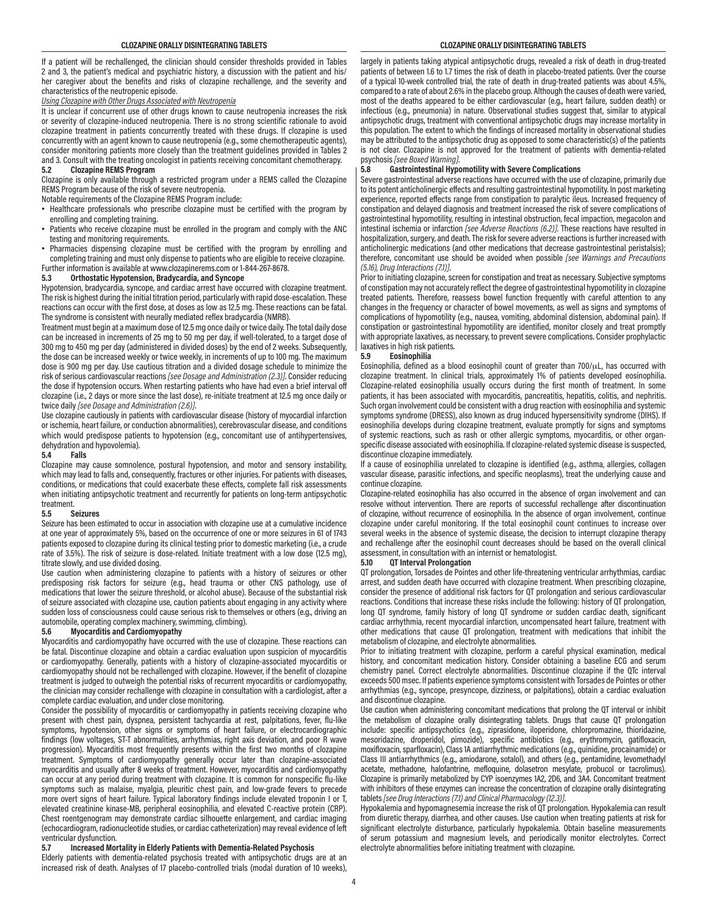If a patient will be rechallenged, the clinician should consider thresholds provided in Tables 2 and 3, the patient's medical and psychiatric history, a discussion with the patient and his/ her caregiver about the benefits and risks of clozapine rechallenge, and the severity and characteristics of the neutropenic episode.

#### *Using Clozapine with Other Drugs Associated with Neutropenia*

It is unclear if concurrent use of other drugs known to cause neutropenia increases the risk or severity of clozapine-induced neutropenia. There is no strong scientific rationale to avoid clozapine treatment in patients concurrently treated with these drugs. If clozapine is used concurrently with an agent known to cause neutropenia (e.g., some chemotherapeutic agents), consider monitoring patients more closely than the treatment guidelines provided in Tables 2 and 3. Consult with the treating oncologist in patients receiving concomitant chemotherapy.

#### **5.2 Clozapine REMS Program**

Clozapine is only available through a restricted program under a REMS called the Clozapine REMS Program because of the risk of severe neutropenia.

Notable requirements of the Clozapine REMS Program include:

- Healthcare professionals who prescribe clozapine must be certified with the program by enrolling and completing training.
- Patients who receive clozapine must be enrolled in the program and comply with the ANC testing and monitoring requirements.
- Pharmacies dispensing clozapine must be certified with the program by enrolling and completing training and must only dispense to patients who are eligible to receive clozapine.

Further information is available at www.clozapinerems.com or 1-844-267-8678.<br>5.3 Orthostatic Hypotension, Bradycardia, and Syncone

### **5.3 Orthostatic Hypotension, Bradycardia, and Syncope**

Hypotension, bradycardia, syncope, and cardiac arrest have occurred with clozapine treatment. The risk is highest during the initial titration period, particularly with rapid dose-escalation. These reactions can occur with the first dose, at doses as low as 12.5 mg. These reactions can be fatal. The syndrome is consistent with neurally mediated reflex bradycardia (NMRB).

Treatment must begin at a maximum dose of 12.5 mg once daily or twice daily. The total daily dose can be increased in increments of 25 mg to 50 mg per day, if well-tolerated, to a target dose of 300 mg to 450 mg per day (administered in divided doses) by the end of 2 weeks. Subsequently, the dose can be increased weekly or twice weekly, in increments of up to 100 mg. The maximum dose is 900 mg per day. Use cautious titration and a divided dosage schedule to minimize the risk of serious cardiovascular reactions *[see Dosage and Administration (2.3)]*. Consider reducing the dose if hypotension occurs. When restarting patients who have had even a brief interval off clozapine (i.e., 2 days or more since the last dose), re-initiate treatment at 12.5 mg once daily or twice daily *[see Dosage and Administration (2.6)]*.

Use clozapine cautiously in patients with cardiovascular disease (history of myocardial infarction or ischemia, heart failure, or conduction abnormalities), cerebrovascular disease, and conditions which would predispose patients to hypotension (e.g., concomitant use of antihypertensives, dehydration and hypovolemia).<br>5.4 Falls

#### **5.4 Falls**

Clozapine may cause somnolence, postural hypotension, and motor and sensory instability, which may lead to falls and, consequently, fractures or other injuries. For patients with diseases, conditions, or medications that could exacerbate these effects, complete fall risk assessments when initiating antipsychotic treatment and recurrently for patients on long-term antipsychotic

#### treatment.<br>5.5 **5.5 Seizures**

Seizure has been estimated to occur in association with clozapine use at a cumulative incidence at one year of approximately 5%, based on the occurrence of one or more seizures in 61 of 1743 patients exposed to clozapine during its clinical testing prior to domestic marketing (i.e., a crude rate of 3.5%). The risk of seizure is dose-related. Initiate treatment with a low dose (12.5 mg), titrate slowly, and use divided dosing.

Use caution when administering clozapine to patients with a history of seizures or other predisposing risk factors for seizure (e.g., head trauma or other CNS pathology, use of medications that lower the seizure threshold, or alcohol abuse). Because of the substantial risk of seizure associated with clozapine use, caution patients about engaging in any activity where sudden loss of consciousness could cause serious risk to themselves or others (e.g., driving an automobile, operating complex machinery, swimming, climbing).

#### **5.6 Myocarditis and Cardiomyopathy**

Myocarditis and cardiomyopathy have occurred with the use of clozapine. These reactions can be fatal. Discontinue clozapine and obtain a cardiac evaluation upon suspicion of myocarditis or cardiomyopathy. Generally, patients with a history of clozapine-associated myocarditis or cardiomyopathy should not be rechallenged with clozapine. However, if the benefit of clozapine treatment is judged to outweigh the potential risks of recurrent myocarditis or cardiomyopathy, the clinician may consider rechallenge with clozapine in consultation with a cardiologist, after a complete cardiac evaluation, and under close monitoring.

Consider the possibility of myocarditis or cardiomyopathy in patients receiving clozapine who present with chest pain, dyspnea, persistent tachycardia at rest, palpitations, fever, flu-like symptoms, hypotension, other signs or symptoms of heart failure, or electrocardiographic findings (low voltages, ST-T abnormalities, arrhythmias, right axis deviation, and poor R wave progression). Myocarditis most frequently presents within the first two months of clozapine treatment. Symptoms of cardiomyopathy generally occur later than clozapine-associated myocarditis and usually after 8 weeks of treatment. However, myocarditis and cardiomyopathy can occur at any period during treatment with clozapine. It is common for nonspecific flu-like symptoms such as malaise, myalgia, pleuritic chest pain, and low-grade fevers to precede more overt signs of heart failure. Typical laboratory findings include elevated troponin I or T, elevated creatinine kinase-MB, peripheral eosinophilia, and elevated C-reactive protein (CRP). Chest roentgenogram may demonstrate cardiac silhouette enlargement, and cardiac imaging (echocardiogram, radionucleotide studies, or cardiac catheterization) may reveal evidence of left ventricular dysfunction.<br>5.7 **Increased Mone** 

#### **5.7 Increased Mortality in Elderly Patients with Dementia-Related Psychosis**

Elderly patients with dementia-related psychosis treated with antipsychotic drugs are at an increased risk of death. Analyses of 17 placebo-controlled trials (modal duration of 10 weeks),

largely in patients taking atypical antipsychotic drugs, revealed a risk of death in drug-treated patients of between 1.6 to 1.7 times the risk of death in placebo-treated patients. Over the course of a typical 10-week controlled trial, the rate of death in drug-treated patients was about 4.5%, compared to a rate of about 2.6% in the placebo group. Although the causes of death were varied, most of the deaths appeared to be either cardiovascular (e.g., heart failure, sudden death) or infectious (e.g., pneumonia) in nature. Observational studies suggest that, similar to atypical antipsychotic drugs, treatment with conventional antipsychotic drugs may increase mortality in this population. The extent to which the findings of increased mortality in observational studies may be attributed to the antipsychotic drug as opposed to some characteristic(s) of the patients is not clear. Clozapine is not approved for the treatment of patients with dementia-related

#### psychosis *[see Boxed Warning]*. **5.8 Gastrointestinal Hypomotility with Severe Complications**

Severe gastrointestinal adverse reactions have occurred with the use of clozapine, primarily due to its potent anticholinergic effects and resulting gastrointestinal hypomotility. In post marketing experience, reported effects range from constipation to paralytic ileus. Increased frequency of constipation and delayed diagnosis and treatment increased the risk of severe complications of gastrointestinal hypomotility, resulting in intestinal obstruction, fecal impaction, megacolon and intestinal ischemia or infarction *[see Adverse Reactions (6.2)]*. These reactions have resulted in hospitalization, surgery, and death. The risk for severe adverse reactions is further increased with anticholinergic medications (and other medications that decrease gastrointestinal peristalsis); therefore, concomitant use should be avoided when possible *[see Warnings and Precautions (5.16), Drug Interactions (7.1)]*.

Prior to initiating clozapine, screen for constipation and treat as necessary. Subjective symptoms of constipation may not accurately reflect the degree of gastrointestinal hypomotility in clozapine treated patients. Therefore, reassess bowel function frequently with careful attention to any changes in the frequency or character of bowel movements, as well as signs and symptoms of complications of hypomotility (e.g., nausea, vomiting, abdominal distension, abdominal pain). If constipation or gastrointestinal hypomotility are identified, monitor closely and treat promptly with appropriate laxatives, as necessary, to prevent severe complications. Consider prophylactic laxatives in high risk patients.<br>5.9 Fosinophilia

#### **5.9 Eosinophilia**

Eosinophilia, defined as a blood eosinophil count of greater than  $700/\mu$ L, has occurred with clozapine treatment. In clinical trials, approximately 1% of patients developed eosinophilia. Clozapine-related eosinophilia usually occurs during the first month of treatment. In some patients, it has been associated with myocarditis, pancreatitis, hepatitis, colitis, and nephritis. Such organ involvement could be consistent with a drug reaction with eosinophilia and systemic symptoms syndrome (DRESS), also known as drug induced hypersensitivity syndrome (DIHS). If eosinophilia develops during clozapine treatment, evaluate promptly for signs and symptoms of systemic reactions, such as rash or other allergic symptoms, myocarditis, or other organspecific disease associated with eosinophilia. If clozapine-related systemic disease is suspected, discontinue clozapine immediately.

If a cause of eosinophilia unrelated to clozapine is identified (e.g., asthma, allergies, collagen vascular disease, parasitic infections, and specific neoplasms), treat the underlying cause and continue clozapine.

Clozapine-related eosinophilia has also occurred in the absence of organ involvement and can resolve without intervention. There are reports of successful rechallenge after discontinuation of clozapine, without recurrence of eosinophilia. In the absence of organ involvement, continue clozapine under careful monitoring. If the total eosinophil count continues to increase over several weeks in the absence of systemic disease, the decision to interrupt clozapine therapy and rechallenge after the eosinophil count decreases should be based on the overall clinical assessment, in consultation with an internist or hematologist.<br>5.10 **OT Interval Prolongation** 

#### **5.10 QT Interval Prolongation**

QT prolongation, Torsades de Pointes and other life-threatening ventricular arrhythmias, cardiac arrest, and sudden death have occurred with clozapine treatment. When prescribing clozapine, consider the presence of additional risk factors for QT prolongation and serious cardiovascular reactions. Conditions that increase these risks include the following: history of QT prolongation, long QT syndrome, family history of long QT syndrome or sudden cardiac death, significant cardiac arrhythmia, recent myocardial infarction, uncompensated heart failure, treatment with other medications that cause QT prolongation, treatment with medications that inhibit the metabolism of clozapine, and electrolyte abnormalities.

Prior to initiating treatment with clozapine, perform a careful physical examination, medical history, and concomitant medication history. Consider obtaining a baseline ECG and serum chemistry panel. Correct electrolyte abnormalities. Discontinue clozapine if the QTc interval exceeds 500 msec. If patients experience symptoms consistent with Torsades de Pointes or other arrhythmias (e.g., syncope, presyncope, dizziness, or palpitations), obtain a cardiac evaluation and discontinue clozapine.

Use caution when administering concomitant medications that prolong the QT interval or inhibit the metabolism of clozapine orally disintegrating tablets. Drugs that cause QT prolongation include: specific antipsychotics (e.g., ziprasidone, iloperidone, chlorpromazine, thioridazine, mesoridazine, droperidol, pimozide), specific antibiotics (e.g., erythromycin, gatifloxacin, moxifloxacin, sparfloxacin), Class 1A antiarrhythmic medications (e.g., quinidine, procainamide) or Class III antiarrhythmics (e.g., amiodarone, sotalol), and others (e.g., pentamidine, levomethadyl acetate, methadone, halofantrine, mefloquine, dolasetron mesylate, probucol or tacrolimus). Clozapine is primarily metabolized by CYP isoenzymes 1A2, 2D6, and 3A4. Concomitant treatment with inhibitors of these enzymes can increase the concentration of clozapine orally disintegrating tablets *[see Drug Interactions (7.1) and Clinical Pharmacology (12.3)]*.

Hypokalemia and hypomagnesemia increase the risk of QT prolongation. Hypokalemia can result from diuretic therapy, diarrhea, and other causes. Use caution when treating patients at risk for significant electrolyte disturbance, particularly hypokalemia. Obtain baseline measurements of serum potassium and magnesium levels, and periodically monitor electrolytes. Correct electrolyte abnormalities before initiating treatment with clozapine.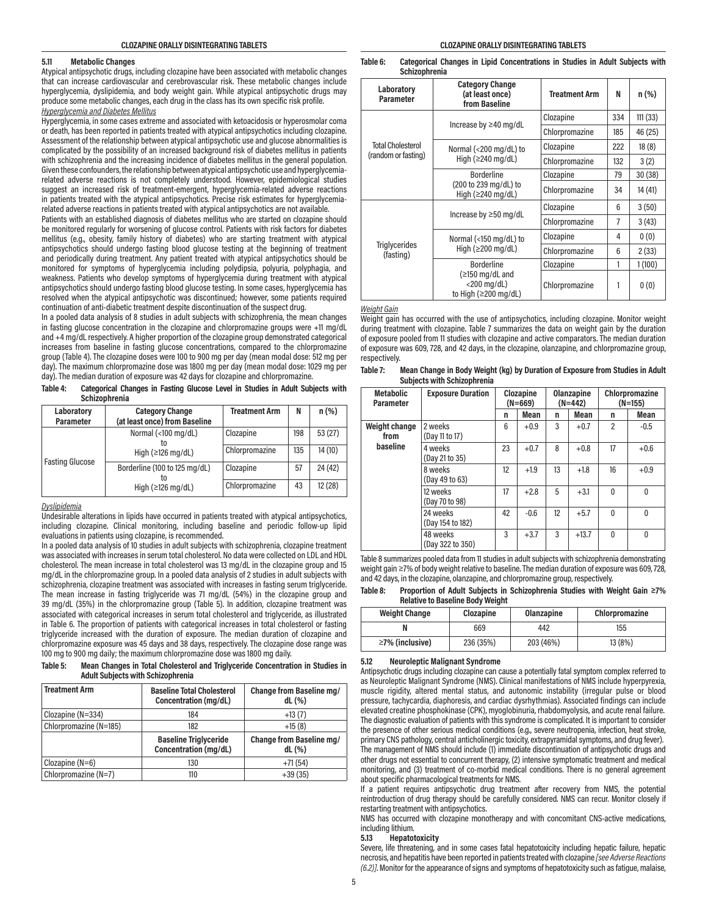#### **5.11 Metabolic Changes**

Atypical antipsychotic drugs, including clozapine have been associated with metabolic changes that can increase cardiovascular and cerebrovascular risk. These metabolic changes include hyperglycemia, dyslipidemia, and body weight gain. While atypical antipsychotic drugs may produce some metabolic changes, each drug in the class has its own specific risk profile. *Hyperglycemia and Diabetes Mellitus*

Hyperglycemia, in some cases extreme and associated with ketoacidosis or hyperosmolar coma or death, has been reported in patients treated with atypical antipsychotics including clozapine. Assessment of the relationship between atypical antipsychotic use and glucose abnormalities is complicated by the possibility of an increased background risk of diabetes mellitus in patients with schizophrenia and the increasing incidence of diabetes mellitus in the general population. Given these confounders, the relationship between atypical antipsychotic use and hyperglycemiarelated adverse reactions is not completely understood. However, epidemiological studies suggest an increased risk of treatment-emergent, hyperglycemia-related adverse reactions in patients treated with the atypical antipsychotics. Precise risk estimates for hyperglycemiarelated adverse reactions in patients treated with atypical antipsychotics are not available.

Patients with an established diagnosis of diabetes mellitus who are started on clozapine should be monitored regularly for worsening of glucose control. Patients with risk factors for diabetes mellitus (e.g., obesity, family history of diabetes) who are starting treatment with atypical antipsychotics should undergo fasting blood glucose testing at the beginning of treatment and periodically during treatment. Any patient treated with atypical antipsychotics should be monitored for symptoms of hyperglycemia including polydipsia, polyuria, polyphagia, and weakness. Patients who develop symptoms of hyperglycemia during treatment with atypical antipsychotics should undergo fasting blood glucose testing. In some cases, hyperglycemia has resolved when the atypical antipsychotic was discontinued; however, some patients required continuation of anti-diabetic treatment despite discontinuation of the suspect drug.

In a pooled data analysis of 8 studies in adult subjects with schizophrenia, the mean changes in fasting glucose concentration in the clozapine and chlorpromazine groups were +11 mg/dL and +4 mg/dL respectively. A higher proportion of the clozapine group demonstrated categorical increases from baseline in fasting glucose concentrations, compared to the chlorpromazine group (Table 4). The clozapine doses were 100 to 900 mg per day (mean modal dose: 512 mg per day). The maximum chlorpromazine dose was 1800 mg per day (mean modal dose: 1029 mg per day). The median duration of exposure was 42 days for clozapine and chlorpromazine.

| Table 4: | Categorical Changes in Fasting Glucose Level in Studies in Adult Subjects with |  |  |  |  |
|----------|--------------------------------------------------------------------------------|--|--|--|--|
|          | Schizophrenia                                                                  |  |  |  |  |

| Laboratory<br>Parameter | <b>Category Change</b><br>(at least once) from Baseline | <b>Treatment Arm</b> | N   | $n$ (%) |
|-------------------------|---------------------------------------------------------|----------------------|-----|---------|
|                         | Normal (<100 mg/dL)                                     | Clozapine            | 198 | 53 (27) |
| <b>Fasting Glucose</b>  | High $(\geq 126 \text{ mg/dL})$                         | Chlorpromazine       | 135 | 14(10)  |
|                         | Borderline (100 to 125 mg/dL)<br>το                     | Clozapine            | 57  | 24 (42) |
|                         | High $(\geq 126 \text{ mg/dL})$                         | Chlorpromazine       | 43  | 12 (28) |

#### *Dyslipidemia*

Undesirable alterations in lipids have occurred in patients treated with atypical antipsychotics, including clozapine. Clinical monitoring, including baseline and periodic follow-up lipid evaluations in patients using clozapine, is recommended.

In a pooled data analysis of 10 studies in adult subjects with schizophrenia, clozapine treatment was associated with increases in serum total cholesterol. No data were collected on LDL and HDL cholesterol. The mean increase in total cholesterol was 13 mg/dL in the clozapine group and 15 mg/dL in the chlorpromazine group. In a pooled data analysis of 2 studies in adult subjects with schizophrenia, clozapine treatment was associated with increases in fasting serum triglyceride. The mean increase in fasting triglyceride was 71 mg/dL (54%) in the clozapine group and 39 mg/dL (35%) in the chlorpromazine group (Table 5). In addition, clozapine treatment was associated with categorical increases in serum total cholesterol and triglyceride, as illustrated in Table 6. The proportion of patients with categorical increases in total cholesterol or fasting triglyceride increased with the duration of exposure. The median duration of clozapine and chlorpromazine exposure was 45 days and 38 days, respectively. The clozapine dose range was 100 mg to 900 mg daily; the maximum chlorpromazine dose was 1800 mg daily.

#### **Table 5: Mean Changes in Total Cholesterol and Triglyceride Concentration in Studies in Adult Subjects with Schizophrenia**

| <b>Treatment Arm</b>   | <b>Baseline Total Cholesterol</b><br>Concentration (mg/dL) | Change from Baseline mg/<br>dL(%)    |
|------------------------|------------------------------------------------------------|--------------------------------------|
| Clozapine $(N=334)$    | 184                                                        | $+13(7)$                             |
| Chlorpromazine (N=185) | 182                                                        | $+15(8)$                             |
|                        |                                                            |                                      |
|                        | <b>Baseline Triglyceride</b><br>Concentration (mg/dL)      | Change from Baseline mg/<br>$dL$ (%) |
| Clozapine $(N=6)$      | 130                                                        | $+71(54)$                            |

#### **Table 6: Categorical Changes in Lipid Concentrations in Studies in Adult Subjects with Schizophrenia**

| Laboratory<br><b>Parameter</b>    | <b>Category Change</b><br>(at least once)<br>from Baseline                     | <b>Treatment Arm</b> | N   | $n$ (%) |
|-----------------------------------|--------------------------------------------------------------------------------|----------------------|-----|---------|
|                                   |                                                                                | Clozapine            | 334 | 111(33) |
|                                   | Increase by $\geq$ 40 mg/dL                                                    | Chlorpromazine       | 185 | 46 (25) |
| <b>Total Cholesterol</b>          | Normal (<200 mg/dL) to                                                         | Clozapine            | 222 | 18(8)   |
| (random or fasting)               | High ( $\geq$ 240 mg/dL)                                                       | Chlorpromazine       | 132 | 3(2)    |
|                                   | <b>Borderline</b>                                                              | Clozapine            | 79  | 30 (38) |
|                                   | (200 to 239 mg/dL) to<br>High $(\geq 240 \text{ ma/dL})$                       | Chlorpromazine       | 34  | 14 (41) |
|                                   |                                                                                | Clozapine            | 6   | 3(50)   |
|                                   | Increase by $\geq 50$ mg/dL                                                    | Chlorpromazine       | 7   | 3(43)   |
|                                   | Normal (<150 mg/dL) to                                                         | Clozapine            | 4   | 0(0)    |
| <b>Triglycerides</b><br>(fasting) | High $(\geq 200 \text{ mg/dL})$                                                | Chlorpromazine       | 6   | 2(33)   |
|                                   | <b>Borderline</b>                                                              | Clozapine            | 1   | 1(100)  |
|                                   | $( \ge 150 \text{ mg/dL}$ and<br>$<$ 200 mg/dL)<br>to High ( $\geq$ 200 mg/dL) | Chlorpromazine       |     | 0(0)    |

#### *Weight Gain*

Weight gain has occurred with the use of antipsychotics, including clozapine. Monitor weight during treatment with clozapine. Table 7 summarizes the data on weight gain by the duration of exposure pooled from 11 studies with clozapine and active comparators. The median duration of exposure was 609, 728, and 42 days, in the clozapine, olanzapine, and chlorpromazine group, respectively.

| Table 7: | Mean Change in Body Weight (kg) by Duration of Exposure from Studies in Adult |
|----------|-------------------------------------------------------------------------------|
|          | <b>Subjects with Schizophrenia</b>                                            |

| <b>Metabolic</b><br>Parameter | <b>Exposure Duration</b>     |    | Clozapine<br><b>Olanzapine</b><br>$(N=669)$<br>$(N=442)$ |    |         | Chlorpromazine<br>$(N=155)$ |              |
|-------------------------------|------------------------------|----|----------------------------------------------------------|----|---------|-----------------------------|--------------|
|                               |                              | n  | <b>Mean</b>                                              | n  | Mean    | n                           | Mean         |
| Weight change<br>from         | 2 weeks<br>(Day 11 to 17)    | 6  | $+0.9$                                                   | 3  | $+0.7$  | $\overline{2}$              | $-0.5$       |
| baseline                      | 4 weeks<br>(Day 21 to 35)    | 23 | $+0.7$                                                   | 8  | $+0.8$  | 17                          | $+0.6$       |
|                               | 8 weeks<br>(Day 49 to 63)    | 12 | $+1.9$                                                   | 13 | $+1.8$  | 16                          | $+0.9$       |
|                               | 12 weeks<br>(Day 70 to 98)   | 17 | $+2.8$                                                   | 5  | $+3.1$  | $\Omega$                    | $\mathbf{0}$ |
|                               | 24 weeks<br>(Day 154 to 182) | 42 | $-0.6$                                                   | 12 | $+5.7$  | $\Omega$                    | 0            |
|                               | 48 weeks<br>(Day 322 to 350) | 3  | $+3.7$                                                   | 3  | $+13.7$ | $\Omega$                    | 0            |

Table 8 summarizes pooled data from 11 studies in adult subjects with schizophrenia demonstrating weight gain ≥7% of body weight relative to baseline. The median duration of exposure was 609, 728, and 42 days, in the clozapine, olanzapine, and chlorpromazine group, respectively.

| Table 8: | Proportion of Adult Subjects in Schizophrenia Studies with Weight Gain ≥7% |
|----------|----------------------------------------------------------------------------|
|          | <b>Relative to Baseline Body Weight</b>                                    |

| <b>HURTLAND TO DOODING DOOR WORKS</b> |           |            |                |  |  |  |
|---------------------------------------|-----------|------------|----------------|--|--|--|
| <b>Weight Change</b>                  | Clozapine | Olanzapine | Chlorpromazine |  |  |  |
|                                       | 669       | 442        | 155            |  |  |  |
| $\geq$ 7% (inclusive)                 | 236 (35%) | 203 (46%)  | 13(8%)         |  |  |  |

#### **5.12 Neuroleptic Malignant Syndrome**

Antipsychotic drugs including clozapine can cause a potentially fatal symptom complex referred to as Neuroleptic Malignant Syndrome (NMS). Clinical manifestations of NMS include hyperpyrexia, muscle rigidity, altered mental status, and autonomic instability (irregular pulse or blood pressure, tachycardia, diaphoresis, and cardiac dysrhythmias). Associated findings can include elevated creatine phosphokinase (CPK), myoglobinuria, rhabdomyolysis, and acute renal failure. The diagnostic evaluation of patients with this syndrome is complicated. It is important to consider the presence of other serious medical conditions (e.g., severe neutropenia, infection, heat stroke, primary CNS pathology, central anticholinergic toxicity, extrapyramidal symptoms, and drug fever). The management of NMS should include (1) immediate discontinuation of antipsychotic drugs and other drugs not essential to concurrent therapy, (2) intensive symptomatic treatment and medical monitoring, and (3) treatment of co-morbid medical conditions. There is no general agreement about specific pharmacological treatments for NMS.

If a patient requires antipsychotic drug treatment after recovery from NMS, the potential reintroduction of drug therapy should be carefully considered. NMS can recur. Monitor closely if restarting treatment with antipsychotics.

NMS has occurred with clozapine monotherapy and with concomitant CNS-active medications, including lithium.

**5.13 Hepatotoxicity**

Severe, life threatening, and in some cases fatal hepatotoxicity including hepatic failure, hepatic necrosis, and hepatitis have been reported in patients treated with clozapine *[see Adverse Reactions (6.2)]*. Monitor for the appearance of signs and symptoms of hepatotoxicity such as fatigue, malaise,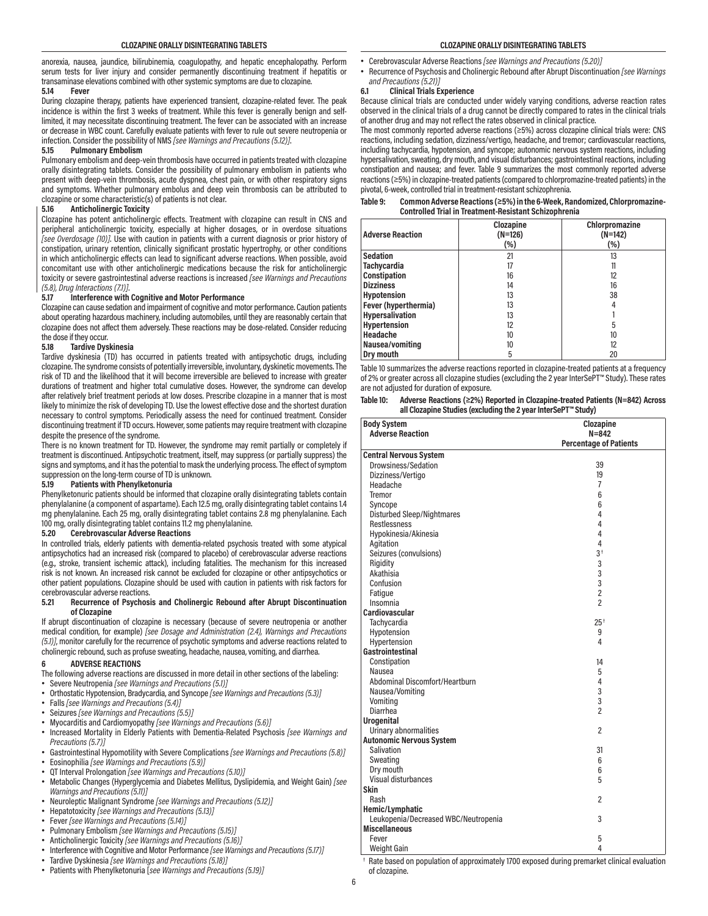anorexia, nausea, jaundice, bilirubinemia, coagulopathy, and hepatic encephalopathy. Perform serum tests for liver injury and consider permanently discontinuing treatment if hepatitis or transaminase elevations combined with other systemic symptoms are due to clozapine.

# **5.14 Fever**

During clozapine therapy, patients have experienced transient, clozapine-related fever. The peak incidence is within the first 3 weeks of treatment. While this fever is generally benign and selflimited, it may necessitate discontinuing treatment. The fever can be associated with an increase or decrease in WBC count. Carefully evaluate patients with fever to rule out severe neutropenia or infection. Consider the possibility of NMS *[see Warnings and Precautions (5.12)]*.

## **5.15 Pulmonary Embolism**

Pulmonary embolism and deep-vein thrombosis have occurred in patients treated with clozapine orally disintegrating tablets. Consider the possibility of pulmonary embolism in patients who present with deep-vein thrombosis, acute dyspnea, chest pain, or with other respiratory signs and symptoms. Whether pulmonary embolus and deep vein thrombosis can be attributed to clozapine or some characteristic(s) of patients is not clear.

# **5.16 Anticholinergic Toxicity**

Clozapine has potent anticholinergic effects. Treatment with clozapine can result in CNS and peripheral anticholinergic toxicity, especially at higher dosages, or in overdose situations *[see Overdosage (10)]*. Use with caution in patients with a current diagnosis or prior history of constipation, urinary retention, clinically significant prostatic hypertrophy, or other conditions in which anticholinergic effects can lead to significant adverse reactions. When possible, avoid concomitant use with other anticholinergic medications because the risk for anticholinergic toxicity or severe gastrointestinal adverse reactions is increased *[see Warnings and Precautions (5.8), Drug Interactions (7.1)]*.

# **5.17 Interference with Cognitive and Motor Performance**

Clozapine can cause sedation and impairment of cognitive and motor performance. Caution patients about operating hazardous machinery, including automobiles, until they are reasonably certain that clozapine does not affect them adversely. These reactions may be dose-related. Consider reducing the dose if they occur.

# **5.18 Tardive Dyskinesia**

Tardive dyskinesia (TD) has occurred in patients treated with antipsychotic drugs, including clozapine. The syndrome consists of potentially irreversible, involuntary, dyskinetic movements. The risk of TD and the likelihood that it will become irreversible are believed to increase with greater durations of treatment and higher total cumulative doses. However, the syndrome can develop after relatively brief treatment periods at low doses. Prescribe clozapine in a manner that is most likely to minimize the risk of developing TD. Use the lowest effective dose and the shortest duration necessary to control symptoms. Periodically assess the need for continued treatment. Consider discontinuing treatment if TD occurs. However, some patients may require treatment with clozapine despite the presence of the syndrome.

There is no known treatment for TD. However, the syndrome may remit partially or completely if treatment is discontinued. Antipsychotic treatment, itself, may suppress (or partially suppress) the signs and symptoms, and it has the potential to mask the underlying process. The effect of symptom suppression on the long-term course of TD is unknown.

# **5.19 Patients with Phenylketonuria**

Phenylketonuric patients should be informed that clozapine orally disintegrating tablets contain phenylalanine (a component of aspartame). Each 12.5 mg, orally disintegrating tablet contains 1.4 mg phenylalanine. Each 25 mg, orally disintegrating tablet contains 2.8 mg phenylalanine. Each 100 mg, orally disintegrating tablet contains 11.2 mg phenylalanine.

# **5.20 Cerebrovascular Adverse Reactions**

In controlled trials, elderly patients with dementia-related psychosis treated with some atypical antipsychotics had an increased risk (compared to placebo) of cerebrovascular adverse reactions (e.g., stroke, transient ischemic attack), including fatalities. The mechanism for this increased risk is not known. An increased risk cannot be excluded for clozapine or other antipsychotics or other patient populations. Clozapine should be used with caution in patients with risk factors for cerebrovascular adverse reactions.

#### **5.21 Recurrence of Psychosis and Cholinergic Rebound after Abrupt Discontinuation of Clozapine**

If abrupt discontinuation of clozapine is necessary (because of severe neutropenia or another medical condition, for example) *[see Dosage and Administration (2.4), Warnings and Precautions (5.1)]*, monitor carefully for the recurrence of psychotic symptoms and adverse reactions related to cholinergic rebound, such as profuse sweating, headache, nausea, vomiting, and diarrhea.

#### **6 ADVERSE REACTIONS**

- The following adverse reactions are discussed in more detail in other sections of the labeling: • Severe Neutropenia *[see Warnings and Precautions (5.1)]*
- Orthostatic Hypotension, Bradycardia, and Syncope *[see Warnings and Precautions (5.3)]*
- Falls *[see Warnings and Precautions (5.4)]*
- Seizures *[see Warnings and Precautions (5.5)]*
- Myocarditis and Cardiomyopathy *[see Warnings and Precautions (5.6)]*
- Increased Mortality in Elderly Patients with Dementia-Related Psychosis *[see Warnings and Precautions (5.7)]*
- Gastrointestinal Hypomotility with Severe Complications *[see Warnings and Precautions (5.8)]* • Eosinophilia *[see Warnings and Precautions (5.9)]*
- QT Interval Prolongation *[see Warnings and Precautions (5.10)]*
- Metabolic Changes (Hyperglycemia and Diabetes Mellitus, Dyslipidemia, and Weight Gain) *[see Warnings and Precautions (5.11)]*
- Neuroleptic Malignant Syndrome *[see Warnings and Precautions (5.12)]*
- Hepatotoxicity *[see Warnings and Precautions (5.13)]*
- Fever *[see Warnings and Precautions (5.14)]*
- Pulmonary Embolism *[see Warnings and Precautions (5.15)]*
- Anticholinergic Toxicity *[see Warnings and Precautions (5.16)]*
- Interference with Cognitive and Motor Performance *[see Warnings and Precautions (5.17)]*
- Tardive Dyskinesia *[see Warnings and Precautions (5.18)]*
- Patients with Phenylketonuria [*see Warnings and Precautions (5.19)]*
- Cerebrovascular Adverse Reactions *[see Warnings and Precautions (5.20)]*
- Recurrence of Psychosis and Cholinergic Rebound after Abrupt Discontinuation *[see Warnings and Precautions (5.21)]*

## **6.1 Clinical Trials Experience**

Because clinical trials are conducted under widely varying conditions, adverse reaction rates observed in the clinical trials of a drug cannot be directly compared to rates in the clinical trials of another drug and may not reflect the rates observed in clinical practice.

The most commonly reported adverse reactions (≥5%) across clozapine clinical trials were: CNS reactions, including sedation, dizziness/vertigo, headache, and tremor; cardiovascular reactions, including tachycardia, hypotension, and syncope; autonomic nervous system reactions, including hypersalivation, sweating, dry mouth, and visual disturbances; gastrointestinal reactions, including constipation and nausea; and fever. Table 9 summarizes the most commonly reported adverse reactions (≥5%) in clozapine-treated patients (compared to chlorpromazine-treated patients) in the pivotal, 6-week, controlled trial in treatment-resistant schizophrenia.

#### **Table 9: Common Adverse Reactions (≥5%) in the 6-Week, Randomized, Chlorpromazine-Controlled Trial in Treatment-Resistant Schizophrenia**

| <b>Adverse Reaction</b> | Clozapine<br>$(N=126)$<br>(%) | Chlorpromazine<br>$(N=142)$<br>(%) |
|-------------------------|-------------------------------|------------------------------------|
| <b>Sedation</b>         | 21                            | 13                                 |
| <b>Tachycardia</b>      | 17                            | 11                                 |
| Constipation            | 16                            | 12                                 |
| <b>Dizziness</b>        | 14                            | 16                                 |
| <b>Hypotension</b>      | 13                            | 38                                 |
| Fever (hyperthermia)    | 13                            | 4                                  |
| Hypersalivation         | 13                            |                                    |
| Hypertension            | 12                            | 5                                  |
| Headache                | 10                            | 10                                 |
| Nausea/vomiting         | 10                            | 12                                 |
| Dry mouth               | 5                             | 20                                 |

Table 10 summarizes the adverse reactions reported in clozapine-treated patients at a frequency of 2% or greater across all clozapine studies (excluding the 2 year InterSePT™ Study). These rates are not adjusted for duration of exposure.

| Table 10: | Adverse Reactions (>2%) Reported in Clozapine-treated Patients (N=842) Across |
|-----------|-------------------------------------------------------------------------------|
|           | all Clozapine Studies (excluding the 2 year InterSePT <sup>**</sup> Study)    |

| <b>Body System</b>                                                                            | Clozapine                     |  |
|-----------------------------------------------------------------------------------------------|-------------------------------|--|
| <b>Adverse Reaction</b>                                                                       | $N = 842$                     |  |
|                                                                                               | <b>Percentage of Patients</b> |  |
| <b>Central Nervous System</b>                                                                 |                               |  |
| Drowsiness/Sedation                                                                           | 39                            |  |
| Dizziness/Vertigo                                                                             | 19                            |  |
| Headache                                                                                      | 7                             |  |
| Tremor                                                                                        | 6                             |  |
| Syncope                                                                                       | 6                             |  |
| <b>Disturbed Sleep/Nightmares</b>                                                             | 4                             |  |
| Restlessness                                                                                  | 4                             |  |
| Hypokinesia/Akinesia                                                                          | 4                             |  |
| Agitation                                                                                     | 4                             |  |
| Seizures (convulsions)                                                                        | 3 <sup>†</sup>                |  |
| Rigidity                                                                                      | 3                             |  |
| Akathisia                                                                                     | 3                             |  |
| Confusion                                                                                     | 3                             |  |
| Fatigue                                                                                       | $\overline{2}$                |  |
| Insomnia                                                                                      | $\overline{2}$                |  |
| <b>Cardiovascular</b>                                                                         |                               |  |
| Tachycardia                                                                                   | $25+$                         |  |
| Hypotension                                                                                   | 9                             |  |
| Hypertension                                                                                  | 4                             |  |
| Gastrointestinal                                                                              |                               |  |
| Constipation                                                                                  | 14                            |  |
| Nausea                                                                                        | 5                             |  |
| Abdominal Discomfort/Heartburn                                                                | 4                             |  |
| Nausea/Vomiting                                                                               | 3                             |  |
| Vomiting                                                                                      | 3                             |  |
| Diarrhea                                                                                      | $\overline{c}$                |  |
| <b>Urogenital</b>                                                                             |                               |  |
| Urinary abnormalities                                                                         | $\overline{2}$                |  |
| <b>Autonomic Nervous System</b>                                                               |                               |  |
| <b>Salivation</b>                                                                             | 31                            |  |
| Sweating                                                                                      | 6                             |  |
| Dry mouth                                                                                     | 6                             |  |
| Visual disturbances                                                                           | 5                             |  |
| Skin                                                                                          |                               |  |
| Rash                                                                                          | $\overline{2}$                |  |
| Hemic/Lymphatic                                                                               |                               |  |
| Leukopenia/Decreased WBC/Neutropenia                                                          | 3                             |  |
| <b>Miscellaneous</b>                                                                          |                               |  |
| Fever                                                                                         | 5                             |  |
| Weight Gain                                                                                   | 4                             |  |
| t Bate based on population of approximately 1700 exposed during premarket clinical evaluation |                               |  |

† Rate based on population of approximately 1700 exposed during premarket clinical evaluation of clozapine.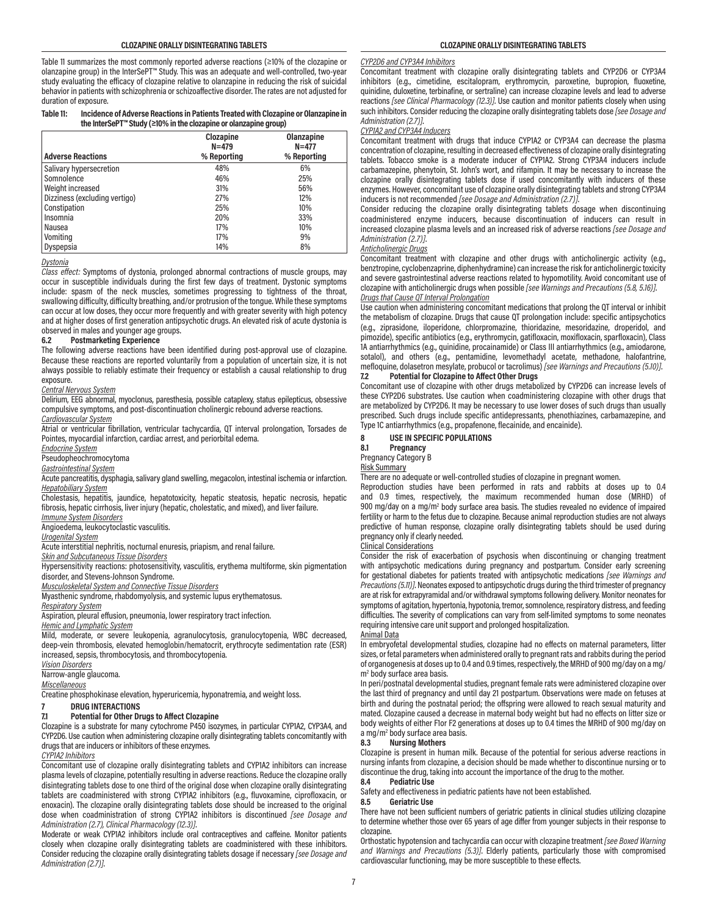Table 11 summarizes the most commonly reported adverse reactions (≥10% of the clozapine or olanzapine group) in the InterSePT™ Study. This was an adequate and well-controlled, two-year study evaluating the efficacy of clozapine relative to olanzapine in reducing the risk of suicidal behavior in patients with schizophrenia or schizoaffective disorder. The rates are not adjusted for duration of exposure.

#### **Table 11: Incidence of Adverse Reactions in Patients Treated with Clozapine or Olanzapine in the InterSePT™ Study (≥10% in the clozapine or olanzapine group)**

|                               | Clozapine<br>$N = 479$ | Olanzapine<br>$N = 477$ |
|-------------------------------|------------------------|-------------------------|
| <b>Adverse Reactions</b>      | % Reporting            | % Reporting             |
| Salivary hypersecretion       | 48%                    | 6%                      |
| Somnolence                    | 46%                    | 25%                     |
| Weight increased              | 31%                    | 56%                     |
| Dizziness (excluding vertigo) | 27%                    | 12%                     |
| Constipation                  | 25%                    | 10%                     |
| Insomnia                      | 20%                    | 33%                     |
| Nausea                        | 17%                    | 10%                     |
| Vomiting                      | 17%                    | 9%                      |
| Dyspepsia                     | 14%                    | 8%                      |

# *Dystonia*

*Class effect:* Symptoms of dystonia, prolonged abnormal contractions of muscle groups, may occur in susceptible individuals during the first few days of treatment. Dystonic symptoms include: spasm of the neck muscles, sometimes progressing to tightness of the throat, swallowing difficulty, difficulty breathing, and/or protrusion of the tongue. While these symptoms can occur at low doses, they occur more frequently and with greater severity with high potency and at higher doses of first generation antipsychotic drugs. An elevated risk of acute dystonia is

#### observed in males and younger age groups.<br>6.2 Postmarketing Experience **6.2 Postmarketing Experience**

The following adverse reactions have been identified during post-approval use of clozapine. Because these reactions are reported voluntarily from a population of uncertain size, it is not always possible to reliably estimate their frequency or establish a causal relationship to drug exposure.

#### *Central Nervous System*

Delirium, EEG abnormal, myoclonus, paresthesia, possible cataplexy, status epilepticus, obsessive compulsive symptoms, and post-discontinuation cholinergic rebound adverse reactions.

*Cardiovascular System*

Atrial or ventricular fibrillation, ventricular tachycardia, QT interval prolongation, Torsades de Pointes, myocardial infarction, cardiac arrest, and periorbital edema.

*Endocrine System*

Pseudopheochromocytoma

*Gastrointestinal System*

Acute pancreatitis, dysphagia, salivary gland swelling, megacolon, intestinal ischemia or infarction. *Hepatobiliary System*

Cholestasis, hepatitis, jaundice, hepatotoxicity, hepatic steatosis, hepatic necrosis, hepatic fibrosis, hepatic cirrhosis, liver injury (hepatic, cholestatic, and mixed), and liver failure. *Immune System Disorders*

Angioedema, leukocytoclastic vasculitis.

*Urogenital System*

Acute interstitial nephritis, nocturnal enuresis, priapism, and renal failure.

#### *Skin and Subcutaneous Tissue Disorders*

Hypersensitivity reactions: photosensitivity, vasculitis, erythema multiforme, skin pigmentation disorder, and Stevens-Johnson Syndrome.

*Musculoskeletal System and Connective Tissue Disorders*

Myasthenic syndrome, rhabdomyolysis, and systemic lupus erythematosus.

#### *Respiratory System*

Aspiration, pleural effusion, pneumonia, lower respiratory tract infection.

*Hemic and Lymphatic System*

Mild, moderate, or severe leukopenia, agranulocytosis, granulocytopenia, WBC decreased, deep-vein thrombosis, elevated hemoglobin/hematocrit, erythrocyte sedimentation rate (ESR) increased, sepsis, thrombocytosis, and thrombocytopenia.

*Vision Disorders*

Narrow-angle glaucoma.

*Miscellaneous*

Creatine phosphokinase elevation, hyperuricemia, hyponatremia, and weight loss.

# **7 DRUG INTERACTIONS**

# **7.1 Potential for Other Drugs to Affect Clozapine**

Clozapine is a substrate for many cytochrome P450 isozymes, in particular CYP1A2, CYP3A4, and CYP2D6. Use caution when administering clozapine orally disintegrating tablets concomitantly with drugs that are inducers or inhibitors of these enzymes.

#### *CYP1A2 Inhibitors*

Concomitant use of clozapine orally disintegrating tablets and CYP1A2 inhibitors can increase plasma levels of clozapine, potentially resulting in adverse reactions. Reduce the clozapine orally disintegrating tablets dose to one third of the original dose when clozapine orally disintegrating tablets are coadministered with strong CYP1A2 inhibitors (e.g., fluvoxamine, ciprofloxacin, or enoxacin). The clozapine orally disintegrating tablets dose should be increased to the original dose when coadministration of strong CYP1A2 inhibitors is discontinued *[see Dosage and Administration (2.7), Clinical Pharmacology (12.3)]*.

Moderate or weak CYP1A2 inhibitors include oral contraceptives and caffeine. Monitor patients closely when clozapine orally disintegrating tablets are coadministered with these inhibitors. Consider reducing the clozapine orally disintegrating tablets dosage if necessary *[see Dosage and Administration (2.7)]*.

# *CYP2D6 and CYP3A4 Inhibitors*

Concomitant treatment with clozapine orally disintegrating tablets and CYP2D6 or CYP3A4 inhibitors (e.g., cimetidine, escitalopram, erythromycin, paroxetine, bupropion, fluoxetine, quinidine, duloxetine, terbinafine, or sertraline) can increase clozapine levels and lead to adverse reactions *[see Clinical Pharmacology (12.3)]*. Use caution and monitor patients closely when using such inhibitors. Consider reducing the clozapine orally disintegrating tablets dose *[see Dosage and Administration (2.7)]*.

#### *CYP1A2 and CYP3A4 Inducers*

Concomitant treatment with drugs that induce CYP1A2 or CYP3A4 can decrease the plasma concentration of clozapine, resulting in decreased effectiveness of clozapine orally disintegrating tablets. Tobacco smoke is a moderate inducer of CYP1A2. Strong CYP3A4 inducers include carbamazepine, phenytoin, St. John's wort, and rifampin. It may be necessary to increase the clozapine orally disintegrating tablets dose if used concomitantly with inducers of these enzymes. However, concomitant use of clozapine orally disintegrating tablets and strong CYP3A4 inducers is not recommended *[see Dosage and Administration (2.7)]*.

Consider reducing the clozapine orally disintegrating tablets dosage when discontinuing coadministered enzyme inducers, because discontinuation of inducers can result in increased clozapine plasma levels and an increased risk of adverse reactions *[see Dosage and Administration (2.7)]*.

# *Anticholinergic Drugs*

Concomitant treatment with clozapine and other drugs with anticholinergic activity (e.g., benztropine, cyclobenzaprine, diphenhydramine) can increase the risk for anticholinergic toxicity and severe gastrointestinal adverse reactions related to hypomotility. Avoid concomitant use of clozapine with anticholinergic drugs when possible *[see Warnings and Precautions (5.8, 5.16)]*.

#### *Drugs that Cause QT Interval Prolongation*

Use caution when administering concomitant medications that prolong the QT interval or inhibit the metabolism of clozapine. Drugs that cause QT prolongation include: specific antipsychotics (e.g., ziprasidone, iloperidone, chlorpromazine, thioridazine, mesoridazine, droperidol, and pimozide), specific antibiotics (e.g., erythromycin, gatifloxacin, moxifloxacin, sparfloxacin), Class 1A antiarrhythmics (e.g., quinidine, procainamide) or Class III antiarrhythmics (e.g., amiodarone, sotalol), and others (e.g., pentamidine, levomethadyl acetate, methadone, halofantrine, mefloquine, dolasetron mesylate, probucol or tacrolimus) *[see Warnings and Precautions (5.10)]*.

#### **7.2 Potential for Clozapine to Affect Other Drugs**

Concomitant use of clozapine with other drugs metabolized by CYP2D6 can increase levels of these CYP2D6 substrates. Use caution when coadministering clozapine with other drugs that are metabolized by CYP2D6. It may be necessary to use lower doses of such drugs than usually prescribed. Such drugs include specific antidepressants, phenothiazines, carbamazepine, and Type 1C antiarrhythmics (e.g., propafenone, flecainide, and encainide).

#### **8 USE IN SPECIFIC POPULATIONS**

**8.1 Pregnancy**

#### Pregnancy Category B

Risk Summary

There are no adequate or well-controlled studies of clozapine in pregnant women.

Reproduction studies have been performed in rats and rabbits at doses up to 0.4 and 0.9 times, respectively, the maximum recommended human dose (MRHD) of 900 mg/day on a mg/m<sup>2</sup> body surface area basis. The studies revealed no evidence of impaired fertility or harm to the fetus due to clozapine. Because animal reproduction studies are not always predictive of human response, clozapine orally disintegrating tablets should be used during pregnancy only if clearly needed.

# Clinical Considerations

Consider the risk of exacerbation of psychosis when discontinuing or changing treatment with antipsychotic medications during pregnancy and postpartum. Consider early screening for gestational diabetes for patients treated with antipsychotic medications *[see Warnings and Precautions (5.11)]*. Neonates exposed to antipsychotic drugs during the third trimester of pregnancy are at risk for extrapyramidal and/or withdrawal symptoms following delivery. Monitor neonates for symptoms of agitation, hypertonia, hypotonia, tremor, somnolence, respiratory distress, and feeding difficulties. The severity of complications can vary from self-limited symptoms to some neonates requiring intensive care unit support and prolonged hospitalization.

# Animal Data

In embryofetal developmental studies, clozapine had no effects on maternal parameters, litter sizes, or fetal parameters when administered orally to pregnant rats and rabbits during the period of organogenesis at doses up to 0.4 and 0.9 times, respectively, the MRHD of 900 mg/day on a mg/ m2 body surface area basis.

In peri/postnatal developmental studies, pregnant female rats were administered clozapine over the last third of pregnancy and until day 21 postpartum. Observations were made on fetuses at birth and during the postnatal period; the offspring were allowed to reach sexual maturity and mated. Clozapine caused a decrease in maternal body weight but had no effects on litter size or body weights of either F1or F2 generations at doses up to 0.4 times the MRHD of 900 mg/day on a mg/m<sup>2</sup> body surface area basis.

#### **8.3 Nursing Mothers**

Clozapine is present in human milk. Because of the potential for serious adverse reactions in nursing infants from clozapine, a decision should be made whether to discontinue nursing or to discontinue the drug, taking into account the importance of the drug to the mother.<br>8.4 Pediatric Use

# **8.4 Pediatric Use**

Safety and effectiveness in pediatric patients have not been established.<br>8.5 **Geriatric Use** 

#### **8.5 Geriatric Use**

There have not been sufficient numbers of geriatric patients in clinical studies utilizing clozapine to determine whether those over 65 years of age differ from younger subjects in their response to clozapine.

Orthostatic hypotension and tachycardia can occur with clozapine treatment *[see Boxed Warning and Warnings and Precautions (5.3)]*. Elderly patients, particularly those with compromised cardiovascular functioning, may be more susceptible to these effects.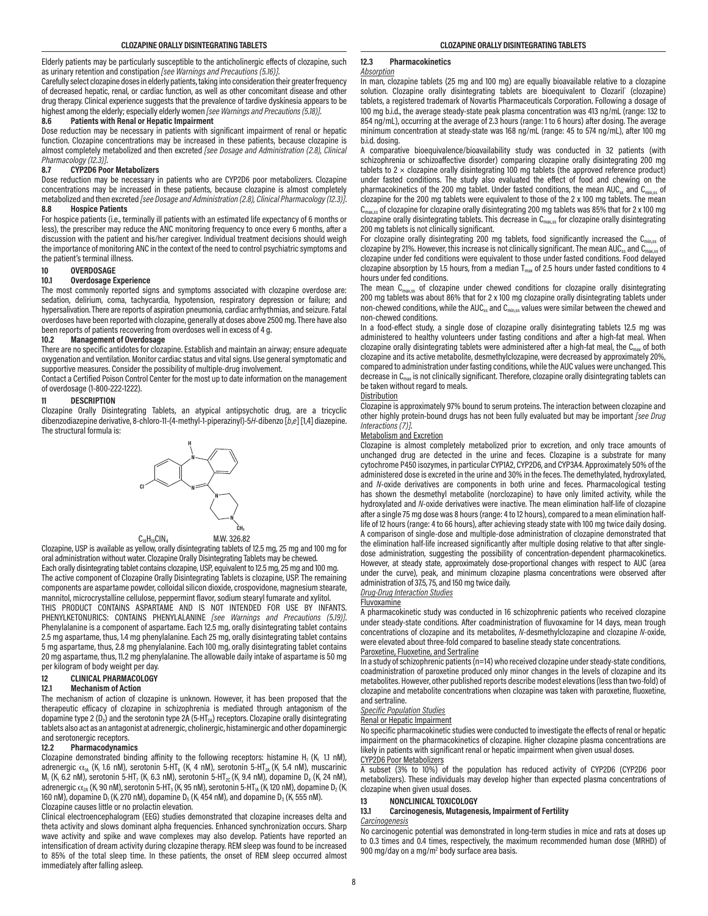Elderly patients may be particularly susceptible to the anticholinergic effects of clozapine, such as urinary retention and constipation *[see Warnings and Precautions (5.16)]*.

Carefully select clozapine doses in elderly patients, taking into consideration their greater frequency of decreased hepatic, renal, or cardiac function, as well as other concomitant disease and other drug therapy. Clinical experience suggests that the prevalence of tardive dyskinesia appears to be highest among the elderly; especially elderly women *[see Warnings and Precautions (5.18)]*.

# **8.6 Patients with Renal or Hepatic Impairment**

Dose reduction may be necessary in patients with significant impairment of renal or hepatic function. Clozapine concentrations may be increased in these patients, because clozapine is almost completely metabolized and then excreted *[see Dosage and Administration (2.8), Clinical Pharmacology (12.3)]*.

#### **8.7 CYP2D6 Poor Metabolizers**

Dose reduction may be necessary in patients who are CYP2D6 poor metabolizers. Clozapine concentrations may be increased in these patients, because clozapine is almost completely metabolized and then excreted *[see Dosage and Administration (2.8), Clinical Pharmacology (12.3)]*. **8.8 Hospice Patients**

For hospice patients (i.e., terminally ill patients with an estimated life expectancy of 6 months or less), the prescriber may reduce the ANC monitoring frequency to once every 6 months, after a discussion with the patient and his/her caregiver. Individual treatment decisions should weigh the importance of monitoring ANC in the context of the need to control psychiatric symptoms and the patient's terminal illness.

# **10 OVERDOSAGE**

### **10.1 Overdosage Experience**

The most commonly reported signs and symptoms associated with clozapine overdose are: sedation, delirium, coma, tachycardia, hypotension, respiratory depression or failure; and hypersalivation. There are reports of aspiration pneumonia, cardiac arrhythmias, and seizure. Fatal overdoses have been reported with clozapine, generally at doses above 2500 mg. There have also been reports of patients recovering from overdoses well in excess of 4 g.<br>10.2 Management of Overdosage

#### **10.2 Management of Overdosage**

There are no specific antidotes for clozapine. Establish and maintain an airway; ensure adequate oxygenation and ventilation. Monitor cardiac status and vital signs. Use general symptomatic and supportive measures. Consider the possibility of multiple-drug involvement.

Contact a Certified Poison Control Center for the most up to date information on the management of overdosage (1-800-222-1222).

# **11 DESCRIPTION**

Clozapine Orally Disintegrating Tablets, an atypical antipsychotic drug, are a tricyclic dibenzodiazepine derivative, 8-chloro-11-(4-methyl-1-piperazinyl)-5*H*-dibenzo [*b*,*e*] [1,4] diazepine. The structural formula is:





Clozapine, USP is available as yellow, orally disintegrating tablets of 12.5 mg, 25 mg and 100 mg for oral administration without water. Clozapine Orally Disintegrating Tablets may be chewed. Each orally disintegrating tablet contains clozapine, USP, equivalent to 12.5 mg, 25 mg and 100 mg.

The active component of Clozapine Orally Disintegrating Tablets is clozapine, USP. The remaining components are aspartame powder, colloidal silicon dioxide, crospovidone, magnesium stearate, mannitol, microcrystalline cellulose, peppermint flavor, sodium stearyl fumarate and xylitol. THIS PRODUCT CONTAINS ASPARTAME AND IS NOT INTENDED FOR USE BY INFANTS.

PHENYLKETONURICS: CONTAINS PHENYLALANINE *[see Warnings and Precautions (5.19)]*. Phenylalanine is a component of aspartame. Each 12.5 mg, orally disintegrating tablet contains 2.5 mg aspartame, thus, 1.4 mg phenylalanine. Each 25 mg, orally disintegrating tablet contains 5 mg aspartame, thus, 2.8 mg phenylalanine. Each 100 mg, orally disintegrating tablet contains 20 mg aspartame, thus, 11.2 mg phenylalanine. The allowable daily intake of aspartame is 50 mg per kilogram of body weight per day.

#### **12 CLINICAL PHARMACOLOGY**

#### **12.1 Mechanism of Action**

The mechanism of action of clozapine is unknown. However, it has been proposed that the therapeutic efficacy of clozapine in schizophrenia is mediated through antagonism of the dopamine type 2 ( $D_2$ ) and the serotonin type 2A (5-HT<sub>2A</sub>) receptors. Clozapine orally disintegrating tablets also act as an antagonist at adrenergic, cholinergic, histaminergic and other dopaminergic and serotonergic receptors.

#### **12.2 Pharmacodynamics**

Clozapine demonstrated binding affinity to the following receptors: histamine H<sub>1</sub> (K<sub>i</sub> 1.1 nM), adrenergic  $\alpha_{1A}$  (K<sub>i</sub> 1.6 nM), serotonin 5-HT<sub>6</sub> (K<sub>i</sub> 4 nM), serotonin 5-HT<sub>2A</sub> (K<sub>i</sub> 5.4 nM), muscarinic  $M_1$  (K<sub>i</sub> 6.2 nM), serotonin 5-HT<sub>7</sub> (K<sub>i</sub> 6.3 nM), serotonin 5-HT<sub>2C</sub> (K<sub>i</sub> 9.4 nM), dopamine D<sub>4</sub> (K<sub>i</sub> 24 nM), adrenergic  $\alpha_{\rm 2A}$  (K<sub>i</sub> 90 nM), serotonin 5-HT $_{\rm 3}$  (K<sub>i</sub> 95 nM), serotonin 5-HT $_{\rm 1A}$  (K<sub>i</sub> 120 nM), dopamine D $_{\rm 2}$  (K<sub>i</sub> 160 nM), dopamine D<sub>1</sub> (K<sub>i</sub> 270 nM), dopamine D<sub>5</sub> (K<sub>i</sub> 454 nM), and dopamine D<sub>3</sub> (K<sub>i</sub> 555 nM). Clozapine causes little or no prolactin elevation.

Clinical electroencephalogram (EEG) studies demonstrated that clozapine increases delta and theta activity and slows dominant alpha frequencies. Enhanced synchronization occurs. Sharp wave activity and spike and wave complexes may also develop. Patients have reported an intensification of dream activity during clozapine therapy. REM sleep was found to be increased to 85% of the total sleep time. In these patients, the onset of REM sleep occurred almost immediately after falling asleep.

# **12.3 Pharmacokinetics**

#### *Absorption*

In man, clozapine tablets (25 mg and 100 mg) are equally bioavailable relative to a clozapine solution. Clozapine orally disintegrating tablets are bioequivalent to Clozaril° (clozapine) tablets, a registered trademark of Novartis Pharmaceuticals Corporation. Following a dosage of 100 mg b.i.d., the average steady-state peak plasma concentration was 413 ng/mL (range: 132 to 854 ng/mL), occurring at the average of 2.3 hours (range: 1 to 6 hours) after dosing. The average minimum concentration at steady-state was 168 ng/mL (range: 45 to 574 ng/mL), after 100 mg b.i.d. dosing.

A comparative bioequivalence/bioavailability study was conducted in 32 patients (with schizophrenia or schizoaffective disorder) comparing clozapine orally disintegrating 200 mg tablets to  $2 \times$  clozapine orally disintegrating 100 mg tablets (the approved reference product) under fasted conditions. The study also evaluated the effect of food and chewing on the pharmacokinetics of the 200 mg tablet. Under fasted conditions, the mean AUC<sub>ss</sub> and  $C<sub>min</sub>$ <sub>ss</sub> of clozapine for the 200 mg tablets were equivalent to those of the 2 x 100 mg tablets. The mean  $C<sub>max,ss</sub>$  of clozapine for clozapine orally disintegrating 200 mg tablets was 85% that for 2 x 100 mg clozapine orally disintegrating tablets. This decrease in  $C_{max,ss}$  for clozapine orally disintegrating 200 mg tablets is not clinically significant.

For clozapine orally disintegrating 200 mg tablets, food significantly increased the C<sub>min,ss</sub> of clozapine by 21%. However, this increase is not clinically significant. The mean AUC<sub>ss</sub> and C<sub>nsw</sub> of clozapine by 21%. However, this increase is not clinically significant. The mean AUC<sub>ss</sub> and C<sub>m</sub> clozapine under fed conditions were equivalent to those under fasted conditions. Food delayed clozapine absorption by 1.5 hours, from a median  $T_{\text{max}}$  of 2.5 hours under fasted conditions to 4 hours under fed conditions.

The mean  $C_{max,ss}$  of clozapine under chewed conditions for clozapine orally disintegrating 200 mg tablets was about 86% that for 2 x 100 mg clozapine orally disintegrating tablets under non-chewed conditions, while the AUC<sub>ss</sub> and  $C<sub>min,ss</sub>$  values were similar between the chewed and non-chewed conditions.

In a food-effect study, a single dose of clozapine orally disintegrating tablets 12.5 mg was administered to healthy volunteers under fasting conditions and after a high-fat meal. When clozapine orally disintegrating tablets were administered after a high-fat meal, the  $C_{\text{max}}$  of both clozapine and its active metabolite, desmethylclozapine, were decreased by approximately 20%, compared to administration under fasting conditions, while the AUC values were unchanged. This decrease in C<sub>max</sub> is not clinically significant. Therefore, clozapine orally disintegrating tablets can be taken without regard to meals.

#### **Distribution**

Clozapine is approximately 97% bound to serum proteins. The interaction between clozapine and other highly protein-bound drugs has not been fully evaluated but may be important *[see Drug Interactions (7)]*.

#### Metabolism and Excretion

Clozapine is almost completely metabolized prior to excretion, and only trace amounts of unchanged drug are detected in the urine and feces. Clozapine is a substrate for many cytochrome P450 isozymes, in particular CYP1A2, CYP2D6, and CYP3A4. Approximately 50% of the administered dose is excreted in the urine and 30% in the feces. The demethylated, hydroxylated, and *N*-oxide derivatives are components in both urine and feces. Pharmacological testing has shown the desmethyl metabolite (norclozapine) to have only limited activity, while the hydroxylated and *N*-oxide derivatives were inactive. The mean elimination half-life of clozapine after a single 75 mg dose was 8 hours (range: 4 to 12 hours), compared to a mean elimination halflife of 12 hours (range: 4 to 66 hours), after achieving steady state with 100 mg twice daily dosing. A comparison of single-dose and multiple-dose administration of clozapine demonstrated that the elimination half-life increased significantly after multiple dosing relative to that after singledose administration, suggesting the possibility of concentration-dependent pharmacokinetics. However, at steady state, approximately dose-proportional changes with respect to AUC (area under the curve), peak, and minimum clozapine plasma concentrations were observed after administration of 37.5, 75, and 150 mg twice daily.

*Drug-Drug Interaction Studies*

#### Fluvoxamine

A pharmacokinetic study was conducted in 16 schizophrenic patients who received clozapine under steady-state conditions. After coadministration of fluvoxamine for 14 days, mean trough concentrations of clozapine and its metabolites, *N*-desmethylclozapine and clozapine *N*-oxide, were elevated about three-fold compared to baseline steady state concentrations.

#### Paroxetine, Fluoxetine, and Sertraline

In a study of schizophrenic patients  $(n=14)$  who received clozapine under steady-state conditions, coadministration of paroxetine produced only minor changes in the levels of clozapine and its metabolites. However, other published reports describe modest elevations (less than two-fold) of clozapine and metabolite concentrations when clozapine was taken with paroxetine, fluoxetine, and sertraline.

#### *Specific Population Studies*

#### Renal or Hepatic Impairment

No specific pharmacokinetic studies were conducted to investigate the effects of renal or hepatic impairment on the pharmacokinetics of clozapine. Higher clozapine plasma concentrations are likely in patients with significant renal or hepatic impairment when given usual doses. CYP2D6 Poor Metabolizers

A subset (3% to 10%) of the population has reduced activity of CYP2D6 (CYP2D6 poor metabolizers). These individuals may develop higher than expected plasma concentrations of clozapine when given usual doses.

# **13 NONCLINICAL TOXICOLOGY**

**13.1 Carcinogenesis, Mutagenesis, Impairment of Fertility**

# *Carcinogenesis*

No carcinogenic potential was demonstrated in long-term studies in mice and rats at doses up to 0.3 times and 0.4 times, respectively, the maximum recommended human dose (MRHD) of 900 mg/day on a mg/m<sup>2</sup> body surface area basis.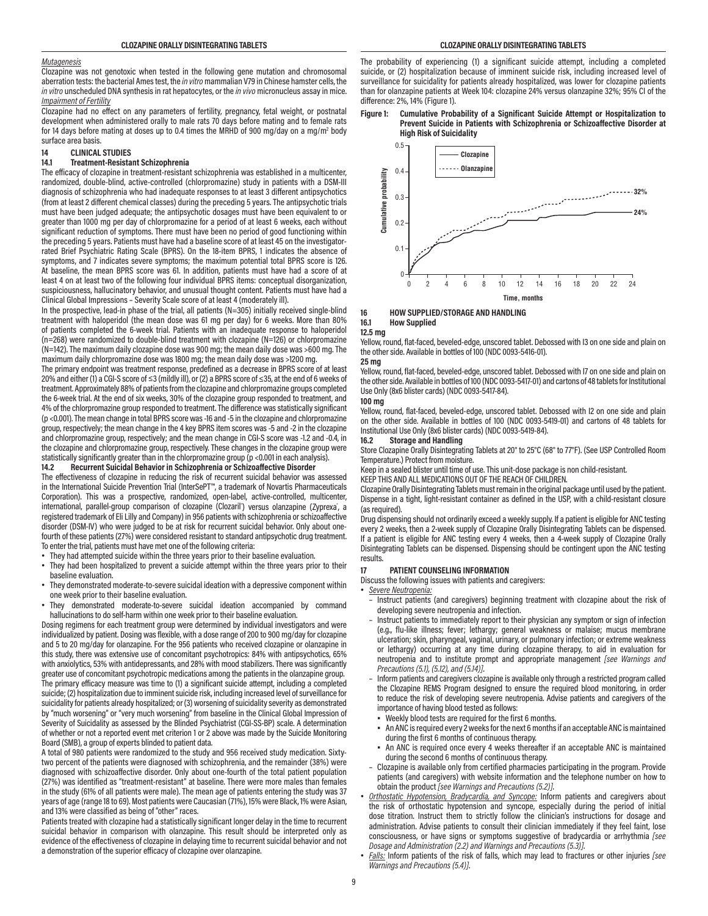#### *Mutagenesis*

Clozapine was not genotoxic when tested in the following gene mutation and chromosomal aberration tests: the bacterial Ames test, the *in vitro* mammalian V79 in Chinese hamster cells, the *in vitro* unscheduled DNA synthesis in rat hepatocytes, or the *in vivo* micronucleus assay in mice. *Impairment of Fertility*

Clozapine had no effect on any parameters of fertility, pregnancy, fetal weight, or postnatal development when administered orally to male rats 70 days before mating and to female rats for 14 days before mating at doses up to 0.4 times the MRHD of 900 mg/day on a mg/m<sup>2</sup> body surface area basis.

# **14 CLINICAL STUDIES**

#### **14.1 Treatment-Resistant Schizophrenia**

The efficacy of clozapine in treatment-resistant schizophrenia was established in a multicenter, randomized, double-blind, active-controlled (chlorpromazine) study in patients with a DSM-III diagnosis of schizophrenia who had inadequate responses to at least 3 different antipsychotics (from at least 2 different chemical classes) during the preceding 5 years. The antipsychotic trials must have been judged adequate; the antipsychotic dosages must have been equivalent to or greater than 1000 mg per day of chlorpromazine for a period of at least 6 weeks, each without significant reduction of symptoms. There must have been no period of good functioning within the preceding 5 years. Patients must have had a baseline score of at least 45 on the investigatorrated Brief Psychiatric Rating Scale (BPRS). On the 18-item BPRS, 1 indicates the absence of symptoms, and 7 indicates severe symptoms; the maximum potential total BPRS score is 126. At baseline, the mean BPRS score was 61. In addition, patients must have had a score of at least 4 on at least two of the following four individual BPRS items: conceptual disorganization, suspiciousness, hallucinatory behavior, and unusual thought content. Patients must have had a Clinical Global Impressions – Severity Scale score of at least 4 (moderately ill).

In the prospective, lead-in phase of the trial, all patients (N=305) initially received single-blind treatment with haloperidol (the mean dose was 61 mg per day) for 6 weeks. More than 80% of patients completed the 6-week trial. Patients with an inadequate response to haloperidol (n=268) were randomized to double-blind treatment with clozapine (N=126) or chlorpromazine (N=142). The maximum daily clozapine dose was 900 mg; the mean daily dose was >600 mg. The maximum daily chlorpromazine dose was 1800 mg; the mean daily dose was >1200 mg.

The primary endpoint was treatment response, predefined as a decrease in BPRS score of at least 20% and either (1) a CGI-S score of ≤3 (mildly ill), or (2) a BPRS score of ≤35, at the end of 6 weeks of treatment. Approximately 88% of patients from the clozapine and chlorpromazine groups completed the 6-week trial. At the end of six weeks, 30% of the clozapine group responded to treatment, and 4% of the chlorpromazine group responded to treatment. The difference was statistically significant (p <0.001). The mean change in total BPRS score was -16 and -5 in the clozapine and chlorpromazine group, respectively; the mean change in the 4 key BPRS item scores was -5 and -2 in the clozapine and chlorpromazine group, respectively; and the mean change in CGI-S score was -1.2 and -0.4, in the clozapine and chlorpromazine group, respectively. These changes in the clozapine group were statistically significantly greater than in the chlorpromazine group (p <0.001 in each analysis).<br>14.2 Becurrent Suicidal Behavior in Schizophrenia or Schizoaffective Disorder

# **14.2 Recurrent Suicidal Behavior in Schizophrenia or Schizoaffective Disorder**

The effectiveness of clozapine in reducing the risk of recurrent suicidal behavior was assessed in the International Suicide Prevention Trial (InterSePT™, a trademark of Novartis Pharmaceuticals Corporation). This was a prospective, randomized, open-label, active-controlled, multicenter, international, parallel-group comparison of clozapine (Clozaril') versus olanzapine (Zyprexa<sup>\*</sup>, a registered trademark of Eli Lilly and Company) in 956 patients with schizophrenia or schizoaffective disorder (DSM-IV) who were judged to be at risk for recurrent suicidal behavior. Only about onefourth of these patients (27%) were considered resistant to standard antipsychotic drug treatment. To enter the trial, patients must have met one of the following criteria:

- They had attempted suicide within the three years prior to their baseline evaluation.
- They had been hospitalized to prevent a suicide attempt within the three years prior to their baseline evaluation.
- They demonstrated moderate-to-severe suicidal ideation with a depressive component within one week prior to their baseline evaluation.
- They demonstrated moderate-to-severe suicidal ideation accompanied by command hallucinations to do self-harm within one week prior to their baseline evaluation.

Dosing regimens for each treatment group were determined by individual investigators and were individualized by patient. Dosing was flexible, with a dose range of 200 to 900 mg/day for clozapine and 5 to 20 mg/day for olanzapine. For the 956 patients who received clozapine or olanzapine in this study, there was extensive use of concomitant psychotropics: 84% with antipsychotics, 65% with anxiolytics, 53% with antidepressants, and 28% with mood stabilizers. There was significantly greater use of concomitant psychotropic medications among the patients in the olanzapine group. The primary efficacy measure was time to (1) a significant suicide attempt, including a completed suicide; (2) hospitalization due to imminent suicide risk, including increased level of surveillance for suicidality for patients already hospitalized; or (3) worsening of suicidality severity as demonstrated by "much worsening" or "very much worsening" from baseline in the Clinical Global Impression of Severity of Suicidality as assessed by the Blinded Psychiatrist (CGI-SS-BP) scale. A determination of whether or not a reported event met criterion 1 or 2 above was made by the Suicide Monitoring Board (SMB), a group of experts blinded to patient data.

A total of 980 patients were randomized to the study and 956 received study medication. Sixtytwo percent of the patients were diagnosed with schizophrenia, and the remainder (38%) were diagnosed with schizoaffective disorder. Only about one-fourth of the total patient population (27%) was identified as "treatment-resistant" at baseline. There were more males than females in the study (61% of all patients were male). The mean age of patients entering the study was 37 years of age (range 18 to 69). Most patients were Caucasian (71%), 15% were Black, 1% were Asian, and 13% were classified as being of "other" races.

Patients treated with clozapine had a statistically significant longer delay in the time to recurrent suicidal behavior in comparison with olanzapine. This result should be interpreted only as evidence of the effectiveness of clozapine in delaying time to recurrent suicidal behavior and not a demonstration of the superior efficacy of clozapine over olanzapine.

The probability of experiencing (1) a significant suicide attempt, including a completed suicide, or (2) hospitalization because of imminent suicide risk, including increased level of surveillance for suicidality for patients already hospitalized, was lower for clozapine patients than for olanzapine patients at Week 104: clozapine 24% versus olanzapine 32%; 95% CI of the difference: 2%, 14% (Figure 1).





# **16 HOW SUPPLIED/STORAGE AND HANDLING**

#### **16.1 How Supplied**

#### **12.5 mg**

Yellow, round, flat-faced, beveled-edge, unscored tablet. Debossed with I3 on one side and plain on the other side. Available in bottles of 100 (NDC 0093-5416-01).

#### **25 mg**

Yellow, round, flat-faced, beveled-edge, unscored tablet. Debossed with I7 on one side and plain on the other side. Available in bottles of 100 (NDC 0093-5417-01) and cartons of 48 tablets for Institutional Use Only (8x6 blister cards) (NDC 0093-5417-84).

# **100 mg**

Yellow, round, flat-faced, beveled-edge, unscored tablet. Debossed with I2 on one side and plain on the other side. Available in bottles of 100 (NDC 0093-5419-01) and cartons of 48 tablets for Institutional Use Only (8x6 blister cards) (NDC 0093-5419-84).

#### **16.2 Storage and Handling**

Store Clozapine Orally Disintegrating Tablets at 20° to 25°C (68° to 77°F). (See USP Controlled Room Temperature.) Protect from moisture.

Keep in a sealed blister until time of use. This unit-dose package is non child-resistant.

KEEP THIS AND ALL MEDICATIONS OUT OF THE REACH OF CHILDREN.

Clozapine Orally Disintegrating Tablets must remain in the original package until used by the patient. Dispense in a tight, light-resistant container as defined in the USP, with a child-resistant closure (as required).

Drug dispensing should not ordinarily exceed a weekly supply. If a patient is eligible for ANC testing every 2 weeks, then a 2-week supply of Clozapine Orally Disintegrating Tablets can be dispensed. If a patient is eligible for ANC testing every 4 weeks, then a 4-week supply of Clozapine Orally Disintegrating Tablets can be dispensed. Dispensing should be contingent upon the ANC testing results.

#### **17 PATIENT COUNSELING INFORMATION**

Discuss the following issues with patients and caregivers:

• *Severe Neutropenia:*

- Instruct patients (and caregivers) beginning treatment with clozapine about the risk of developing severe neutropenia and infection.
- Instruct patients to immediately report to their physician any symptom or sign of infection (e.g., flu-like illness; fever; lethargy; general weakness or malaise; mucus membrane ulceration; skin, pharyngeal, vaginal, urinary, or pulmonary infection; or extreme weakness or lethargy) occurring at any time during clozapine therapy, to aid in evaluation for neutropenia and to institute prompt and appropriate management *[see Warnings and Precautions (5.1), (5.12), and (5.14)]*.
- Inform patients and caregivers clozapine is available only through a restricted program called the Clozapine REMS Program designed to ensure the required blood monitoring, in order to reduce the risk of developing severe neutropenia. Advise patients and caregivers of the importance of having blood tested as follows:
	- . Weekly blood tests are required for the first 6 months.
- An ANC is required every 2 weeks for the next 6 months if an acceptable ANC is maintained during the first 6 months of continuous therapy.
- An ANC is required once every 4 weeks thereafter if an acceptable ANC is maintained during the second 6 months of continuous therapy.
- Clozapine is available only from certified pharmacies participating in the program. Provide patients (and caregivers) with website information and the telephone number on how to obtain the product *[see Warnings and Precautions (5.2)]*.
- *Orthostatic Hypotension, Bradycardia, and Syncope:* Inform patients and caregivers about the risk of orthostatic hypotension and syncope, especially during the period of initial dose titration. Instruct them to strictly follow the clinician's instructions for dosage and administration. Advise patients to consult their clinician immediately if they feel faint, lose consciousness, or have signs or symptoms suggestive of bradycardia or arrhythmia *[see Dosage and Administration (2.2) and Warnings and Precautions (5.3)]*.
- *Falls:* Inform patients of the risk of falls, which may lead to fractures or other injuries *[see Warnings and Precautions (5.4)]*.